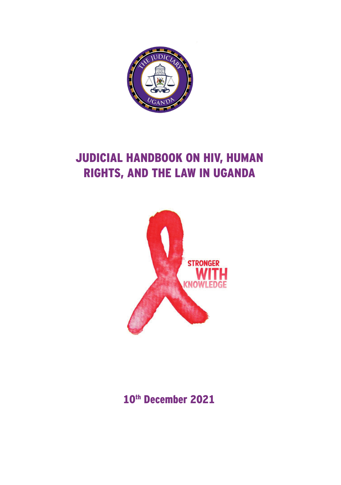

# JUDICIAL HANDBOOK ON HIV, HUMAN RIGHTS, AND THE LAW IN UGANDA



# 10th December 2021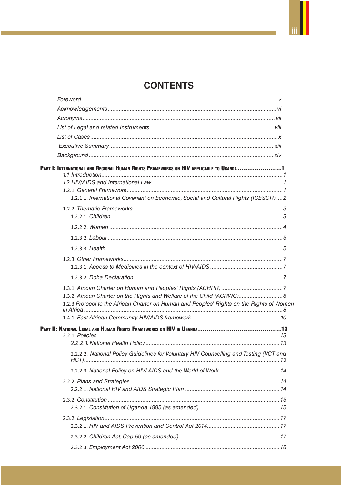# **CONTENTS**

| PART I: INTERNATIONAL AND REGIONAL HUMAN RIGHTS FRAMEWORKS ON HIV APPLICABLE TO UGANDA 1                                                                              |  |
|-----------------------------------------------------------------------------------------------------------------------------------------------------------------------|--|
|                                                                                                                                                                       |  |
| 1.2.1.1. International Covenant on Economic, Social and Cultural Rights (ICESCR)  2                                                                                   |  |
|                                                                                                                                                                       |  |
|                                                                                                                                                                       |  |
|                                                                                                                                                                       |  |
|                                                                                                                                                                       |  |
|                                                                                                                                                                       |  |
|                                                                                                                                                                       |  |
|                                                                                                                                                                       |  |
| 1.3.2. African Charter on the Rights and Welfare of the Child (ACRWC) 8<br>1.2.3. Protocol to the African Charter on Human and Peoples' Rights on the Rights of Women |  |
|                                                                                                                                                                       |  |
|                                                                                                                                                                       |  |
|                                                                                                                                                                       |  |
| 2.2.2.2. National Policy Guidelines for Voluntary HIV Counselling and Testing (VCT and                                                                                |  |
|                                                                                                                                                                       |  |
|                                                                                                                                                                       |  |
|                                                                                                                                                                       |  |
|                                                                                                                                                                       |  |
|                                                                                                                                                                       |  |
|                                                                                                                                                                       |  |
|                                                                                                                                                                       |  |
|                                                                                                                                                                       |  |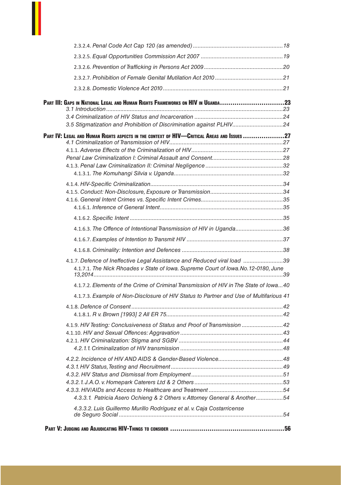| PART III: GAPS IN NATIONAL LEGAL AND HUMAN RIGHTS FRAMEWORKS ON HIV IN UGANDA23                                                                                 |  |
|-----------------------------------------------------------------------------------------------------------------------------------------------------------------|--|
|                                                                                                                                                                 |  |
| 3.5 Stigmatization and Prohibition of Discrimination against PLHIV24                                                                                            |  |
| PART IV: LEGAL AND HUMAN RIGHTS ASPECTS IN THE CONTEXT OF HIV-CRITICAL AREAS AND ISSUES 27                                                                      |  |
|                                                                                                                                                                 |  |
|                                                                                                                                                                 |  |
|                                                                                                                                                                 |  |
|                                                                                                                                                                 |  |
|                                                                                                                                                                 |  |
|                                                                                                                                                                 |  |
|                                                                                                                                                                 |  |
|                                                                                                                                                                 |  |
| 4.1.6.3. The Offence of Intentional Transmission of HIV in Uganda36                                                                                             |  |
|                                                                                                                                                                 |  |
|                                                                                                                                                                 |  |
| 4.1.7. Defence of Ineffective Legal Assistance and Reduced viral load 39<br>4.1.7.1. The Nick Rhoades v State of lowa. Supreme Court of lowa. No. 12-0180, June |  |
| 4.1.7.2. Elements of the Crime of Criminal Transmission of HIV in The State of Iowa40                                                                           |  |
| 4.1.7.3. Example of Non-Disclosure of HIV Status to Partner and Use of Multifarious 41                                                                          |  |
|                                                                                                                                                                 |  |
|                                                                                                                                                                 |  |
| 4.1.9. HIV Testing: Conclusiveness of Status and Proof of Transmission 42                                                                                       |  |
|                                                                                                                                                                 |  |
|                                                                                                                                                                 |  |
|                                                                                                                                                                 |  |
|                                                                                                                                                                 |  |
|                                                                                                                                                                 |  |
|                                                                                                                                                                 |  |
|                                                                                                                                                                 |  |
| 4.3.3.1. Patricia Asero Ochieng & 2 Others v. Attorney General & Another 54                                                                                     |  |
| 4.3.3.2. Luis Guillermo Murillo Rodríguez et al. v. Caja Costarricense                                                                                          |  |
|                                                                                                                                                                 |  |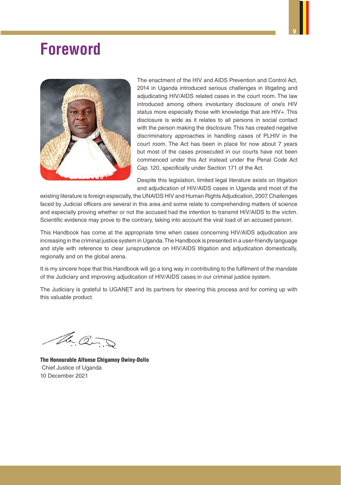# **v**

# **Foreword**



The enactment of the HIV and AIDS Prevention and Control Act, 2014 in Uganda introduced serious challenges in litigating and adjudicating HIV/AIDS related cases in the court room. The law introduced among others involuntary disclosure of one's HIV status more especially those with knowledge that are HIV+. This disclosure is wide as it relates to all persons in social contact with the person making the disclosure. This has created negative discriminatory approaches in handling cases of PLHIV in the court room. The Act has been in place for now about 7 years but most of the cases prosecuted in our courts have not been commenced under this Act instead under the Penal Code Act Cap. 120, specifically under Section 171 of the Act.

Despite this legislation, limited legal literature exists on litigation and adjudication of HIV/AIDS cases in Uganda and most of the

existing literature is foreign especially, the UNAIDS HIV and Human Rights Adjudication, 2007. Challenges faced by Judicial officers are several in this area and some relate to comprehending matters of science and especially proving whether or not the accused had the intention to transmit HIV/AIDS to the victim. Scientific evidence may prove to the contrary, taking into account the viral load of an accused person.

This Handbook has come at the appropriate time when cases concerning HIV/AIDS adjudication are increasing in the criminal justice system in Uganda. The Handbook is presented in a user-friendly language and style with reference to clear jurisprudence on HIV/AIDS litigation and adjudication domestically, regionally and on the global arena.

It is my sincere hope that this Handbook will go a long way in contributing to the fulfilment of the mandate of the Judiciary and improving adjudication of HIV/AIDS cases in our criminal justice system.

The Judiciary is grateful to UGANET and its partners for steering this process and for coming up with this valuable product.

de and

The Honourable Alfonse Chigamoy Owiny-Dollo Chief Justice of Uganda 10 December 2021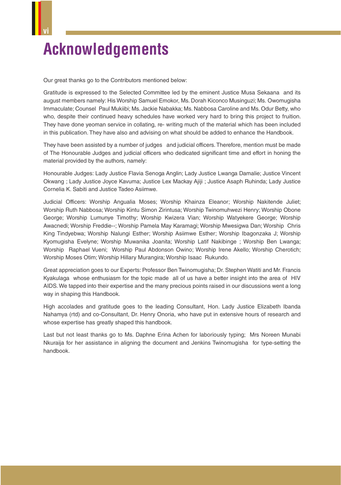# **Acknowledgements**

Our great thanks go to the Contributors mentioned below:

Gratitude is expressed to the Selected Committee led by the eminent Justice Musa Sekaana and its august members namely: His Worship Samuel Emokor, Ms. Dorah Kiconco Musinguzi; Ms. Owomugisha Immaculate; Counsel Paul Mukiibi; Ms. Jackie Nabakka; Ms. Nabbosa Caroline and Ms. Odur Betty, who who, despite their continued heavy schedules have worked very hard to bring this project to fruition. They have done yeoman service in collating, re- writing much of the material which has been included in this publication. They have also and advising on what should be added to enhance the Handbook.

They have been assisted by a number of judges and judicial officers. Therefore, mention must be made of The Honourable Judges and judicial officers who dedicated significant time and effort in honing the material provided by the authors, namely:

Honourable Judges: Lady Justice Flavia Senoga Anglin; Lady Justice Lwanga Damalie; Justice Vincent Okwang ; Lady Justice Joyce Kavuma; Justice Lex Mackay Ajiji ; Justice Asaph Ruhinda; Lady Justice Cornelia K. Sabiti and Justice Tadeo Asiimwe.

Judicial Officers: Worship Angualia Moses; Worship Khainza Eleanor; Worship Nakitende Juliet; Worship Ruth Nabbosa; Worship Kintu Simon Zirintusa; Worship Twinomuhwezi Henry; Worship Obone George; Worship Lumunye Timothy; Worship Kwizera Vian; Worship Watyekere George; Worship Awacnedi; Worship Freddie--; Worship Pamela May Karamagi; Worship Mwesigwa Dan; Worship Chris King Tindyebwa; Worship Nalungi Esther; Worship Asiimwe Esther; Worship Ibagonzaka J; Worship Kyomugisha Evelyne; Worship Muwanika Joanita; Worship Latif Nakibinge ; Worship Ben Lwanga; Worship Raphael Vueni; Worship Paul Abdonson Owino; Worship Irene Akello; Worship Cherotich; Worship Moses Otim; Worship Hillary Murangira; Worship Isaac Rukundo.

Great appreciation goes to our Experts: Professor Ben Twinomugisha; Dr. Stephen Watiti and Mr. Francis Kyakulaga whose enthusiasm for the topic made all of us have a better insight into the area of HIV AIDS. We tapped into their expertise and the many precious points raised in our discussions went a long way in shaping this Handbook.

High accolades and gratitude goes to the leading Consultant, Hon. Lady Justice Elizabeth Ibanda Nahamya (rtd) and co-Consultant, Dr. Henry Onoria, who have put in extensive hours of research and whose expertise has greatly shaped this handbook.

Last but not least thanks go to Ms. Daphne Erina Achen for laboriously typing; Mrs Noreen Munabi Nkuraija for her assistance in aligning the document and Jenkins Twinomugisha for type-setting the handbook.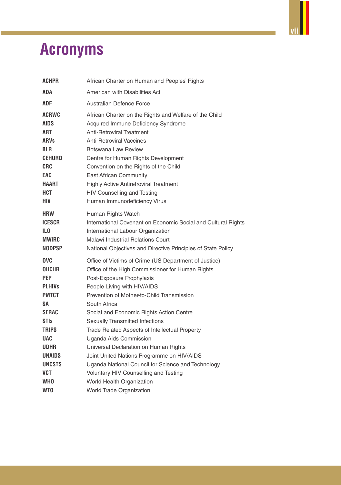

# **Acronyms**

| <b>ACHPR</b>  | African Charter on Human and Peoples' Rights                  |
|---------------|---------------------------------------------------------------|
| <b>ADA</b>    | American with Disabilities Act                                |
| <b>ADF</b>    | Australian Defence Force                                      |
| <b>ACRWC</b>  | African Charter on the Rights and Welfare of the Child        |
| <b>AIDS</b>   | Acquired Immune Deficiency Syndrome                           |
| <b>ART</b>    | <b>Anti-Retroviral Treatment</b>                              |
| <b>ARVs</b>   | <b>Anti-Retroviral Vaccines</b>                               |
| <b>BLR</b>    | Botswana Law Review                                           |
| <b>CEHURD</b> | Centre for Human Rights Development                           |
| <b>CRC</b>    | Convention on the Rights of the Child                         |
| <b>EAC</b>    | <b>East African Community</b>                                 |
| <b>HAART</b>  | <b>Highly Active Antiretroviral Treatment</b>                 |
| HCT           | <b>HIV Counselling and Testing</b>                            |
| <b>HIV</b>    | Human Immunodeficiency Virus                                  |
| <b>HRW</b>    | Human Rights Watch                                            |
| <b>ICESCR</b> | International Covenant on Economic Social and Cultural Rights |
| ILO           | International Labour Organization                             |
| <b>MWIRC</b>  | <b>Malawi Industrial Relations Court</b>                      |
| <b>NODPSP</b> | National Objectives and Directive Principles of State Policy  |
| <b>OVC</b>    | Office of Victims of Crime (US Department of Justice)         |
| <b>OHCHR</b>  | Office of the High Commissioner for Human Rights              |
| <b>PEP</b>    | Post-Exposure Prophylaxis                                     |
| <b>PLHIVS</b> | People Living with HIV/AIDS                                   |
| <b>PMTCT</b>  | Prevention of Mother-to-Child Transmission                    |
| <b>SA</b>     | South Africa                                                  |
| <b>SERAC</b>  | Social and Economic Rights Action Centre                      |
| <b>STIs</b>   | <b>Sexually Transmitted Infections</b>                        |
| <b>TRIPS</b>  | Trade Related Aspects of Intellectual Property                |
| <b>UAC</b>    | Uganda Aids Commission                                        |
| <b>UDHR</b>   | Universal Declaration on Human Rights                         |
| <b>UNAIDS</b> | Joint United Nations Programme on HIV/AIDS                    |
| <b>UNCSTS</b> | Uganda National Council for Science and Technology            |
| <b>VCT</b>    | Voluntary HIV Counselling and Testing                         |
| <b>WHO</b>    | World Health Organization                                     |
| <b>WTO</b>    | World Trade Organization                                      |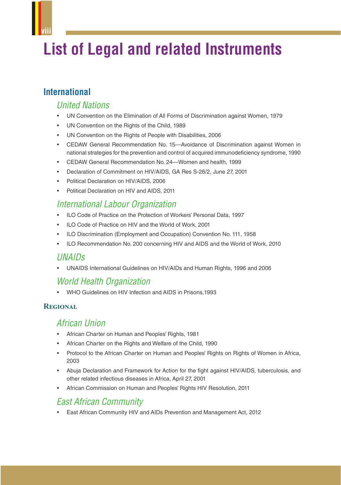# **List of Legal and related Instruments**

## **International**

**viii**

## *United Nations*

- UN Convention on the Elimination of All Forms of Discrimination against Women, 1979
- UN Convention on the Rights of the Child, 1989
- UN Convention on the Rights of People with Disabilities, 2006
- CEDAW General Recommendation No. 15—Avoidance of Discrimination against Women in national strategies for the prevention and control of acquired immunodeficiency syndrome, 1990
- CEDAW General Recommendation No. 24—Women and health, 1999
- Declaration of Commitment on HIV/AIDS, GA Res S-26/2, June 27, 2001
- Political Declaration on HIV/AIDS, 2006
- Political Declaration on HIV and AIDS, 2011

## *International Labour Organization*

- ILO Code of Practice on the Protection of Workers' Personal Data, 1997
- ILO Code of Practice on HIV and the World of Work, 2001
- ILO Discrimination (Employment and Occupation) Convention No. 111, 1958
- ILO Recommendation No. 200 concerning HIV and AIDS and the World of Work, 2010

## *UNAIDs*

• UNAIDS International Guidelines on HIV/AIDs and Human Rights, 1996 and 2006

## *World Health Organization*

• WHO Guidelines on HIV Infection and AIDS in Prisons,1993

## **Regional**

## *African Union*

- African Charter on Human and Peoples' Rights, 1981
- African Charter on the Rights and Welfare of the Child, 1990
- Protocol to the African Charter on Human and Peoples' Rights on Rights of Women in Africa, 2003
- Abuja Declaration and Framework for Action for the fight against HIV/AIDS, tuberculosis, and other related infectious diseases in Africa, April 27, 2001
- African Commission on Human and Peoples' Rights HIV Resolution, 2011

## *East African Community*

• East African Community HIV and AIDs Prevention and Management Act, 2012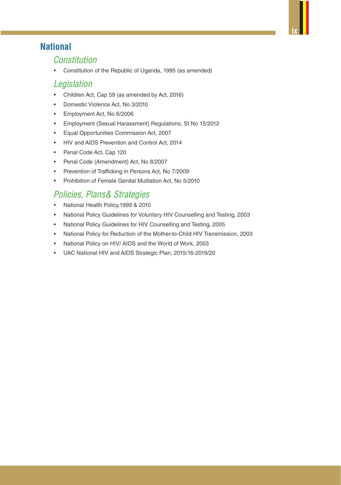## **National**

## *Constitution*

• Constitution of the Republic of Uganda, 1995 (as amended)

## *Legislation*

- Children Act, Cap 59 (as amended by Act, 2016)
- Domestic Violence Act, No 3/2010
- Employment Act, No 6/2006
- Employment (Sexual Harassment) Regulations, SI No 15/2012
- Equal Opportunities Commission Act, 2007
- HIV and AIDS Prevention and Control Act, 2014
- Penal Code Act, Cap 120
- Penal Code (Amendment) Act, No 8/2007
- Prevention of Trafficking in Persons Act, No 7/2009
- Prohibition of Female Genital Mutilation Act, No 5/2010

## *Policies, Plans& Strategies*

- National Health Policy,1999 & 2010
- National Policy Guidelines for Voluntary HIV Counselling and Testing, 2003
- National Policy Guidelines for HIV Counselling and Testing, 2005
- National Policy for Reduction of the Mother-to-Child HIV Transmission, 2003
- National Policy on HIV/ AIDS and the World of Work, 2003
- UAC National HIV and AIDS Strategic Plan, 2015/16-2019/20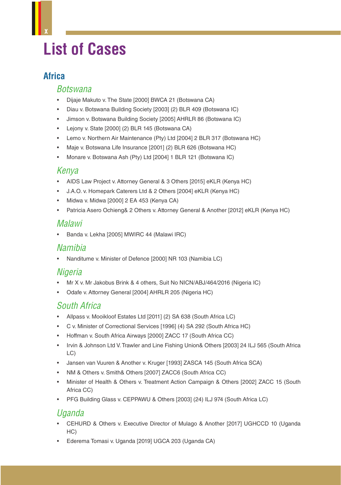# **List of Cases**

## **Africa**

**x**

## *Botswana*

- Dijaje Makuto v. The State [2000] BWCA 21 (Botswana CA)
- Diau v. Botswana Building Society [2003] (2) BLR 409 (Botswana IC)
- Jimson v. Botswana Building Society [2005] AHRLR 86 (Botswana IC)
- Lejony v. State [2000] (2) BLR 145 (Botswana CA)
- Lemo v. Northern Air Maintenance (Pty) Ltd [2004] 2 BLR 317 (Botswana HC)
- Maje v. Botswana Life Insurance [2001] (2) BLR 626 (Botswana HC)
- Monare v. Botswana Ash (Pty) Ltd [2004] 1 BLR 121 (Botswana IC)

## *Kenya*

- AIDS Law Project v. Attorney General & 3 Others [2015] eKLR (Kenya HC)
- J.A.O. v. Homepark Caterers Ltd & 2 Others [2004] eKLR (Kenya HC)
- Midwa v. Midwa [2000] 2 EA 453 (Kenya CA)
- Patricia Asero Ochieng& 2 Others v. Attorney General & Another [2012] eKLR (Kenya HC)

## *Malawi*

• Banda v. Lekha [2005] MWIRC 44 (Malawi IRC)

## *Namibia*

• Nanditume v. Minister of Defence [2000] NR 103 (Namibia LC)

## *Nigeria*

- Mr X v. Mr Jakobus Brink & 4 others, Suit No NICN/ABJ/464/2016 (Nigeria IC)
- Odafe v. Attorney General [2004] AHRLR 205 (Nigeria HC)

## *South Africa*

- Allpass v. Mooikloof Estates Ltd [2011] (2) SA 638 (South Africa LC)
- C v. Minister of Correctional Services [1996] (4) SA 292 (South Africa HC)
- Hoffman v. South Africa Airways [2000] ZACC 17 (South Africa CC)
- Irvin & Johnson Ltd V. Trawler and Line Fishing Union& Others [2003] 24 ILJ 565 (South Africa LC)
- Jansen van Vuuren & Another v. Kruger [1993] ZASCA 145 (South Africa SCA)
- NM & Others v. Smith& Others [2007] ZACC6 (South Africa CC)
- Minister of Health & Others v. Treatment Action Campaign & Others [2002] ZACC 15 (South Africa CC)
- PFG Building Glass v. CEPPAWU & Others [2003] (24) ILJ 974 (South Africa LC)

## *Uganda*

- CEHURD & Others v. Executive Director of Mulago & Another [2017] UGHCCD 10 (Uganda HC)
- Ederema Tomasi v. Uganda [2019] UGCA 203 (Uganda CA)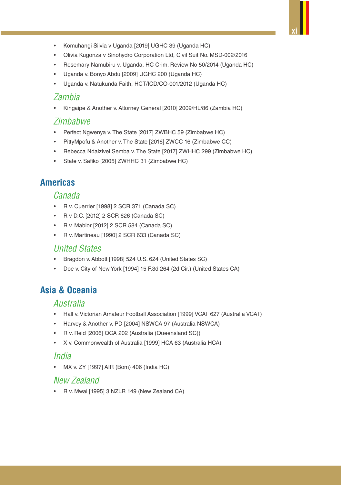- Komuhangi Silvia v Uganda [2019] UGHC 39 (Uganda HC)
- Olivia Kugonza v Sinohydro Corporation Ltd, Civil Suit No. MSD-002/2016
- Rosemary Namubiru v. Uganda, HC Crim. Review No 50/2014 (Uganda HC)

**xi**

- Uganda v. Bonyo Abdu [2009] UGHC 200 (Uganda HC)
- Uganda v. Natukunda Faith, HCT/ICD/CO-001/2012 (Uganda HC)

## *Zambia*

• Kingaipe & Another v. Attorney General [2010] 2009/HL/86 (Zambia HC)

## *Zimbabwe*

- Perfect Ngwenya v. The State [2017] ZWBHC 59 (Zimbabwe HC)
- PittyMpofu & Another v. The State [2016] ZWCC 16 (Zimbabwe CC)
- Rebecca Ndaizivei Semba v. The State [2017] ZWHHC 299 (Zimbabwe HC)
- State v. Safiko [2005] ZWHHC 31 (Zimbabwe HC)

# **Americas**

## *Canada*

- R v. Cuerrier [1998] 2 SCR 371 (Canada SC)
- R v D.C. [2012] 2 SCR 626 (Canada SC)
- R v. Mabior [2012] 2 SCR 584 (Canada SC)
- R v. Martineau [1990] 2 SCR 633 (Canada SC)

## *United States*

- Bragdon v. Abbott [1998] 524 U.S. 624 (United States SC)
- Doe v. City of New York [1994] 15 F.3d 264 (2d Cir.) (United States CA)

# **Asia & Oceania**

## *Australia*

- Hall v. Victorian Amateur Football Association [1999] VCAT 627 (Australia VCAT)
- Harvey & Another v. PD [2004] NSWCA 97 (Australia NSWCA)
- R v. Reid [2006] QCA 202 (Australia (Queensland SC))
- X v. Commonwealth of Australia [1999] HCA 63 (Australia HCA)

## *India*

• MX v. ZY [1997] AIR (Bom) 406 (India HC)

## *New Zealand*

• R v. Mwai [1995] 3 NZLR 149 (New Zealand CA)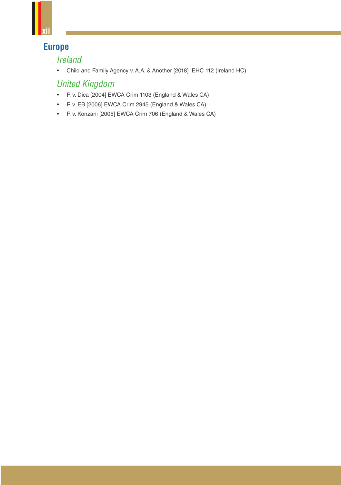# **Europe**

**xii**

## *Ireland*

• Child and Family Agency v. A.A. & Another [2018] IEHC 112 (Ireland HC)

# *United Kingdom*

- R v. Dica [2004] EWCA Crim 1103 (England & Wales CA)
- R v. EB [2006] EWCA Crim 2945 (England & Wales CA)
- R v. Konzani [2005] EWCA Crim 706 (England & Wales CA)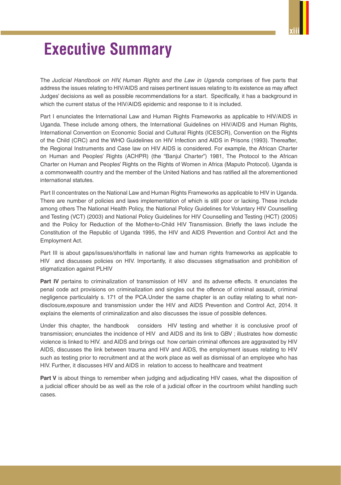

# **Executive Summary**

The *Judicial Handbook on HIV, Human Rights and the Law in Uganda* comprises of five parts that address the issues relating to HIV/AIDS and raises pertinent issues relating to its existence as may affect Judges' decisions as well as possible recommendations for a start. Specifically, it has a background in which the current status of the HIV/AIDS epidemic and response to it is included.

Part I enunciates the International Law and Human Rights Frameworks as applicable to HIV/AIDS in Uganda. These include among others, the International Guidelines on HIV/AIDS and Human Rights, International Convention on Economic Social and Cultural Rights (ICESCR), Convention on the Rights of the Child (CRC) and the WHO Guidelines on HIV Infection and AIDS in Prisons (1993). Thereafter, the Regional Instruments and Case law on HIV AIDS is considered. For example, the African Charter on Human and Peoples' Rights (ACHPR) (the "Banjul Charter") 1981, The Protocol to the African Charter on Human and Peoples' Rights on the Rights of Women in Africa (Maputo Protocol). Uganda is a commonwealth country and the member of the United Nations and has ratified all the aforementioned international statutes.

Part II concentrates on the National Law and Human Rights Frameworks as applicable to HIV in Uganda. There are number of policies and laws implementation of which is still poor or lacking. These include among others The National Health Policy, the National Policy Guidelines for Voluntary HIV Counselling and Testing (VCT) (2003) and National Policy Guidelines for HIV Counselling and Testing (HCT) (2005) and the Policy for Reduction of the Mother-to-Child HIV Transmission. Briefly the laws include the Constitution of the Republic of Uganda 1995, the HIV and AIDS Prevention and Control Act and the Employment Act.

Part III is about gaps/issues/shortfalls in national law and human rights frameworks as applicable to HIV and discusses policies on HIV. Importantly, it also discusses stigmatisation and prohibition of stigmatization against PLHIV

**Part IV** pertains to criminalization of transmission of HIV and its adverse effects. It enunciates the penal code act provisions on criminalization and singles out the offence of criminal assault, criminal negligence particulalrly s. 171 of the PCA.Under the same chapter is an outlay relating to what nondisclosure,exposure and transmission under the HIV and AIDS Prevention and Control Act, 2014. It explains the elements of criminalization and also discusses the issue of possible defences.

Under this chapter, the handbook considers HIV testing and whether it is conclusive proof of transmission; enunciates the incidence of HIV and AIDS and its link to GBV ; illustrates how domestic violence is linked to HIV. and AIDS and brings out how certain criminal offences are aggravated by HIV AIDS, discusses the link between trauma and HIV and AIDS, the employment issues relating to HIV such as testing prior to recruitment and at the work place as well as dismissal of an employee who has HIV. Further, it discusses HIV and AIDS in relation to access to healthcare and treatment

**Part V** is about things to remember when judging and adjudicating HIV cases, what the disposition of a judicial officer should be as well as the role of a judicial offcer in the courtroom whilst handling such cases.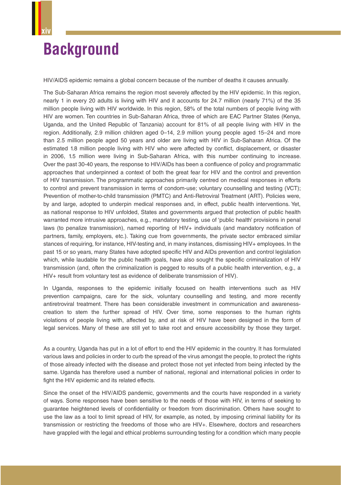# **Background**

HIV/AIDS epidemic remains a global concern because of the number of deaths it causes annually.

The Sub-Saharan Africa remains the region most severely affected by the HIV epidemic. In this region, nearly 1 in every 20 adults is living with HIV and it accounts for 24.7 million (nearly 71%) of the 35 million people living with HIV worldwide. In this region, 58% of the total numbers of people living with HIV are women. Ten countries in Sub-Saharan Africa, three of which are EAC Partner States (Kenya, Uganda, and the United Republic of Tanzania) account for 81% of all people living with HIV in the region. Additionally, 2.9 million children aged 0–14, 2.9 million young people aged 15–24 and more than 2.5 million people aged 50 years and older are living with HIV in Sub-Saharan Africa. Of the estimated 1.8 million people living with HIV who were affected by conflict, displacement, or disaster in 2006, 1.5 million were living in Sub-Saharan Africa, with this number continuing to increase. Over the past 30-40 years, the response to HIV/AIDs has been a confluence of policy and programmatic approaches that underpinned a context of both the great fear for HIV and the control and prevention of HIV transmission. The programmatic approaches primarily centred on medical responses in efforts to control and prevent transmission in terms of condom-use; voluntary counselling and testing (VCT); Prevention of mother-to-child transmission (PMTC) and Anti-Retroviral Treatment (ART). Policies were, by and large, adopted to underpin medical responses and, in effect, public health interventions. Yet, as national response to HIV unfolded, States and governments argued that protection of public health warranted more intrusive approaches, e.g., mandatory testing, use of 'public health' provisions in penal laws (to penalize transmission), named reporting of HIV+ individuals (and mandatory notification of partners, family, employers, etc.). Taking cue from governments, the private sector embraced similar stances of requiring, for instance, HIV-testing and, in many instances, dismissing HIV+ employees. In the past 15 or so years, many States have adopted specific HIV and AIDs prevention and control legislation which, while laudable for the public health goals, have also sought the specific criminalization of HIV transmission (and, often the criminalization is pegged to results of a public health intervention, e.g., a HIV+ result from voluntary test as evidence of deliberate transmission of HIV).

In Uganda, responses to the epidemic initially focused on health interventions such as HIV prevention campaigns, care for the sick, voluntary counselling and testing, and more recently antiretroviral treatment. There has been considerable investment in communication and awarenesscreation to stem the further spread of HIV. Over time, some responses to the human rights violations of people living with, affected by, and at risk of HIV have been designed in the form of legal services. Many of these are still yet to take root and ensure accessibility by those they target.

As a country, Uganda has put in a lot of effort to end the HIV epidemic in the country. It has formulated various laws and policies in order to curb the spread of the virus amongst the people, to protect the rights of those already infected with the disease and protect those not yet infected from being infected by the same. Uganda has therefore used a number of national, regional and international policies in order to fight the HIV epidemic and its related effects.

Since the onset of the HIV/AIDS pandemic, governments and the courts have responded in a variety of ways. Some responses have been sensitive to the needs of those with HIV, in terms of seeking to guarantee heightened levels of confidentiality or freedom from discrimination. Others have sought to use the law as a tool to limit spread of HIV, for example, as noted, by imposing criminal liability for its transmission or restricting the freedoms of those who are HIV+. Elsewhere, doctors and researchers have grappled with the legal and ethical problems surrounding testing for a condition which many people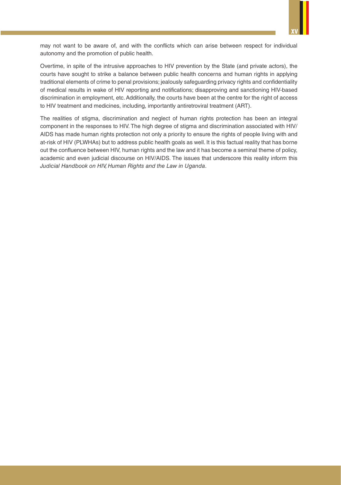

may not want to be aware of, and with the conflicts which can arise between respect for individual autonomy and the promotion of public health.

Overtime, in spite of the intrusive approaches to HIV prevention by the State (and private actors), the courts have sought to strike a balance between public health concerns and human rights in applying traditional elements of crime to penal provisions; jealously safeguarding privacy rights and confidentiality of medical results in wake of HIV reporting and notifications; disapproving and sanctioning HIV-based discrimination in employment, etc. Additionally, the courts have been at the centre for the right of access to HIV treatment and medicines, including, importantly antiretroviral treatment (ART).

The realities of stigma, discrimination and neglect of human rights protection has been an integral component in the responses to HIV. The high degree of stigma and discrimination associated with HIV/ AIDS has made human rights protection not only a priority to ensure the rights of people living with and at-risk of HIV (PLWHAs) but to address public health goals as well. It is this factual reality that has borne out the confluence between HIV, human rights and the law and it has become a seminal theme of policy, academic and even judicial discourse on HIV/AIDS. The issues that underscore this reality inform this *Judicial Handbook on HIV, Human Rights and the Law in Uganda*.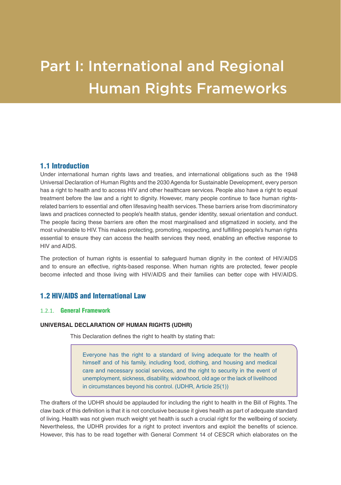# Part I: International and Regional Human Rights Frameworks

### 1.1 Introduction

Under international human rights laws and treaties, and international obligations such as the 1948 Universal Declaration of Human Rights and the 2030 Agenda for Sustainable Development, every person has a right to health and to access HIV and other healthcare services. People also have a right to equal treatment before the law and a right to dignity. However, many people continue to face human rightsrelated barriers to essential and often lifesaving health services. These barriers arise from discriminatory laws and practices connected to people's health status, gender identity, sexual orientation and conduct. The people facing these barriers are often the most marginalised and stigmatized in society, and the most vulnerable to HIV. This makes protecting, promoting, respecting, and fulfilling people's human rights essential to ensure they can access the health services they need, enabling an effective response to HIV and AIDS.

The protection of human rights is essential to safeguard human dignity in the context of HIV/AIDS and to ensure an effective, rights-based response. When human rights are protected, fewer people become infected and those living with HIV/AIDS and their families can better cope with HIV/AIDS.

### 1.2 HIV/AIDS and International Law

#### 1.2.1. General Framework

#### **UNIVERSAL DECLARATION OF HUMAN RIGHTS (UDHR)**

This Declaration defines the right to health by stating that**:**

Everyone has the right to a standard of living adequate for the health of himself and of his family, including food, clothing, and housing and medical care and necessary social services, and the right to security in the event of unemployment, sickness, disability, widowhood, old age or the lack of livelihood in circumstances beyond his control. (UDHR, Article 25(1))

The drafters of the UDHR should be applauded for including the right to health in the Bill of Rights. The claw back of this definition is that it is not conclusive because it gives health as part of adequate standard of living. Health was not given much weight yet health is such a crucial right for the wellbeing of society. Nevertheless, the UDHR provides for a right to protect inventors and exploit the benefits of science. However, this has to be read together with General Comment 14 of CESCR which elaborates on the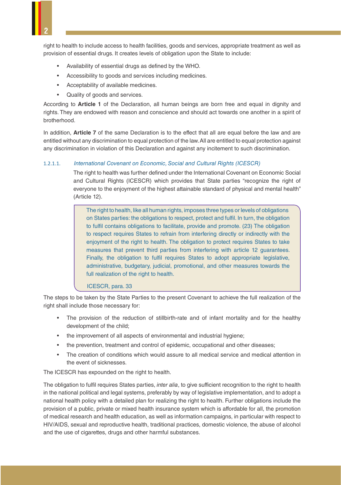right to health to include access to health facilities, goods and services, appropriate treatment as well as provision of essential drugs. It creates levels of obligation upon the State to include:

- Availability of essential drugs as defined by the WHO.
- Accessibility to goods and services including medicines.
- Acceptability of available medicines.
- Quality of goods and services.

According to **Article 1** of the Declaration, all human beings are born free and equal in dignity and rights. They are endowed with reason and conscience and should act towards one another in a spirit of brotherhood.

In addition, **Article 7** of the same Declaration is to the effect that all are equal before the law and are entitled without any discrimination to equal protection of the law. All are entitled to equal protection against any discrimination in violation of this Declaration and against any incitement to such discrimination.

#### 1.2.1.1. *International Covenant on Economic, Social and Cultural Rights (ICESCR)*

The right to health was further defined under the International Covenant on Economic Social and Cultural Rights (ICESCR) which provides that State parties "recognize the right of everyone to the enjoyment of the highest attainable standard of physical and mental health" (Article 12).

The right to health, like all human rights, imposes three types or levels of obligations on States parties: the obligations to respect, protect and fulfil. In turn, the obligation to fulfil contains obligations to facilitate, provide and promote. (23) The obligation to respect requires States to refrain from interfering directly or indirectly with the enjoyment of the right to health. The obligation to protect requires States to take measures that prevent third parties from interfering with article 12 guarantees. Finally, the obligation to fulfil requires States to adopt appropriate legislative, administrative, budgetary, judicial, promotional, and other measures towards the full realization of the right to health.

#### ICESCR, para. 33

The steps to be taken by the State Parties to the present Covenant to achieve the full realization of the right shall include those necessary for:

- The provision of the reduction of stillbirth-rate and of infant mortality and for the healthy development of the child;
- the improvement of all aspects of environmental and industrial hygiene;
- the prevention, treatment and control of epidemic, occupational and other diseases;
- The creation of conditions which would assure to all medical service and medical attention in the event of sicknesses.

The ICESCR has expounded on the right to health.

The obligation to fulfil requires States parties, *inter alia*, to give sufficient recognition to the right to health in the national political and legal systems, preferably by way of legislative implementation, and to adopt a national health policy with a detailed plan for realizing the right to health. Further obligations include the provision of a public, private or mixed health insurance system which is affordable for all, the promotion of medical research and health education, as well as information campaigns, in particular with respect to HIV/AIDS, sexual and reproductive health, traditional practices, domestic violence, the abuse of alcohol and the use of cigarettes, drugs and other harmful substances.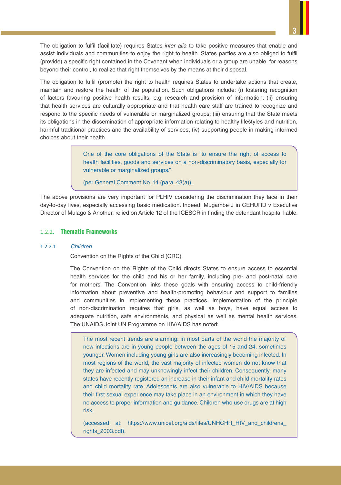The obligation to fulfil (facilitate) requires States *inter alia* to take positive measures that enable and assist individuals and communities to enjoy the right to health. States parties are also obliged to fulfil (provide) a specific right contained in the Covenant when individuals or a group are unable, for reasons beyond their control, to realize that right themselves by the means at their disposal.

The obligation to fulfil (promote) the right to health requires States to undertake actions that create, maintain and restore the health of the population. Such obligations include: (i) fostering recognition of factors favouring positive health results, e.g. research and provision of information; (ii) ensuring that health services are culturally appropriate and that health care staff are trained to recognize and respond to the specific needs of vulnerable or marginalized groups; (iii) ensuring that the State meets its obligations in the dissemination of appropriate information relating to healthy lifestyles and nutrition, harmful traditional practices and the availability of services; (iv) supporting people in making informed choices about their health.

> One of the core obligations of the State is "to ensure the right of access to health facilities, goods and services on a non-discriminatory basis, especially for vulnerable or marginalized groups."

(per General Comment No. 14 (para. 43(a)).

The above provisions are very important for PLHIV considering the discrimination they face in their day-to-day lives, especially accessing basic medication. Indeed, Mugambe J in CEHURD v Executive Director of Mulago & Another, relied on Article 12 of the ICESCR in finding the defendant hospital liable.

#### 1.2.2. Thematic Frameworks

#### 1.2.2.1. *Children*

Convention on the Rights of the Child (CRC)

The Convention on the Rights of the Child directs States to ensure access to essential health services for the child and his or her family, including pre- and post-natal care for mothers. The Convention links these goals with ensuring access to child-friendly information about preventive and health-promoting behaviour and support to families and communities in implementing these practices. Implementation of the principle of non-discrimination requires that girls, as well as boys, have equal access to adequate nutrition, safe environments, and physical as well as mental health services. The UNAIDS Joint UN Programme on HIV/AIDS has noted:

The most recent trends are alarming: in most parts of the world the majority of new infections are in young people between the ages of 15 and 24, sometimes younger. Women including young girls are also increasingly becoming infected. In most regions of the world, the vast majority of infected women do not know that they are infected and may unknowingly infect their children. Consequently, many states have recently registered an increase in their infant and child mortality rates and child mortality rate. Adolescents are also vulnerable to HIV/AIDS because their first sexual experience may take place in an environment in which they have no access to proper information and guidance. Children who use drugs are at high risk.

(accessed at: https://www.unicef.org/aids/files/UNHCHR\_HIV\_and\_childrens\_ rights\_2003.pdf).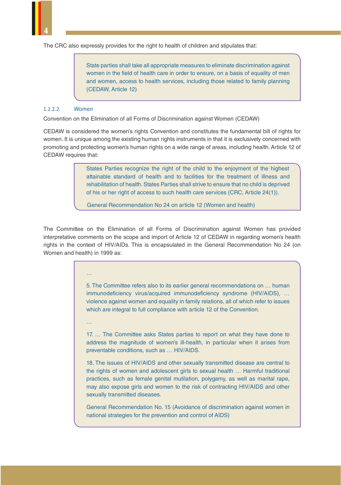The CRC also expressly provides for the right to health of children and stipulates that:

State parties shall take all appropriate measures to eliminate discrimination against women in the field of health care in order to ensure, on a basis of equality of men and women, access to health services, including those related to family planning (CEDAW, Article 12)

#### 1.2.2.2. *Women*

**4**

Convention on the Elimination of all Forms of Discrimination against Women (CEDAW)

CEDAW is considered the women's rights Convention and constitutes the fundamental bill of rights for women. It is unique among the existing human rights instruments in that it is exclusively concerned with promoting and protecting women's human rights on a wide range of areas, including health. Article 12 of CEDAW requires that:

> States Parties recognize the right of the child to the enjoyment of the highest attainable standard of health and to facilities for the treatment of illness and rehabilitation of health. States Parties shall strive to ensure that no child is deprived of his or her right of access to such health care services (CRC, Article 24(1)).

General Recommendation No 24 on article 12 (Women and health)

The Committee on the Elimination of all Forms of Discrimination against Women has provided interpretative comments on the scope and import of Article 12 of CEDAW in regarding women's health rights in the context of HIV/AIDs. This is encapsulated in the General Recommendation No 24 (on Women and health) in 1999 as:

#### …

5. The Committee refers also to its earlier general recommendations on … human immunodeficiency virus/acquired immunodeficiency syndrome (HIV/AIDS), … violence against women and equality in family relations, all of which refer to issues which are integral to full compliance with article 12 of the Convention.

…

17. … The Committee asks States parties to report on what they have done to address the magnitude of women's ill-health, in particular when it arises from preventable conditions, such as … HIV/AIDS.

18. The issues of HIV/AIDS and other sexually transmitted disease are central to the rights of women and adolescent girls to sexual health … Harmful traditional practices, such as female genital mutilation, polygamy, as well as marital rape, may also expose girls and women to the risk of contracting HIV/AIDS and other sexually transmitted diseases.

General Recommendation No. 15 (Avoidance of discrimination against women in national strategies for the prevention and control of AIDS)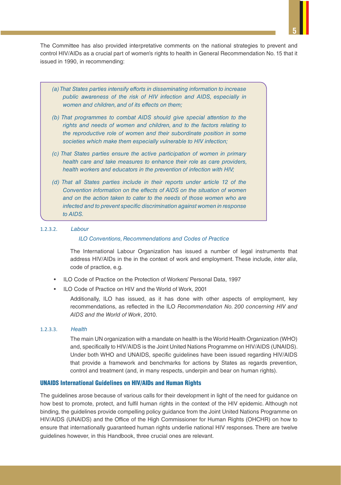The Committee has also provided interpretative comments on the national strategies to prevent and control HIV/AIDs as a crucial part of women's rights to health in General Recommendation No. 15 that it issued in 1990, in recommending:

**5**

- *(a) That States parties intensify efforts in disseminating information to increase public awareness of the risk of HIV infection and AIDS, especially in women and children, and of its effects on them;*
- *(b) That programmes to combat AIDS should give special attention to the rights and needs of women and children, and to the factors relating to the reproductive role of women and their subordinate position in some societies which make them especially vulnerable to HIV infection;*
- *(c) That States parties ensure the active participation of women in primary health care and take measures to enhance their role as care providers, health workers and educators in the prevention of infection with HIV;*
- *(d) That all States parties include in their reports under article 12 of the Convention information on the effects of AlDS on the situation of women and on the action taken to cater to the needs of those women who are infected and to prevent specific discrimination against women in response to AIDS.*

#### 1.2.3.2. *Labour*

#### *ILO Conventions, Recommendations and Codes of Practice*

The International Labour Organization has issued a number of legal instruments that address HIV/AIDs in the in the context of work and employment. These include, *inter alia*, code of practice, e.g.

- ILO Code of Practice on the Protection of Workers' Personal Data, 1997
- ILO Code of Practice on HIV and the World of Work, 2001

Additionally, ILO has issued, as it has done with other aspects of employment, key recommendations, as reflected in the ILO *Recommendation No. 200 concerning HIV and AIDS and the World of Work*, 2010.

#### 1.2.3.3. *Health*

The main UN organization with a mandate on health is the World Health Organization (WHO) and, specifically to HIV/AIDS is the Joint United Nations Programme on HIV/AIDS (UNAIDS). Under both WHO and UNAIDS, specific guidelines have been issued regarding HIV/AIDS that provide a framework and benchmarks for actions by States as regards prevention, control and treatment (and, in many respects, underpin and bear on human rights).

#### UNAIDS International Guidelines on HIV/AIDs and Human Rights

The guidelines arose because of various calls for their development in light of the need for guidance on how best to promote, protect, and fulfil human rights in the context of the HIV epidemic. Although not binding, the guidelines provide compelling policy guidance from the Joint United Nations Programme on HIV/AIDS (UNAIDS) and the Office of the High Commissioner for Human Rights (OHCHR) on how to ensure that internationally guaranteed human rights underlie national HIV responses. There are twelve guidelines however, in this Handbook, three crucial ones are relevant.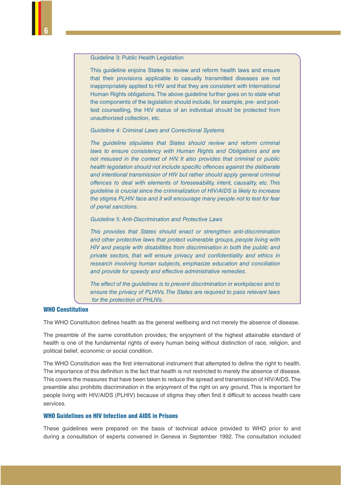#### Guideline 3: Public Health Legislation

This guideline enjoins States to review and reform health laws and ensure that their provisions applicable to casually transmitted diseases are not inappropriately applied to HIV and that they are consistent with International Human Rights obligations. The above guideline further goes on to state what the components of the legislation should include, for example, pre- and posttest counselling, the HIV status of an individual should be protected from unauthorized collection, etc.

*Guideline 4: Criminal Laws and Correctional Systems*

*The guideline stipulates that States should review and reform criminal laws to ensure consistency with Human Rights and Obligations and are not misused in the context of HIV. It also provides that criminal or public health legislation should not include specific offences against the deliberate and intentional transmission of HIV but rather should apply general criminal offences to deal with elements of foreseeability, intent, causality, etc. This guideline is crucial since the criminalization of HIV/AIDS is likely to increase the stigma PLHIV face and it will encourage many people not to test for fear of penal sanctions.*

*Guideline 5: Anti-Discrimination and Protective Laws*

*This provides that States should enact or strengthen anti-discrimination and other protective laws that protect vulnerable groups, people living with HIV and people with disabilities from discrimination in both the public and private sectors, that will ensure privacy and confidentiality and ethics in research involving human subjects, emphasize education and conciliation and provide for speedy and effective administrative remedies.*

*The effect of the guidelines is to prevent discrimination in workplaces and to ensure the privacy of PLHIVs. The States are required to pass relevant laws for the protection of PHLIVs.*

#### WHO Constitution

The WHO Constitution defines health as the general wellbeing and not merely the absence of disease.

The preamble of the same constitution provides; the enjoyment of the highest attainable standard of health is one of the fundamental rights of every human being without distinction of race, religion, and political belief, economic or social condition.

The WHO Constitution was the first international instrument that attempted to define the right to health. The importance of this definition is the fact that health is not restricted to merely the absence of disease. This covers the measures that have been taken to reduce the spread and transmission of HIV/AIDS. The preamble also prohibits discrimination in the enjoyment of the right on any ground. This is important for people living with HIV/AIDS (PLHIV) because of stigma they often find it difficult to access health care services.

#### WHO Guidelines on HIV Infection and AIDS in Prisons

These guidelines were prepared on the basis of technical advice provided to WHO prior to and during a consultation of experts convened in Geneva in September 1992. The consultation included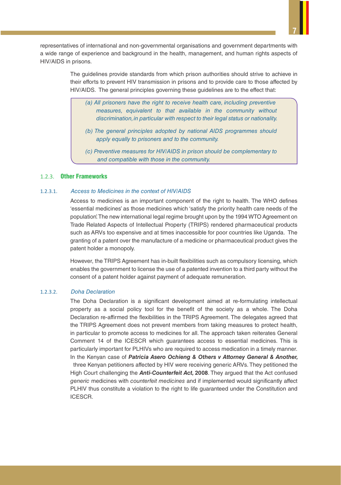representatives of international and non-governmental organisations and government departments with a wide range of experience and background in the health, management, and human rights aspects of HIV/AIDS in prisons.

> The guidelines provide standards from which prison authorities should strive to achieve in their efforts to prevent HIV transmission in prisons and to provide care to those affected by HIV/AIDS. The general principles governing these guidelines are to the effect that:

- *(a) All prisoners have the right to receive health care, including preventive measures, equivalent to that available in the community without discrimination, in particular with respect to their legal status or nationality.*
- *(b) The general principles adopted by national AIDS programmes should apply equally to prisoners and to the community.*
- *(c) Preventive measures for HIV/AIDS in prison should be complementary to and compatible with those in the community.*

#### 1.2.3. Other Frameworks

#### 1.2.3.1. *Access to Medicines in the context of HIV/AIDS*

Access to medicines is an important component of the right to health. The WHO defines 'essential medicines' as those medicines which 'satisfy the priority health care needs of the population'. The new international legal regime brought upon by the 1994 WTO Agreement on Trade Related Aspects of Intellectual Property (TRIPS) rendered pharmaceutical products such as ARVs too expensive and at times inaccessible for poor countries like Uganda. The granting of a patent over the manufacture of a medicine or pharmaceutical product gives the patent holder a monopoly.

However, the TRIPS Agreement has in-built flexibilities such as compulsory licensing, which enables the government to license the use of a patented invention to a third party without the consent of a patent holder against payment of adequate remuneration.

#### 1.2.3.2. *Doha Declaration*

The Doha Declaration is a significant development aimed at re-formulating intellectual property as a social policy tool for the benefit of the society as a whole. The Doha Declaration re-affirmed the flexibilities in the TRIPS Agreement. The delegates agreed that the TRIPS Agreement does not prevent members from taking measures to protect health, in particular to promote access to medicines for all. The approach taken reiterates General Comment 14 of the ICESCR which guarantees access to essential medicines. This is particularly important for PLHIVs who are required to access medication in a timely manner. In the Kenyan case of *Patricia Asero Ochieng & Others v Attorney General & Another,* three Kenyan petitioners affected by HIV were receiving generic ARVs. They petitioned the High Court challenging the *Anti-Counterfeit Act,* **2008**. They argued that the Act confused *generic* medicines with *counterfeit medicines* and if implemented would significantly affect PLHIV thus constitute a violation to the right to life guaranteed under the Constitution and ICESCR.

**7**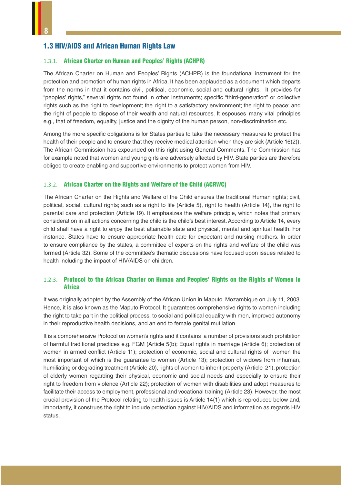### 1.3 HIV/AIDS and African Human Rights Law

#### 1.3.1. African Charter on Human and Peoples' Rights (ACHPR)

The African Charter on Human and Peoples' Rights (ACHPR) is the foundational instrument for the protection and promotion of human rights in Africa. It has been applauded as a document which departs from the norms in that it contains civil, political, economic, social and cultural rights. It provides for "peoples' rights," several rights not found in other instruments; specific "third-generation" or collective rights such as the right to development; the right to a satisfactory environment; the right to peace; and the right of people to dispose of their wealth and natural resources. It espouses many vital principles e.g., that of freedom, equality, justice and the dignity of the human person, non-discrimination etc.

Among the more specific obligations is for States parties to take the necessary measures to protect the health of their people and to ensure that they receive medical attention when they are sick (Article 16(2)). The African Commission has expounded on this right using General Comments. The Commission has for example noted that women and young girls are adversely affected by HIV. State parties are therefore obliged to create enabling and supportive environments to protect women from HIV.

#### 1.3.2. African Charter on the Rights and Welfare of the Child (ACRWC)

The African Charter on the Rights and Welfare of the Child ensures the traditional Human rights; civil, political, social, cultural rights; such as a right to life (Article 5), right to health (Article 14), the right to parental care and protection (Article 19). It emphasizes the welfare principle, which notes that primary consideration in all actions concerning the child is the child's best interest. According to Article 14, every child shall have a right to enjoy the best attainable state and physical, mental and spiritual health. For instance, States have to ensure appropriate health care for expectant and nursing mothers. In order to ensure compliance by the states, a committee of experts on the rights and welfare of the child was formed (Article 32). Some of the committee's thematic discussions have focused upon issues related to health including the impact of HIV/AIDS on children.

#### 1.2.3. Protocol to the African Charter on Human and Peoples' Rights on the Rights of Women in **Africa**

It was originally adopted by the Assembly of the African Union in Maputo, Mozambique on July 11, 2003. Hence, it is also known as the Maputo Protocol. It guarantees comprehensive rights to women including the right to take part in the political process, to social and political equality with men, improved autonomy in their reproductive health decisions, and an end to female genital mutilation.

It is a comprehensive Protocol on women's rights and it contains a number of provisions such prohibition of harmful traditional practices e.g. FGM (Article 5(b); Equal rights in marriage (Article 6); protection of women in armed conflict (Article 11); protection of economic, social and cultural rights of women the most important of which is the guarantee to women (Article 13); protection of widows from inhuman, humiliating or degrading treatment (Article 20); rights of women to inherit property (Article 21); protection of elderly women regarding their physical, economic and social needs and especially to ensure their right to freedom from violence (Article 22); protection of women with disabilities and adopt measures to facilitate their access to employment, professional and vocational training (Article 23). However, the most crucial provision of the Protocol relating to health issues is Article 14(1) which is reproduced below and, importantly, it construes the right to include protection against HIV/AIDS and information as regards HIV status.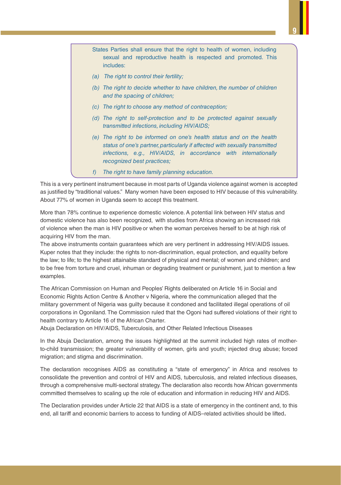States Parties shall ensure that the right to health of women, including sexual and reproductive health is respected and promoted. This includes:

**9**

- *(a) The right to control their fertility;*
- *(b) The right to decide whether to have children, the number of children and the spacing of children;*
- *(c) The right to choose any method of contraception;*
- *(d) The right to self-protection and to be protected against sexually transmitted infections, including HIV/AIDS;*
- *(e) The right to be informed on one's health status and on the health status of one's partner, particularly if affected with sexually transmitted infections, e.g., HIV/AIDS, in accordance with internationally recognized best practices;*
- *f) The right to have family planning education.*

This is a very pertinent instrument because in most parts of Uganda violence against women is accepted as justified by "traditional values." Many women have been exposed to HIV because of this vulnerability. About 77% of women in Uganda seem to accept this treatment.

More than 78% continue to experience domestic violence. A potential link between HIV status and domestic violence has also been recognized, with studies from Africa showing an increased risk of violence when the man is HIV positive or when the woman perceives herself to be at high risk of acquiring HIV from the man.

The above instruments contain guarantees which are very pertinent in addressing HIV/AIDS issues. Kuper notes that they include: the rights to non-discrimination, equal protection, and equality before the law; to life; to the highest attainable standard of physical and mental; of women and children; and to be free from torture and cruel, inhuman or degrading treatment or punishment, just to mention a few examples.

The African Commission on Human and Peoples' Rights deliberated on Article 16 in Social and Economic Rights Action Centre & Another v Nigeria, where the communication alleged that the military government of Nigeria was guilty because it condoned and facilitated illegal operations of oil corporations in Ogoniland. The Commission ruled that the Ogoni had suffered violations of their right to health contrary to Article 16 of the African Charter.

Abuja Declaration on HIV/AIDS, Tuberculosis, and Other Related Infectious Diseases

In the Abuja Declaration, among the issues highlighted at the summit included high rates of motherto-child transmission; the greater vulnerability of women, girls and youth; injected drug abuse; forced migration; and stigma and discrimination.

The declaration recognises AIDS as constituting a "state of emergency" in Africa and resolves to consolidate the prevention and control of HIV and AIDS, tuberculosis, and related infectious diseases, through a comprehensive multi-sectoral strategy. The declaration also records how African governments committed themselves to scaling up the role of education and information in reducing HIV and AIDS.

The Declaration provides under Article 22 that AIDS is a state of emergency in the continent and, to this end, all tariff and economic barriers to access to funding of AIDS–related activities should be lifted.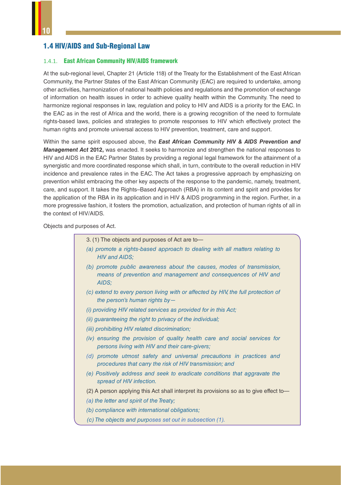### 1.4 HIV/AIDS and Sub-Regional Law

#### 1.4.1. East African Community HIV/AIDS framework

At the sub-regional level, Chapter 21 (Article 118) of the Treaty for the Establishment of the East African Community, the Partner States of the East African Community (EAC) are required to undertake, among other activities, harmonization of national health policies and regulations and the promotion of exchange of information on health issues in order to achieve quality health within the Community. The need to harmonize regional responses in law, regulation and policy to HIV and AIDS is a priority for the EAC. In the EAC as in the rest of Africa and the world, there is a growing recognition of the need to formulate rights-based laws, policies and strategies to promote responses to HIV which effectively protect the human rights and promote universal access to HIV prevention, treatment, care and support.

Within the same spirit espoused above, the *East African Community HIV & AIDS Prevention and Management Act* **2012,** was enacted. It seeks to harmonize and strengthen the national responses to HIV and AIDS in the EAC Partner States by providing a regional legal framework for the attainment of a synergistic and more coordinated response which shall, in turn, contribute to the overall reduction in HIV incidence and prevalence rates in the EAC. The Act takes a progressive approach by emphasizing on prevention whilst embracing the other key aspects of the response to the pandemic, namely, treatment, care, and support. It takes the Rights–Based Approach (RBA) in its content and spirit and provides for the application of the RBA in its application and in HIV & AIDS programming in the region. Further, in a more progressive fashion, it fosters the promotion, actualization, and protection of human rights of all in the context of HIV/AIDS.

Objects and purposes of Act.

- 3. (1) The objects and purposes of Act are to—
- *(a) promote a rights-based approach to dealing with all matters relating to HIV and AIDS;*
- *(b) promote public awareness about the causes, modes of transmission, means of prevention and management and consequences of HIV and AIDS;*
- *(c) extend to every person living with or affected by HIV, the full protection of the person's human rights by—*
- *(i) providing HIV related services as provided for in this Act;*
- *(ii) guaranteeing the right to privacy of the individual;*
- *(iii) prohibiting HIV related discrimination;*
- *(iv) ensuring the provision of quality health care and social services for persons living with HIV and their care-givers;*
- *(d) promote utmost safety and universal precautions in practices and procedures that carry the risk of HIV transmission; and*
- *(e) Positively address and seek to eradicate conditions that aggravate the spread of HIV infection.*
- (2) A person applying this Act shall interpret its provisions so as to give effect to—
- *(a) the letter and spirit of the Treaty;*
- *(b) compliance with international obligations;*
- *(c) The objects and purposes set out in subsection (1).*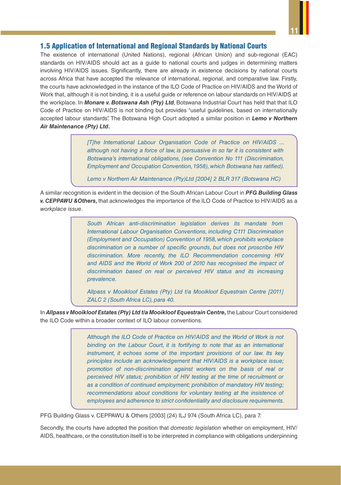### 1.5 Application of International and Regional Standards by National Courts

The existence of international (United Nations), regional (African Union) and sub-regional (EAC) standards on HIV/AIDS should act as a guide to national courts and judges in determining matters involving HIV/AIDS issues. Significantly, there are already in existence decisions by national courts across Africa that have accepted the relevance of international, regional, and comparative law. Firstly, the courts have acknowledged in the instance of the ILO Code of Practice on HIV/AIDS and the World of Work that, although it is not binding, it is a useful guide or reference on labour standards on HIV/AIDS at the workplace. In *Monare v. Botswana Ash (Pty) Ltd,* Botswana Industrial Court has held that that ILO Code of Practice on HIV/AIDS is not binding but provides "useful guidelines, based on internationally accepted labour standards". The Botswana High Court adopted a similar position in *Lemo v Northern Air Maintenance (Pty) Ltd***.**

> *[T]he International Labour Organisation Code of Practice on HIV/AIDS ... although not having a force of law, is persuasive in so far it is consistent with Botswana's international obligations, (see Convention No 111 (Discrimination, Employment and Occupation Convention, 1958), which Botswana has ratified).*

**11**

*Lemo v Northern Air Maintenance (Pty)Ltd [2004] 2 BLR 317 (Botswana HC)*

A similar recognition is evident in the decision of the South African Labour Court in *PFG Building Glass v. CEPPAWU &Others***,** that acknowledges the importance of the ILO Code of Practice to HIV/AIDS as a *workplace issue*.

> *South African anti-discrimination legislation derives its mandate from International Labour Organisation Conventions, including C111 Discrimination (Employment and Occupation) Convention of 1958, which prohibits workplace discrimination on a number of specific grounds, but does not proscribe HIV discrimination. More recently, the ILO Recommendation concerning HIV and AIDS and the World of Work 200 of 2010 has recognised the impact of discrimination based on real or perceived HIV status and its increasing prevalence.*

> *Allpass v Mooikloof Estates (Pty) Ltd t/a Mooikloof Equestrain Centre [2011] ZALC 2 (South Africa LC), para 40.*

In *Allpass v Mooikloof Estates (Pty) Ltd t/a Mooikloof Equestrain Centre,* the Labour Court considered the ILO Code within a broader context of ILO labour conventions.

> *Although the ILO Code of Practice on HIV/AIDS and the World of Work is not binding on the Labour Court, it is fortifying to note that as an international instrument, it echoes some of the important provisions of our law. Its key principles include an acknowledgement that HIV/AIDS is a workplace issue; promotion of non-discrimination against workers on the basis of real or perceived HIV status; prohibition of HIV testing at the time of recruitment or as a condition of continued employment; prohibition of mandatory HIV testing; recommendations about conditions for voluntary testing at the insistence of employees and adherence to strict confidentiality and disclosure requirements.*

PFG Building Glass v. CEPPAWU & Others [2003] (24) ILJ 974 (South Africa LC), para 7.

Secondly, the courts have adopted the position that *domestic legislation* whether on employment, HIV/ AIDS, healthcare, or the constitution itself is to be interpreted in compliance with obligations underpinning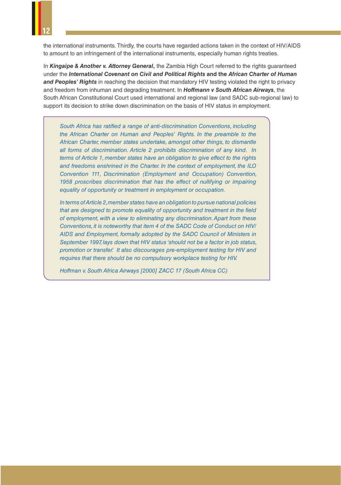the international instruments. Thirdly, the courts have regarded actions taken in the context of HIV/AIDS to amount to an infringement of the international instruments, especially human rights treaties.

In *Kingaipe & Another v. Attorney General***,** the Zambia High Court referred to the rights guaranteed under the *International Covenant on Civil and Political Rights* **and the** *African Charter of Human*  and Peoples' Rights in reaching the decision that mandatory HIV testing violated the right to privacy and freedom from inhuman and degrading treatment. In *Hoffmann v South African Airways*, the South African Constitutional Court used international and regional law (and SADC sub-regional law) to support its decision to strike down discrimination on the basis of HIV status in employment.

*South Africa has ratified a range of anti-discrimination Conventions, including the African Charter on Human and Peoples' Rights. In the preamble to the African Charter, member states undertake, amongst other things, to dismantle all forms of discrimination. Article 2 prohibits discrimination of any kind. In terms of Article 1, member states have an obligation to give effect to the rights and freedoms enshrined in the Charter. In the context of employment, the ILO Convention 111, Discrimination (Employment and Occupation) Convention, 1958 proscribes discrimination that has the effect of nullifying or impairing equality of opportunity or treatment in employment or occupation.* 

*In terms of Article 2, member states have an obligation to pursue national policies that are designed to promote equality of opportunity and treatment in the field of employment, with a view to eliminating any discrimination. Apart from these Conventions, it is noteworthy that item 4 of the SADC Code of Conduct on HIV/ AIDS and Employment, formally adopted by the SADC Council of Ministers in September 1997, lays down that HIV status 'should not be a factor in job status, promotion or transfer.' It also discourages pre-employment testing for HIV and requires that there should be no compulsory workplace testing for HIV.* 

*Hoffman v. South Africa Airways [2000] ZACC 17 (South Africa CC)*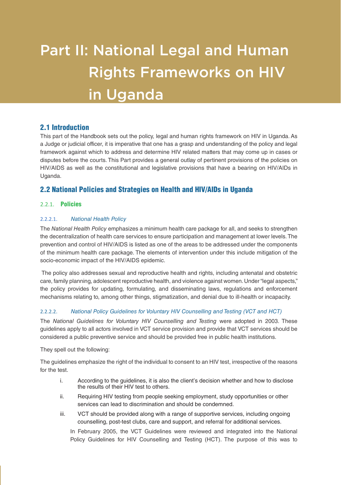# Part II: National Legal and Human Rights Frameworks on HIV in Uganda

## 2.1 Introduction

This part of the Handbook sets out the policy, legal and human rights framework on HIV in Uganda. As a Judge or judicial officer, it is imperative that one has a grasp and understanding of the policy and legal framework against which to address and determine HIV related matters that may come up in cases or disputes before the courts. This Part provides a general outlay of pertinent provisions of the policies on HIV/AIDS as well as the constitutional and legislative provisions that have a bearing on HIV/AIDs in Uganda.

## 2.2 National Policies and Strategies on Health and HIV/AIDs in Uganda

### 2.2.1. Policies

### 2.2.2.1. *National Health Policy*

The *National Health Policy* emphasizes a minimum health care package for all, and seeks to strengthen the decentralization of health care services to ensure participation and management at lower levels. The prevention and control of HIV/AIDS is listed as one of the areas to be addressed under the components of the minimum health care package. The elements of intervention under this include mitigation of the socio-economic impact of the HIV/AIDS epidemic.

 The policy also addresses sexual and reproductive health and rights, including antenatal and obstetric care, family planning, adolescent reproductive health, and violence against women. Under "legal aspects," the policy provides for updating, formulating, and disseminating laws, regulations and enforcement mechanisms relating to, among other things, stigmatization, and denial due to ill-health or incapacity.

### 2.2.2.2. *National Policy Guidelines for Voluntary HIV Counselling and Testing (VCT and HCT)*

The *National Guidelines for Voluntary HIV Counselling and Testing* were adopted in 2003. These guidelines apply to all actors involved in VCT service provision and provide that VCT services should be considered a public preventive service and should be provided free in public health institutions.

They spell out the following:

The guidelines emphasize the right of the individual to consent to an HIV test, irrespective of the reasons for the test.

- i. According to the guidelines, it is also the client's decision whether and how to disclose the results of their HIV test to others.
- ii. Requiring HIV testing from people seeking employment, study opportunities or other services can lead to discrimination and should be condemned.
- iii. VCT should be provided along with a range of supportive services, including ongoing counselling, post-test clubs, care and support, and referral for additional services.

In February 2005, the VCT Guidelines were reviewed and integrated into the National Policy Guidelines for HIV Counselling and Testing (HCT). The purpose of this was to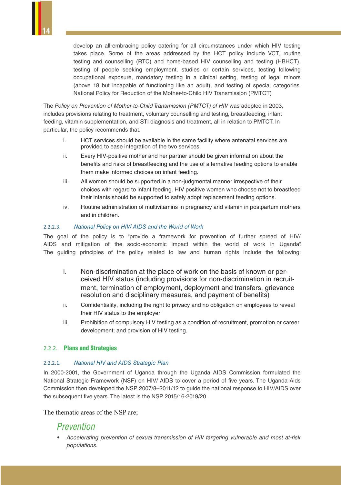

develop an all-embracing policy catering for all circumstances under which HIV testing takes place. Some of the areas addressed by the HCT policy include VCT, routine testing and counselling (RTC) and home-based HIV counselling and testing (HBHCT), testing of people seeking employment, studies or certain services, testing following occupational exposure, mandatory testing in a clinical setting, testing of legal minors (above 18 but incapable of functioning like an adult), and testing of special categories. National Policy for Reduction of the Mother-to-Child HIV Transmission (PMTCT)

The *Policy on Prevention of Mother-to-Child Transmission (PMTCT) of HIV* was adopted in 2003, includes provisions relating to treatment, voluntary counselling and testing, breastfeeding, infant feeding, vitamin supplementation, and STI diagnosis and treatment, all in relation to PMTCT. In particular, the policy recommends that:

- i. HCT services should be available in the same facility where antenatal services are provided to ease integration of the two services.
- ii. Every HIV-positive mother and her partner should be given information about the benefits and risks of breastfeeding and the use of alternative feeding options to enable them make informed choices on infant feeding.
- iii. All women should be supported in a non-judgmental manner irrespective of their choices with regard to infant feeding. HIV positive women who choose not to breastfeed their infants should be supported to safely adopt replacement feeding options.
- iv. Routine administration of multivitamins in pregnancy and vitamin in postpartum mothers and in children.

#### 2.2.2.3. *National Policy on HIV/ AIDS and the World of Work*

The goal of the policy is to "provide a framework for prevention of further spread of HIV/ AIDS and mitigation of the socio-economic impact within the world of work in Uganda". The guiding principles of the policy related to law and human rights include the following:

- i. Non-discrimination at the place of work on the basis of known or perceived HIV status (including provisions for non-discrimination in recruitment, termination of employment, deployment and transfers, grievance resolution and disciplinary measures, and payment of benefits)
- ii. Confidentiality, including the right to privacy and no obligation on employees to reveal their HIV status to the employer
- iii. Prohibition of compulsory HIV testing as a condition of recruitment, promotion or career development; and provision of HIV testing.

#### 2.2.2. Plans and Strategies

#### 2.2.2.1. *National HIV and AIDS Strategic Plan*

In 2000-2001, the Government of Uganda through the Uganda AIDS Commission formulated the National Strategic Framework (NSF) on HIV/ AIDS to cover a period of five years. The Uganda Aids Commission then developed the NSP 2007/8–2011/12 to guide the national response to HIV/AIDS over the subsequent five years. The latest is the NSP 2015/16-2019/20.

The thematic areas of the NSP are;

## *Prevention*

*• Accelerating prevention of sexual transmission of HIV targeting vulnerable and most at-risk populations.*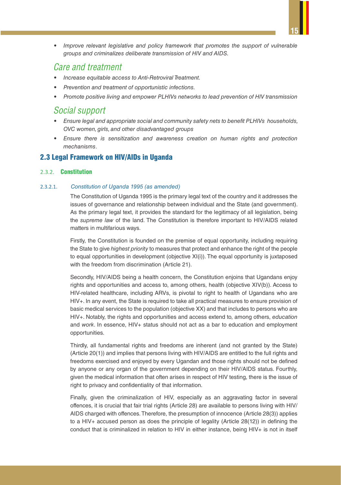*• Improve relevant legislative and policy framework that promotes the support of vulnerable groups and criminalizes deliberate transmission of HIV and AIDS.*

**15**

## *Care and treatment*

- *• Increase equitable access to Anti-Retroviral Treatment.*
- *• Prevention and treatment of opportunistic infections.*
- *• Promote positive living and empower PLHIVs networks to lead prevention of HIV transmission*

## *Social support*

- *• Ensure legal and appropriate social and community safety nets to benefit PLHIVs households, OVC women, girls, and other disadvantaged groups*
- *• Ensure there is sensitization and awareness creation on human rights and protection mechanisms*.

### 2.3 Legal Framework on HIV/AIDs in Uganda

#### 2.3.2. Constitution

#### 2.3.2.1. *Constitution of Uganda 1995 (as amended)*

The Constitution of Uganda 1995 is the primary legal text of the country and it addresses the issues of governance and relationship between individual and the State (and government). As the primary legal text, it provides the standard for the legitimacy of all legislation, being the *supreme law* of the land. The Constitution is therefore important to HIV/AIDS related matters in multifarious ways.

Firstly, the Constitution is founded on the premise of equal opportunity, including requiring the State to give *highest priority* to measures that protect and enhance the right of the people to equal opportunities in development (objective XI(i)). The equal opportunity is juxtaposed with the freedom from discrimination (Article 21).

Secondly, HIV/AIDS being a health concern, the Constitution enjoins that Ugandans enjoy rights and opportunities and access to, among others, health (objective XIV(b)). Access to HIV-related healthcare, including ARVs, is pivotal to right to health of Ugandans who are HIV+. In any event, the State is required to take all practical measures to ensure provision of basic medical services to the population (objective XX) and that includes to persons who are HIV+. Notably, the rights and opportunities and access extend to, among others, *education*  and *work*. In essence, HIV+ status should not act as a bar to education and employment opportunities.

Thirdly, all fundamental rights and freedoms are inherent (and not granted by the State) (Article 20(1)) and implies that persons living with HIV/AIDS are entitled to the full rights and freedoms exercised and enjoyed by every Ugandan and those rights should not be defined by anyone or any organ of the government depending on their HIV/AIDS status. Fourthly, given the medical information that often arises in respect of HIV testing, there is the issue of right to privacy and confidentiality of that information.

Finally, given the criminalization of HIV, especially as an aggravating factor in several offences, it is crucial that fair trial rights (Article 28) are available to persons living with HIV/ AIDS charged with offences. Therefore, the presumption of innocence (Article 28(3)) applies to a HIV+ accused person as does the principle of legality (Article 28(12)) in defining the conduct that is criminalized in relation to HIV in either instance, being HIV+ is not in itself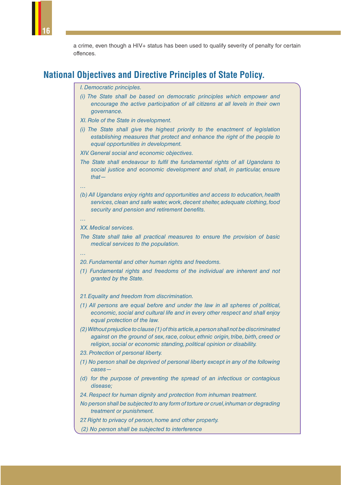a crime, even though a HIV+ status has been used to qualify severity of penalty for certain offences.

## **National Objectives and Directive Principles of State Policy.**

*I. Democratic principles.*

- *(i) The State shall be based on democratic principles which empower and encourage the active participation of all citizens at all levels in their own governance.*
- *XI. Role of the State in development.*
- *(i) The State shall give the highest priority to the enactment of legislation establishing measures that protect and enhance the right of the people to equal opportunities in development.*
- *XIV. General social and economic objectives.*
- *The State shall endeavour to fulfil the fundamental rights of all Ugandans to social justice and economic development and shall, in particular, ensure that—*
- *…*

*…*

*(b) All Ugandans enjoy rights and opportunities and access to education, health services, clean and safe water, work, decent shelter, adequate clothing, food security and pension and retirement benefits.*

*XX. Medical services.*

*The State shall take all practical measures to ensure the provision of basic medical services to the population.*

*…*

- *20. Fundamental and other human rights and freedoms.*
- *(1) Fundamental rights and freedoms of the individual are inherent and not granted by the State.*
- *21. Equality and freedom from discrimination.*
- *(1) All persons are equal before and under the law in all spheres of political, economic, social and cultural life and in every other respect and shall enjoy equal protection of the law.*
- *(2) Without prejudice to clause (1) of this article, a person shall not be discriminated against on the ground of sex, race, colour, ethnic origin, tribe, birth, creed or religion, social or economic standing, political opinion or disability.*
- *23. Protection of personal liberty.*
- *(1) No person shall be deprived of personal liberty except in any of the following cases—*
- *(d) for the purpose of preventing the spread of an infectious or contagious disease;*
- *24. Respect for human dignity and protection from inhuman treatment.*
- *No person shall be subjected to any form of torture or cruel, inhuman or degrading treatment or punishment.*
- *27. Right to privacy of person, home and other property.*
- *(2) No person shall be subjected to interference*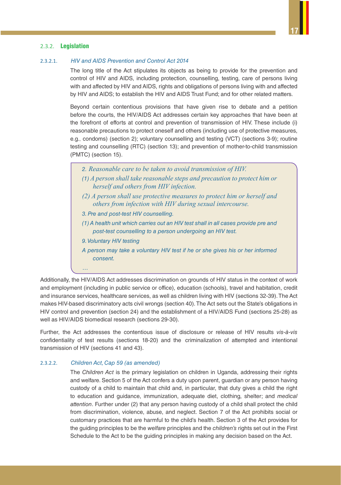

#### 2.3.2. Legislation

#### 2.3.2.1. *HIV and AIDS Prevention and Control Act 2014*

The long title of the Act stipulates its objects as being to provide for the prevention and control of HIV and AIDS, including protection, counselling, testing, care of persons living with and affected by HIV and AIDS, rights and obligations of persons living with and affected by HIV and AIDS; to establish the HIV and AIDS Trust Fund; and for other related matters.

Beyond certain contentious provisions that have given rise to debate and a petition before the courts, the HIV/AIDS Act addresses certain key approaches that have been at the forefront of efforts at control and prevention of transmission of HIV. These include (i) reasonable precautions to protect oneself and others (including use of protective measures, e.g., condoms) (section 2); voluntary counselling and testing (VCT) (sections 3-9); routine testing and counselling (RTC) (section 13); and prevention of mother-to-child transmission (PMTC) (section 15).

- *2. Reasonable care to be taken to avoid transmission of HIV.*
- *(1) A person shall take reasonable steps and precaution to protect him or herself and others from HIV infection.*
- *(2) A person shall use protective measures to protect him or herself and others from infection with HIV during sexual intercourse.*
- *3. Pre and post-test HIV counselling.*
- *(1) A health unit which carries out an HIV test shall in all cases provide pre and post-test counselling to a person undergoing an HIV test.*
- *9. Voluntary HIV testing*
- *A person may take a voluntary HIV test if he or she gives his or her informed consent.*
- *…*

Additionally, the HIV/AIDS Act addresses discrimination on grounds of HIV status in the context of work and employment (including in public service or office), education (schools), travel and habitation, credit and insurance services, healthcare services, as well as children living with HIV (sections 32-39). The Act makes HIV-based discriminatory acts civil wrongs (section 40). The Act sets out the State's obligations in HIV control and prevention (section 24) and the establishment of a HIV/AIDS Fund (sections 25-28) as well as HIV/AIDS biomedical research (sections 29-30).

Further, the Act addresses the contentious issue of disclosure or release of HIV results *vis-à-vis* confidentiality of test results (sections 18-20) and the criminalization of attempted and intentional transmission of HIV (sections 41 and 43).

#### 2.3.2.2. *Children Act, Cap 59 (as amended)*

The *Children Act* is the primary legislation on children in Uganda, addressing their rights and welfare. Section 5 of the Act confers a duty upon parent, guardian or any person having custody of a child to maintain that child and, in particular, that duty gives a child the right to education and guidance, immunization, adequate diet, clothing, shelter; and *medical attention*. Further under (2) that any person having custody of a child shall protect the child from discrimination, violence, abuse, and neglect. Section 7 of the Act prohibits social or customary practices that are harmful to the child's health. Section 3 of the Act provides for the guiding principles to be the *welfare* principles and the *children's* rights set out in the First Schedule to the Act to be the guiding principles in making any decision based on the Act.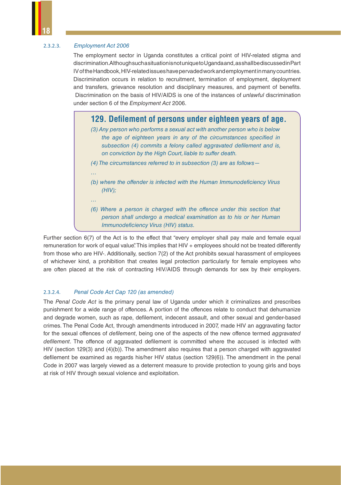#### 2.3.2.3. *Employment Act 2006*

The employment sector in Uganda constitutes a critical point of HIV-related stigma and discrimination. Although such a situation is not unique to Uganda and, as shall be discussed in Part IV of the Handbook, HIV-related issues have pervaded work and employment in many countries. Discrimination occurs in relation to recruitment, termination of employment, deployment and transfers, grievance resolution and disciplinary measures, and payment of benefits. Discrimination on the basis of HIV/AIDS is one of the instances of *unlawful* discrimination under section 6 of the *Employment Act* 2006.

### **129. Defilement of persons under eighteen years of age.**

- *(3) Any person who performs a sexual act with another person who is below the age of eighteen years in any of the circumstances specified in subsection (4) commits a felony called aggravated defilement and is, on conviction by the High Court, liable to suffer death.*
- *(4) The circumstances referred to in subsection (3) are as follows—*
- *…*

*…*

- *(b) where the offender is infected with the Human Immunodeficiency Virus (HIV);*
- *(6) Where a person is charged with the offence under this section that person shall undergo a medical examination as to his or her Human Immunodeficiency Virus (HIV) status.*

Further section 6(7) of the Act is to the effect that "every employer shall pay male and female equal remuneration for work of equal value". This implies that HIV + employees should not be treated differently from those who are HIV-. Additionally, section 7(2) of the Act prohibits sexual harassment of employees of whichever kind, a prohibition that creates legal protection particularly for female employees who are often placed at the risk of contracting HIV/AIDS through demands for sex by their employers.

#### 2.3.2.4. *Penal Code Act Cap 120 (as amended)*

The *Penal Code Act* is the primary penal law of Uganda under which it criminalizes and prescribes punishment for a wide range of offences. A portion of the offences relate to conduct that dehumanize and degrade women, such as rape, defilement, indecent assault, and other sexual and gender-based crimes. The Penal Code Act, through amendments introduced in 2007, made HIV an aggravating factor for the sexual offences of *defilement*, being one of the aspects of the new offence termed *aggravated defilement*. The offence of aggravated defilement is committed where the accused is infected with HIV (section 129(3) and (4)(b)). The amendment also requires that a person charged with aggravated defilement be examined as regards his/her HIV status (section 129(6)). The amendment in the penal Code in 2007 was largely viewed as a deterrent measure to provide protection to young girls and boys at risk of HIV through sexual violence and exploitation.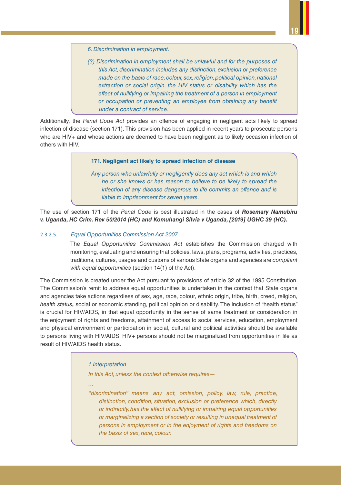*6. Discrimination in employment.*

*(3) Discrimination in employment shall be unlawful and for the purposes of this Act, discrimination includes any distinction, exclusion or preference made on the basis of race, colour, sex, religion, political opinion, national extraction or social origin, the HIV status or disability which has the effect of nullifying or impairing the treatment of a person in employment or occupation or preventing an employee from obtaining any benefit under a contract of service.*

Additionally, the *Penal Code Act* provides an offence of engaging in negligent acts likely to spread infection of disease (section 171). This provision has been applied in recent years to prosecute persons who are HIV+ and whose actions are deemed to have been negligent as to likely occasion infection of others with HIV.

#### **171. Negligent act likely to spread infection of disease**

*Any person who unlawfully or negligently does any act which is and which he or she knows or has reason to believe to be likely to spread the infection of any disease dangerous to life commits an offence and is liable to imprisonment for seven years.*

The use of section 171 of the *Penal Code* is best illustrated in the cases of *Rosemary Namubiru v. Uganda***,** *HC Crim. Rev 50/2014 (HC) and Komuhangi Silvia v Uganda, [2019] UGHC 39 (HC).*

#### 2.3.2.5. *Equal Opportunities Commission Act 2007*

The *Equal Opportunities Commission Act* establishes the Commission charged with monitoring, evaluating and ensuring that policies, laws, plans, programs, activities, practices, traditions, cultures, usages and customs of various State organs and agencies are *compliant with equal opportunities* (section 14(1) of the Act).

The Commission is created under the Act pursuant to provisions of article 32 of the 1995 Constitution. The Commission's remit to address equal opportunities is undertaken in the context that State organs and agencies take actions regardless of sex, age, race, colour, ethnic origin, tribe, birth, creed, religion, *health status,* social or economic standing, political opinion or disability. The inclusion of "health status" is crucial for HIV/AIDS, in that equal opportunity in the sense of same treatment or consideration in the enjoyment of rights and freedoms, attainment of access to social services, education, employment and physical environment or participation in social, cultural and political activities should be available to persons living with HIV/AIDS. HIV+ persons should not be marginalized from opportunities in life as result of HIV/AIDS health status.

#### *1. Interpretation.*

*…*

*In this Act, unless the context otherwise requires—*

*"discrimination" means any act, omission, policy, law, rule, practice, distinction, condition, situation, exclusion or preference which, directly or indirectly, has the effect of nullifying or impairing equal opportunities or marginalizing a section of society or resulting in unequal treatment of persons in employment or in the enjoyment of rights and freedoms on the basis of sex, race, colour,*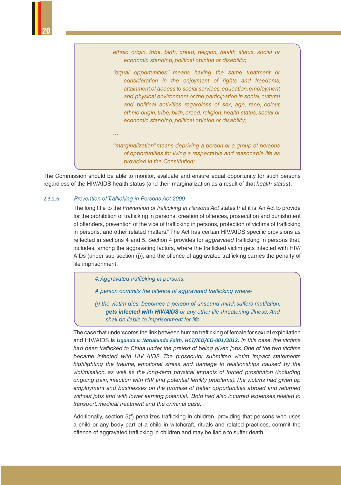

The Commission should be able to monitor, evaluate and ensure equal opportunity for such persons regardless of the HIV/AIDS health status (and their marginalization as a result of that *health status*).

#### 2.3.2.6. *Prevention of Trafficking in Persons Act 2009*

The long title to the *Prevention of Trafficking in Persons Act* states that it is "An Act to provide for the prohibition of trafficking in persons, creation of offences, prosecution and punishment of offenders, prevention of the vice of trafficking in persons, protection of victims of trafficking in persons, and other related matters." The Act has certain HIV/AIDS specific provisions as reflected in sections 4 and 5. Section 4 provides for *aggravated* trafficking in persons that, includes, among the aggravating factors, where the trafficked victim gets infected with HIV/ AIDs (under sub-section (j)), and the offence of aggravated trafficking carries the penalty of life imprisonment.

*4. Aggravated trafficking in persons.*

*A person commits the offence of aggravated trafficking where-*

*(j) the victim dies, becomes a person of unsound mind, suffers mutilation, gets infected with HIV/AIDS or any other life-threatening illness; And shall be liable to imprisonment for life.*

The case that underscores the link between human trafficking of female for sexual exploitation and HIV/AIDS is *Uganda v. Natukunda Faith, HCT/ICD/CO-001/2012***.** *In this case, the victims had been trafficked to China under the pretext of being given jobs. One of the two victims became infected with HIV AIDS. The prosecutor submitted victim impact statements highlighting the trauma, emotional stress and damage to relationships caused by the victimisation, as well as the long-term physical impacts of forced prostitution (including ongoing pain, infection with HIV and potential fertility problems). The victims had given up employment and businesses on the promise of better opportunities abroad and returned without jobs and with lower earning potential. Both had also incurred expenses related to transport, medical treatment and the criminal case.* 

Additionally, section 5(f) penalizes trafficking in children, providing that persons who uses a child or any body part of a child in witchcraft, rituals and related practices, commit the offence of aggravated trafficking in children and may be liable to suffer death.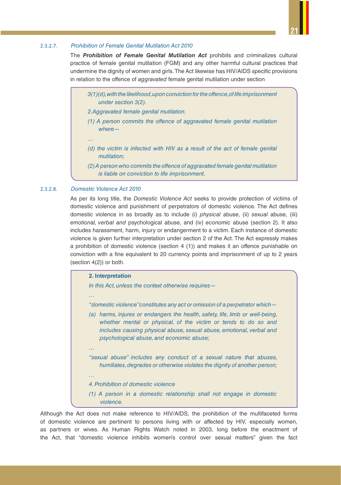#### 2.3.2.7. *Prohibition of Female Genital Mutilation Act 2010*

The *Prohibition of Female Genital Mutilation Act* prohibits and criminalizes cultural practice of female genital mutilation (FGM) and any other harmful cultural practices that undermine the dignity of women and girls. The Act likewise has HIV/AIDS specific provisions in relation to the offence of *aggravated* female genital mutilation under section

*3(1)(d), with the likelihood, upon conviction for the offence, of life imprisonment under section 3(2).*

*2.Aggravated female genital mutilation.* 

- *(1) A person commits the offence of aggravated female genital mutilation where—*
- *(d) the victim is infected with HIV as a result of the act of female genital mutilation;*
- *(2) A person who commits the offence of aggravated female genital mutilation is liable on conviction to life imprisonment.*

#### 2.3.2.8. *Domestic Violence Act 2010*

*…*

As per its long title, the *Domestic Violence Act* seeks to provide protection of victims of domestic violence and punishment of perpetrators of domestic violence. The Act defines domestic violence in as broadly as to include (i) *physical* abuse, (ii) *sexual* abuse, (iii) *emotional, verbal and* psychological abuse, and (iv) *economic* abuse (section 2). It also includes harassment, harm, injury or endangerment to a victim. Each instance of domestic violence is given further interpretation under section 2 of the Act. The Act expressly makes a prohibition of domestic violence (section 4 (1)) and makes it an offence punishable on conviction with a fine equivalent to 20 currency points and imprisonment of up to 2 years (section 4(2)) or both.

#### **2. Interpretation**

*In this Act, unless the context otherwise requires—*

*"domestic violence" constitutes any act or omission of a perpetrator which—*

- *(a) harms, injures or endangers the health, safety, life, limb or well-being, whether mental or physical, of the victim or tends to do so and includes causing physical abuse, sexual abuse, emotional, verbal and psychological abuse, and economic abuse;*
- *…*

*…*

*"sexual abuse" includes any conduct of a sexual nature that abuses, humiliates, degrades or otherwise violates the dignity of another person;*

- *…*
- *4. Prohibition of domestic violence*
- *(1) A person in a domestic relationship shall not engage in domestic violence.*

Although the Act does not make reference to HIV/AIDS, the prohibition of the multifaceted forms of domestic violence are pertinent to persons living with or affected by HIV, especially women, as partners or wives. As Human Rights Watch noted in 2003, long before the enactment of the Act, that "domestic violence inhibits women's control over sexual matters" given the fact

**21**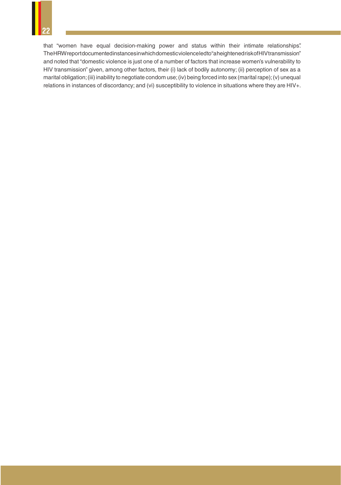that "women have equal decision-making power and status within their intimate relationships". The HRW report documented instances in which domestic violence led to "a heightened risk of HIV transmission" and noted that "domestic violence is just one of a number of factors that increase women's vulnerability to HIV transmission" given, among other factors, their (i) lack of bodily autonomy; (ii) perception of sex as a marital obligation; (iii) inability to negotiate condom use; (iv) being forced into sex (marital rape); (v) unequal relations in instances of discordancy; and (vi) susceptibility to violence in situations where they are HIV+.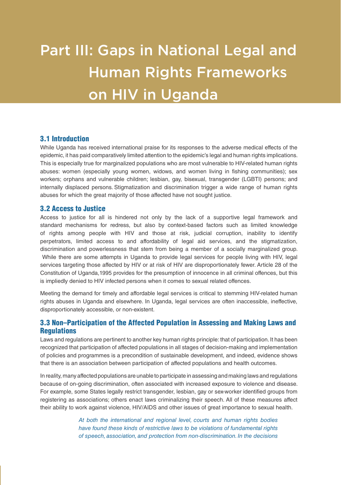# Part III: Gaps in National Legal and Human Rights Frameworks on HIV in Uganda

# 3.1 Introduction

While Uganda has received international praise for its responses to the adverse medical effects of the epidemic, it has paid comparatively limited attention to the epidemic's legal and human rights implications. This is especially true for marginalized populations who are most vulnerable to HIV-related human rights abuses: women (especially young women, widows, and women living in fishing communities); sex workers; orphans and vulnerable children; lesbian, gay, bisexual, transgender (LGBTI) persons; and internally displaced persons. Stigmatization and discrimination trigger a wide range of human rights abuses for which the great majority of those affected have not sought justice.

# 3.2 Access to Justice

Access to justice for all is hindered not only by the lack of a supportive legal framework and standard mechanisms for redress, but also by context-based factors such as limited knowledge of rights among people with HIV and those at risk, judicial corruption, inability to identify perpetrators, limited access to and affordability of legal aid services, and the stigmatization, discrimination and powerlessness that stem from being a member of a socially marginalized group. While there are some attempts in Uganda to provide legal services for people living with HIV, legal services targeting those affected by HIV or at risk of HIV are disproportionately fewer. Article 28 of the Constitution of Uganda,1995 provides for the presumption of innocence in all criminal offences, but this is impliedly denied to HIV infected persons when it comes to sexual related offences.

Meeting the demand for timely and affordable legal services is critical to stemming HIV-related human rights abuses in Uganda and elsewhere. In Uganda, legal services are often inaccessible, ineffective, disproportionately accessible, or non-existent.

# 3.3 Non–Participation of the Affected Population in Assessing and Making Laws and **Requlations**

Laws and regulations are pertinent to another key human rights principle: that of participation. It has been recognized that participation of affected populations in all stages of decision-making and implementation of policies and programmes is a precondition of sustainable development, and indeed, evidence shows that there is an association between participation of affected populations and health outcomes.

In reality, many affected populations are unable to participate in assessing and making laws and regulations because of on-going discrimination, often associated with increased exposure to violence and disease. For example, some States legally restrict transgender, lesbian, gay or sex-worker identified groups from registering as associations; others enact laws criminalizing their speech. All of these measures affect their ability to work against violence, HIV/AIDS and other issues of great importance to sexual health.

> *At both the international and regional level, courts and human rights bodies have found these kinds of restrictive laws to be violations of fundamental rights of speech, association, and protection from non-discrimination. In the decisions*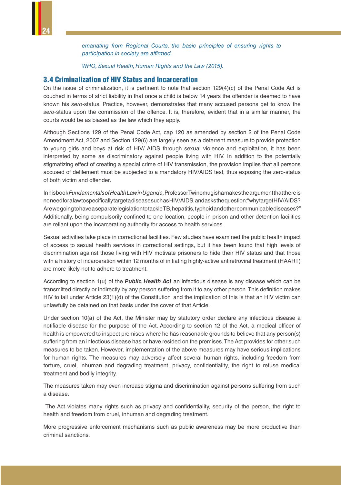*emanating from Regional Courts, the basic principles of ensuring rights to participation in society are affirmed.*

#### *WHO, Sexual Health, Human Rights and the Law (2015).*

#### 3.4 Criminalization of HIV Status and Incarceration

On the issue of criminalization, it is pertinent to note that section 129(4)(c) of the Penal Code Act is couched in terms of strict liability in that once a child is below 14 years the offender is deemed to have known his *sero*-status. Practice, however, demonstrates that many accused persons get to know the *sero-*status upon the commission of the offence. It is, therefore, evident that in a similar manner, the courts would be as biased as the law which they apply.

Although Sections 129 of the Penal Code Act, cap 120 as amended by section 2 of the Penal Code Amendment Act, 2007 and Section 129(6) are largely seen as a deterrent measure to provide protection to young girls and boys at risk of HIV/ AIDS through sexual violence and exploitation, it has been interpreted by some as discriminatory against people living with HIV. In addition to the potentially stigmatizing effect of creating a special crime of HIV transmission, the provision implies that all persons accused of defilement must be subjected to a mandatory HIV/AIDS test, thus exposing the zero-status of both victim and offender.

In his book *Fundamentals of Health Law in Uganda,*Professor Twinomugisha makes the argument that there is no need for a law to specifically target a disease such as HIV/AIDS, and asks the question: "why target HIV/AIDS? Are we going to have a separate legislation to tackle TB, hepatitis, typhoid and other communicable diseases?" Additionally, being compulsorily confined to one location, people in prison and other detention facilities are reliant upon the incarcerating authority for access to health services.

Sexual activities take place in correctional facilities. Few studies have examined the public health impact of access to sexual health services in correctional settings, but it has been found that high levels of discrimination against those living with HIV motivate prisoners to hide their HIV status and that those with a history of incarceration within 12 months of initiating highly-active antiretroviral treatment (HAART) are more likely not to adhere to treatment.

According to section 1(u) of the *Public Health Act* an infectious disease is any disease which can be transmitted directly or indirectly by any person suffering from it to any other person. This definition makes HIV to fall under Article 23(1)(d) of the Constitution and the implication of this is that an HIV victim can unlawfully be detained on that basis under the cover of that Article.

Under section 10(a) of the Act, the Minister may by statutory order declare any infectious disease a notifiable disease for the purpose of the Act. According to section 12 of the Act, a medical officer of health is empowered to inspect premises where he has reasonable grounds to believe that any person(s) suffering from an infectious disease has or have resided on the premises. The Act provides for other such measures to be taken. However, implementation of the above measures may have serious implications for human rights. The measures may adversely affect several human rights, including freedom from torture, cruel, inhuman and degrading treatment, privacy, confidentiality, the right to refuse medical treatment and bodily integrity.

The measures taken may even increase stigma and discrimination against persons suffering from such a disease.

 The Act violates many rights such as privacy and confidentiality, security of the person, the right to health and freedom from cruel, inhuman and degrading treatment.

More progressive enforcement mechanisms such as public awareness may be more productive than criminal sanctions.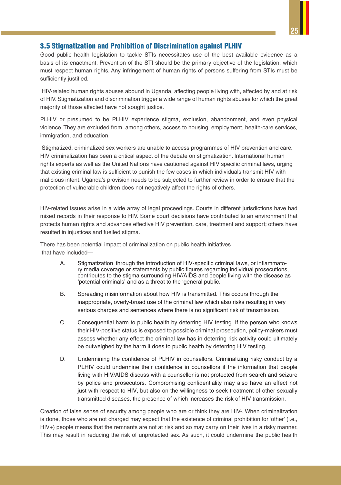# 3.5 Stigmatization and Prohibition of Discrimination against PLHIV

Good public health legislation to tackle STIs necessitates use of the best available evidence as a basis of its enactment. Prevention of the STI should be the primary objective of the legislation, which must respect human rights. Any infringement of human rights of persons suffering from STIs must be sufficiently justified.

 HIV-related human rights abuses abound in Uganda, affecting people living with, affected by and at risk of HIV. Stigmatization and discrimination trigger a wide range of human rights abuses for which the great majority of those affected have not sought justice.

PLHIV or presumed to be PLHIV experience stigma, exclusion, abandonment, and even physical violence. They are excluded from, among others, access to housing, employment, health-care services, immigration, and education.

 Stigmatized, criminalized sex workers are unable to access programmes of HIV prevention and care. HIV criminalization has been a critical aspect of the debate on stigmatization. International human rights experts as well as the United Nations have cautioned against HIV specific criminal laws, urging that existing criminal law is sufficient to punish the few cases in which individuals transmit HIV with malicious intent. Uganda's provision needs to be subjected to further review in order to ensure that the protection of vulnerable children does not negatively affect the rights of others.

HIV-related issues arise in a wide array of legal proceedings. Courts in different jurisdictions have had mixed records in their response to HIV. Some court decisions have contributed to an environment that protects human rights and advances effective HIV prevention, care, treatment and support; others have resulted in injustices and fuelled stigma.

There has been potential impact of criminalization on public health initiatives that have included—

- A. Stigmatization through the introduction of HIV-specific criminal laws, or inflammatory media coverage or statements by public figures regarding individual prosecutions, contributes to the stigma surrounding HIV/AIDS and people living with the disease as 'potential criminals' and as a threat to the 'general public.'
- B. Spreading misinformation about how HIV is transmitted. This occurs through the inappropriate, overly-broad use of the criminal law which also risks resulting in very serious charges and sentences where there is no significant risk of transmission.
- C. Consequential harm to public health by deterring HIV testing. If the person who knows their HIV-positive status is exposed to possible criminal prosecution, policy-makers must assess whether any effect the criminal law has in deterring risk activity could ultimately be outweighed by the harm it does to public health by deterring HIV testing.
- D. Undermining the confidence of PLHIV in counsellors. Criminalizing risky conduct by a PLHIV could undermine their confidence in counsellors if the information that people living with HIV/AIDS discuss with a counsellor is not protected from search and seizure by police and prosecutors. Compromising confidentiality may also have an effect not just with respect to HIV, but also on the willingness to seek treatment of other sexually transmitted diseases, the presence of which increases the risk of HIV transmission.

Creation of false sense of security among people who are or think they are HIV-. When criminalization is done, those who are not charged may expect that the existence of criminal prohibition for 'other' (i.e., HIV+) people means that the remnants are not at risk and so may carry on their lives in a risky manner. This may result in reducing the risk of unprotected sex. As such, it could undermine the public health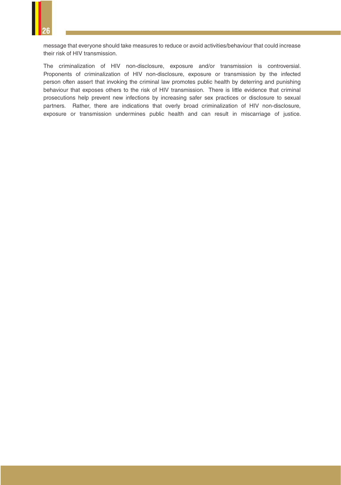message that everyone should take measures to reduce or avoid activities/behaviour that could increase their risk of HIV transmission.

The criminalization of HIV non-disclosure, exposure and/or transmission is controversial. Proponents of criminalization of HIV non-disclosure, exposure or transmission by the infected person often assert that invoking the criminal law promotes public health by deterring and punishing behaviour that exposes others to the risk of HIV transmission. There is little evidence that criminal prosecutions help prevent new infections by increasing safer sex practices or disclosure to sexual partners. Rather, there are indications that overly broad criminalization of HIV non-disclosure, exposure or transmission undermines public health and can result in miscarriage of justice.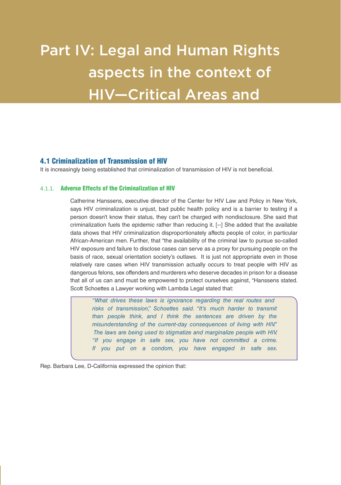# Part IV: Legal and Human Rights aspects in the context of HIV—Critical Areas and

### 4.1 Criminalization of Transmission of HIV

It is increasingly being established that criminalization of transmission of HIV is not beneficial.

#### 4.1.1. Adverse Effects of the Criminalization of HIV

Catherine Hanssens, executive director of the Center for HIV Law and Policy in New York, says HIV criminalization is unjust, bad public health policy and is a barrier to testing if a person doesn't know their status, they can't be charged with nondisclosure. She said that criminalization fuels the epidemic rather than reducing it. [--] She added that the available data shows that HIV criminalization disproportionately affects people of color, in particular African-American men. Further, that "the availability of the criminal law to pursue so-called HIV exposure and failure to disclose cases can serve as a proxy for pursuing people on the basis of race, sexual orientation society's outlaws. It is just not appropriate even in those relatively rare cases when HIV transmission actually occurs to treat people with HIV as dangerous felons, sex offenders and murderers who deserve decades in prison for a disease that all of us can and must be empowered to protect ourselves against, "Hanssens stated. Scott Schoettes a Lawyer working with Lambda Legal stated that:

*"What drives these laws is ignorance regarding the real routes and risks of transmission," Schoettes said. "It's much harder to transmit than people think, and I think the sentences are driven by the misunderstanding of the current-day consequences of living with HIV." The laws are being used to stigmatize and marginalize people with HIV. "If you engage in safe sex, you have not committed a crime. If you put on a condom, you have engaged in safe sex.*

Rep. Barbara Lee, D-California expressed the opinion that: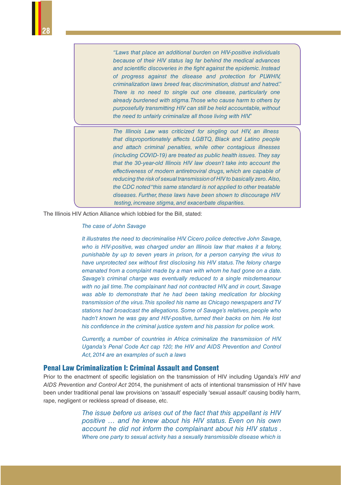*"Laws that place an additional burden on HIV-positive individuals because of their HIV status lag far behind the medical advances and scientific discoveries in the fight against the epidemic. Instead of progress against the disease and protection for PLWHIV, criminalization laws breed fear, discrimination, distrust and hatred." There is no need to single out one disease, particularly one already burdened with stigma. Those who cause harm to others by purposefully transmitting HIV can still be held accountable, without the need to unfairly criminalize all those living with HIV."* 

*The Illinois Law was criticized for singling out HIV, an illness that disproportionately affects LGBTQ, Black and Latino people and attach criminal penalties, while other contagious illnesses (including COVID-19) are treated as public health issues. They say that the 30-year-old Illinois HIV law doesn't take into account the effectiveness of modern antiretroviral drugs, which are capable of reducing the risk of sexual transmission of HIV to basically zero. Also, the CDC noted "this same standard is not applied to other treatable diseases. Further, these laws have been shown to discourage HIV testing, increase stigma, and exacerbate disparities.*

The Illinois HIV Action Alliance which lobbied for the Bill, stated:

#### *The case of John Savage*

*It illustrates the need to decriminalise HIV. Cicero police detective John Savage, who is HIV-positive, was charged under an Illinois law that makes it a felony, punishable by up to seven years in prison, for a person carrying the virus to have unprotected sex without first disclosing his HIV status. The felony charge emanated from a complaint made by a man with whom he had gone on a date. Savage's criminal charge was eventually reduced to a single misdemeanour with no jail time. The complainant had not contracted HIV, and in court, Savage*  was able to demonstrate that he had been taking medication for blocking *transmission of the virus. This spoiled his name as Chicago newspapers and TV stations had broadcast the allegations. Some of Savage's relatives, people who hadn't known he was gay and HIV-positive, turned their backs on him. He lost his confidence in the criminal justice system and his passion for police work.*

*Currently, a number of countries in Africa criminalize the transmission of HIV. Uganda's Penal Code Act cap 120; the HIV and AIDS Prevention and Control Act, 2014 are an examples of such a laws* 

#### Penal Law Criminalization I: Criminal Assault and Consent

Prior to the enactment of specific legislation on the transmission of HIV including Uganda's *HIV and AIDS Prevention and Control Act* 2014, the punishment of acts of intentional transmission of HIV have been under traditional penal law provisions on 'assault' especially 'sexual assault' causing bodily harm, rape, negligent or reckless spread of disease, etc.

> *The issue before us arises out of the fact that this appellant is HIV positive … and he knew about his HIV status. Even on his own account he did not inform the complainant about his HIV status . Where one party to sexual activity has a sexually transmissible disease which is*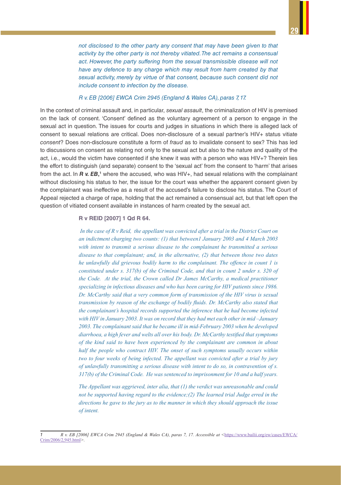

*not disclosed to the other party any consent that may have been given to that activity by the other party is not thereby vitiated. The act remains a consensual act. However, the party suffering from the sexual transmissible disease will not have any defence to any charge which may result from harm created by that sexual activity, merely by virtue of that consent, because such consent did not include consent to infection by the disease.*

#### *R v. EB [2006] EWCA Crim 2945 (England & Wales CA), paras 7, 17.*

In the context of criminal assault and, in particular, *sexual assault*, the criminalization of HIV is premised on the lack of consent. 'Consent' defined as the voluntary agreement of a person to engage in the sexual act in question. The issues for courts and judges in situations in which there is alleged lack of consent to sexual relations are critical. Does non-disclosure of a sexual partner's HIV+ status vitiate *consent*? Does non-disclosure constitute a form of *fraud* as to invalidate consent to sex? This has led to discussions on consent as relating not only to the sexual act but also to the nature and quality of the act, i.e., would the victim have consented if she knew it was with a person who was HIV+? Therein lies the effort to distinguish (and separate) consent to the 'sexual act' from the consent to 'harm' that arises from the act. In **R v. EB**,<sup>1</sup> where the accused, who was HIV+, had sexual relations with the complainant without disclosing his status to her, the issue for the court was whether the apparent consent given by the complainant was ineffective as a result of the accused's failure to disclose his status. The Court of Appeal rejected a charge of rape, holding that the act remained a consensual act, but that left open the question of vitiated consent available in instances of harm created by the sexual act.

#### **R v REID [2007] 1 Qd R 64.**

*In the case of R v Reid, the appellant was convicted after a trial in the District Court on an indictment charging two counts: (1) that between1 January 2003 and 4 March 2003 with intent to transmit a serious disease to the complainant he transmitted a serious disease to that complainant; and, in the alternative, (2) that between those two dates he unlawfully did grievous bodily harm to the complainant. The offence in count 1 is constituted under s. 317(b) of the Criminal Code, and that in count 2 under s. 320 of the Code. At the trial, the Crown called Dr James McCarthy, a medical practitioner specializing in infectious diseases and who has been caring for HIV patients since 1986. Dr. McCarthy said that a very common form of transmission of the HIV virus is sexual transmission by reason of the exchange of bodily fluids. Dr. McCarthy also stated that the complainant's hospital records supported the inference that he had become infected with HIV in January 2003. It was on record that they had met each other in mid –January 2003. The complainant said that he became ill in mid-February 2003 when he developed diarrhoea, a high fever and welts all over his body. Dr. McCarthy testified that symptoms of the kind said to have been experienced by the complainant are common in about half the people who contract HIV. The onset of such symptoms usually occurs within two to four weeks of being infected. The appellant was convicted after a trial by jury of unlawfully transmitting a serious disease with intent to do so, in contravention of s. 317(b) of the Criminal Code. He was sentenced to imprisonment for 10 and a half years.*

*The Appellant was aggrieved, inter alia, that (1) the verdict was unreasonable and could not be supported having regard to the evidence;(2) The learned trial Judge erred in the directions he gave to the jury as to the manner in which they should approach the issue of intent.*

*<sup>1</sup> R v. EB [2006] EWCA Crim 2945 (England & Wales CA), paras 7, 17. Accessible at <*https://www.bailii.org/ew/cases/EWCA/ Crim/2006/2,945.html*>.*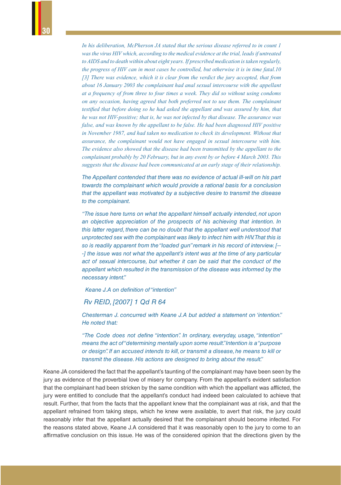*In his deliberation, McPherson JA stated that the serious disease referred to in count 1 was the virus HIV which, according to the medical evidence at the trial, leads if untreated to AIDS and to death within about eight years. If prescribed medication is taken regularly, the progress of HIV can in most cases be controlled, but otherwise it is in time fatal.10 [3] There was evidence, which it is clear from the verdict the jury accepted, that from about 16 January 2003 the complainant had anal sexual intercourse with the appellant at a frequency of from three to four times a week. They did so without using condoms on any occasion, having agreed that both preferred not to use them. The complainant testified that before doing so he had asked the appellant and was assured by him, that he was not HIV-positive; that is, he was not infected by that disease. The assurance was false, and was known by the appellant to be false. He had been diagnosed HIV positive in November 1987, and had taken no medication to check its development. Without that assurance, the complainant would not have engaged in sexual intercourse with him. The evidence also showed that the disease had been transmitted by the appellant to the complainant probably by 20 February, but in any event by or before 4 March 2003. This suggests that the disease had been communicated at an early stage of their relationship.* 

*The Appellant contended that there was no evidence of actual ill-will on his part towards the complainant which would provide a rational basis for a conclusion that the appellant was motivated by a subjective desire to transmit the disease to the complainant.*

*"The issue here turns on what the appellant himself actually intended, not upon an objective appreciation of the prospects of his achieving that intention. In this latter regard, there can be no doubt that the appellant well understood that unprotected sex with the complainant was likely to infect him with HIV. That this is so is readily apparent from the "loaded gun" remark in his record of interview. [-- -] the issue was not what the appellant's intent was at the time of any particular act of sexual intercourse, but whether it can be said that the conduct of the appellant which resulted in the transmission of the disease was informed by the necessary intent."*

 *Keane J.A on definition of "intention"* 

#### *Rv REID, [2007] 1 Qd R 64*

*Chesterman J. concurred with Keane J.A but added a statement on 'intention." He noted that:*

*"The Code does not define "intention". In ordinary, everyday, usage, "intention" means the act of "determining mentally upon some result." Intention is a "purpose or design". If an accused intends to kill, or transmit a disease, he means to kill or transmit the disease. His actions are designed to bring about the result."*

Keane JA considered the fact that the appellant's taunting of the complainant may have been seen by the jury as evidence of the proverbial love of misery for company. From the appellant's evident satisfaction that the complainant had been stricken by the same condition with which the appellant was afflicted, the jury were entitled to conclude that the appellant's conduct had indeed been calculated to achieve that result. Further, that from the facts that the appellant knew that the complainant was at risk, and that the appellant refrained from taking steps, which he knew were available, to avert that risk, the jury could reasonably infer that the appellant actually desired that the complainant should become infected. For the reasons stated above, Keane J.A considered that it was reasonably open to the jury to come to an affirmative conclusion on this issue. He was of the considered opinion that the directions given by the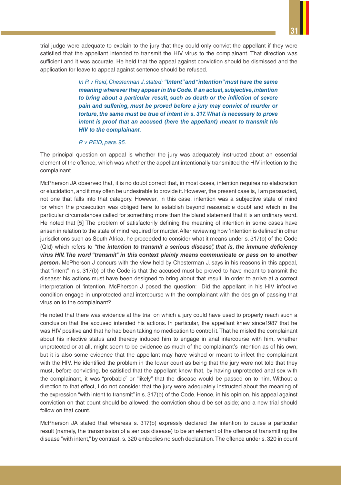trial judge were adequate to explain to the jury that they could only convict the appellant if they were satisfied that the appellant intended to transmit the HIV virus to the complainant. That direction was sufficient and it was accurate. He held that the appeal against conviction should be dismissed and the application for leave to appeal against sentence should be refused.

> *In R v Reid, Chesterman J. stated: "Intent" and "intention" must have the same meaning wherever they appear in the Code. If an actual, subjective, intention to bring about a particular result, such as death or the infliction of severe pain and suffering, must be proved before a jury may convict of murder or torture, the same must be true of intent in s. 317. What is necessary to prove intent is proof that an accused (here the appellant) meant to transmit his HIV to the complainant.*

#### *R v REID, para. 95.*

The principal question on appeal is whether the jury was adequately instructed about an essential element of the offence, which was whether the appellant intentionally transmitted the HIV infection to the complainant.

McPherson JA observed that, it is no doubt correct that, in most cases, intention requires no elaboration or elucidation, and it may often be undesirable to provide it. However, the present case is, I am persuaded, not one that falls into that category. However, in this case, intention was a subjective state of mind for which the prosecution was obliged here to establish beyond reasonable doubt and which in the particular circumstances called for something more than the bland statement that it is an ordinary word. He noted that [5] The problem of satisfactorily defining the meaning of intention in some cases have arisen in relation to the state of mind required for murder. After reviewing how 'intention is defined' in other jurisdictions such as South Africa, he proceeded to consider what it means under s. 317(b) of the Code (Qld) which refers to *"the intention to transmit a serious disease", that is, the immune deficiency virus HIV. The word "transmit" in this context plainly means communicate or pass on to another person.* McPherson J concurs with the view held by Chesterman J. says in his reasons in this appeal, that "intent" in s. 317(b) of the Code is that the accused must be proved to have meant to transmit the disease: his actions must have been designed to bring about that result. In order to arrive at a correct interpretation of 'intention, McPherson J posed the question: Did the appellant in his HIV infective condition engage in unprotected anal intercourse with the complainant with the design of passing that virus on to the complainant?

He noted that there was evidence at the trial on which a jury could have used to properly reach such a conclusion that the accused intended his actions. In particular, the appellant knew since1987 that he was HIV positive and that he had been taking no medication to control it. That he misled the complainant about his infective status and thereby induced him to engage in anal intercourse with him, whether unprotected or at all, might seem to be evidence as much of the complainant's intention as of his own; but it is also some evidence that the appellant may have wished or meant to infect the complainant with the HIV. He identified the problem in the lower court as being that the jury were not told that they must, before convicting, be satisfied that the appellant knew that, by having unprotected anal sex with the complainant, it was "probable" or "likely" that the disease would be passed on to him. Without a direction to that effect, I do not consider that the jury were adequately instructed about the meaning of the expression "with intent to transmit" in s. 317(b) of the Code. Hence, in his opinion, his appeal against conviction on that count should be allowed; the conviction should be set aside; and a new trial should follow on that count.

McPherson JA stated that whereas s. 317(b) expressly declared the intention to cause a particular result (namely, the transmission of a serious disease) to be an element of the offence of transmitting the disease "with intent," by contrast, s. 320 embodies no such declaration. The offence under s. 320 in count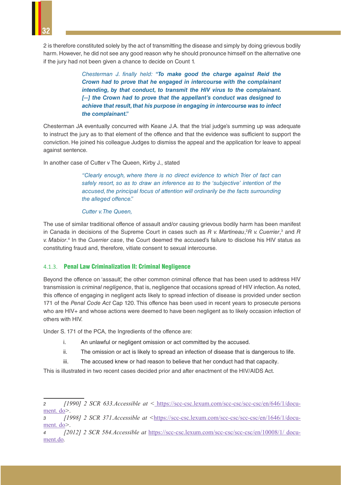

2 is therefore constituted solely by the act of transmitting the disease and simply by doing grievous bodily harm. However, he did not see any good reason why he should pronounce himself on the alternative one if the jury had not been given a chance to decide on Count 1.

> *Chesterman J. finally held: "To make good the charge against Reid the Crown had to prove that he engaged in intercourse with the complainant intending, by that conduct, to transmit the HIV virus to the complainant. [--] the Crown had to prove that the appellant's conduct was designed to achieve that result, that his purpose in engaging in intercourse was to infect the complainant."*

Chesterman JA eventually concurred with Keane J.A. that the trial judge's summing up was adequate to instruct the jury as to that element of the offence and that the evidence was sufficient to support the conviction. He joined his colleague Judges to dismiss the appeal and the application for leave to appeal against sentence.

In another case of Cutter v The Queen, Kirby J., stated

*"Clearly enough, where there is no direct evidence to which Trier of fact can safely resort, so as to draw an inference as to the 'subjective' intention of the accused, the principal focus of attention will ordinarily be the facts surrounding the alleged offence."*

#### *Cutter v. The Queen,*

The use of similar traditional offence of assault and/or causing grievous bodily harm has been manifest in Canada in decisions of the Supreme Court in cases such as *R v. Martineau*, <sup>2</sup>R v. Cuerrier, 3 and *R v. Mabior*. 4 In the *Cuerrier case*, the Court deemed the accused's failure to disclose his HIV status as constituting fraud and, therefore, vitiate consent to sexual intercourse.

#### 4.1.3. Penal Law Criminalization II: Criminal Negligence

Beyond the offence on 'assault', the other common criminal offence that has been used to address HIV transmission is *criminal negligence*, that is, negligence that occasions spread of HIV infection. As noted, this offence of engaging in negligent acts likely to spread infection of disease is provided under section 171 of the *Penal Code Act* Cap 120. This offence has been used in recent years to prosecute persons who are HIV+ and whose actions were deemed to have been negligent as to likely occasion infection of others with HIV.

Under S. 171 of the PCA, the Ingredients of the offence are:

- i. An unlawful or negligent omission or act committed by the accused.
- ii. The omission or act is likely to spread an infection of disease that is dangerous to life.
- iii. The accused knew or had reason to believe that her conduct had that capacity.

This is illustrated in two recent cases decided prior and after enactment of the HIV/AIDS Act.

*<sup>2</sup> [1990] 2 SCR 633.Accessible at <* https://scc-csc.lexum.com/scc-csc/scc-csc/en/646/1/document. do*>.*

*<sup>3</sup> [1998] 2 SCR 371.Accessible at <*https://scc-csc.lexum.com/scc-csc/scc-csc/en/1646/1/document. do*>.* 

*<sup>4</sup> [2012] 2 SCR 584.Accessible at* https://scc-csc.lexum.com/scc-csc/scc-csc/en/10008/1/ document.do*.*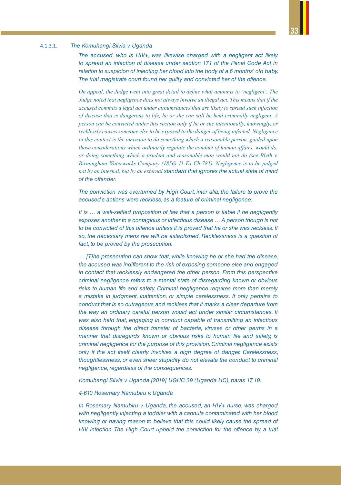# **33**

#### 4.1.3.1. *The Komuhangi Silvia v. Uganda*

*The accused, who is HIV+, was likewise charged with a negligent act likely to spread an infection of disease under section 171 of the Penal Code Act in relation to suspicion of injecting her blood into the body of a 6 months' old baby. The trial magistrate court found her guilty and convicted her of the offence.* 

*On appeal, the Judge went into great detail to define what amounts to 'negligent'. The Judge noted that negligence does not always involve an illegal act. This means that if the accused commits a legal act under circumstances that are likely to spread such infection of disease that is dangerous to life, he or she can still be held criminally negligent. A person can be convicted under this section only if he or she intentionally, knowingly, or recklessly causes someone else to be exposed to the danger of being infected. Negligence in this context is the omission to do something which a reasonable person, guided upon those considerations which ordinarily regulate the conduct of human affairs, would do, or doing something which a prudent and reasonable man would not do (see Blyth v. Birmingham Waterworks Company (1856) 11 Ex Ch 781). Negligence is to be judged not by an internal, but by an external standard that ignores the actual state of mind of the offender.*

*The conviction was overturned by High Court, inter alia, the failure to prove the accused's actions were reckless, as a feature of criminal negligence.*

*It is … a well-settled proposition of law that a person is liable if he negligently exposes another to a contagious or infectious disease … A person though is not to be convicted of this offence unless it is proved that he or she was reckless. If so, the necessary mens rea will be established. Recklessness is a question of fact, to be proved by the prosecution.*

*… [T]he prosecution can show that, while knowing he or she had the disease, the accused was indifferent to the risk of exposing someone else and engaged in contact that recklessly endangered the other person. From this perspective criminal negligence refers to a mental state of disregarding known or obvious risks to human life and safety. Criminal negligence requires more than merely a mistake in judgment, inattention, or simple carelessness. It only pertains to conduct that is so outrageous and reckless that it marks a clear departure from the way an ordinary careful person would act under similar circumstances. It was also held that, engaging in conduct capable of transmitting an infectious disease through the direct transfer of bacteria, viruses or other germs in a manner that disregards known or obvious risks to human life and safety, is criminal negligence for the purpose of this provision. Criminal negligence exists only if the act itself clearly involves a high degree of danger. Carelessness, thoughtlessness, or even sheer stupidity do not elevate the conduct to criminal negligence, regardless of the consequences.*

*Komuhangi Silvia v. Uganda [2019] UGHC 39 (Uganda HC), paras 17, 19.*

#### *4-610 Rosemary Namubiru v. Uganda*

*In Rosemary Namubiru v. Uganda, the accused, an HIV+ nurse, was charged with negligently injecting a toddler with a cannula contaminated with her blood knowing or having reason to believe that this could likely cause the spread of HIV infection. The High Court upheld the conviction for the offence by a trial*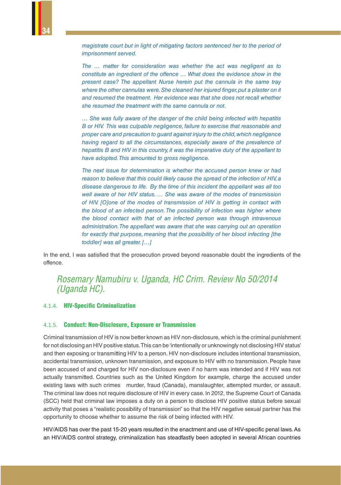*magistrate court but in light of mitigating factors sentenced her to the period of imprisonment served.*

*The … matter for consideration was whether the act was negligent as to constitute an ingredient of the offence … What does the evidence show in the present case? The appellant Nurse herein put the cannula in the same tray where the other cannulas were. She cleaned her injured finger, put a plaster on it and resumed the treatment. Her evidence was that she does not recall whether she resumed the treatment with the same cannula or not.*

*… She was fully aware of the danger of the child being infected with hepatitis B or HIV. This was culpable negligence, failure to exercise that reasonable and proper care and precaution to guard against injury to the child, which negligence having regard to all the circumstances, especially aware of the prevalence of hepatitis B and HIV in this country, it was the imperative duty of the appellant to have adopted. This amounted to gross negligence.*

*The next issue for determination is whether the accused person knew or had reason to believe that this could likely cause the spread of the infection of HIV, a disease dangerous to life. By the time of this incident the appellant was all too well aware of her HIV status. … She was aware of the modes of transmission of HIV. [O]one of the modes of transmission of HIV is getting in contact with the blood of an infected person. The possibility of infection was higher where the blood contact with that of an infected person was through intravenous administration. The appellant was aware that she was carrying out an operation for exactly that purpose, meaning that the possibility of her blood infecting [the toddler] was all greater. […]*

In the end, I was satisfied that the prosecution proved beyond reasonable doubt the ingredients of the offence.

# *Rosemary Namubiru v. Uganda, HC Crim. Review No 50/2014 (Uganda HC).*

#### 4.1.4. HIV-Specific Criminalization

#### 4.1.5. Conduct: Non-Disclosure, Exposure or Transmission

Criminal transmission of HIV is now better known as HIV non-disclosure, which is the criminal punishment for not disclosing an HIV positive status. This can be 'intentionally or unknowingly not disclosing HIV status' and then exposing or transmitting HIV to a person. HIV non-disclosure includes intentional transmission, accidental transmission, unknown transmission, and exposure to HIV with no transmission. People have been accused of and charged for HIV non-disclosure even if no harm was intended and if HIV was not actually transmitted. Countries such as the United Kingdom for example, charge the accused under existing laws with such crimes murder, fraud (Canada), manslaughter, attempted murder, or assault. The criminal law does not require disclosure of HIV in every case. In 2012, the Supreme Court of Canada (SCC) held that criminal law imposes a duty on a person to disclose HIV positive status before sexual activity that poses a "realistic possibility of transmission" so that the HIV negative sexual partner has the opportunity to choose whether to assume the risk of being infected with HIV.

HIV/AIDS has over the past 15-20 years resulted in the enactment and use of HIV-specific penal laws. As an HIV/AIDS control strategy, criminalization has steadfastly been adopted in several African countries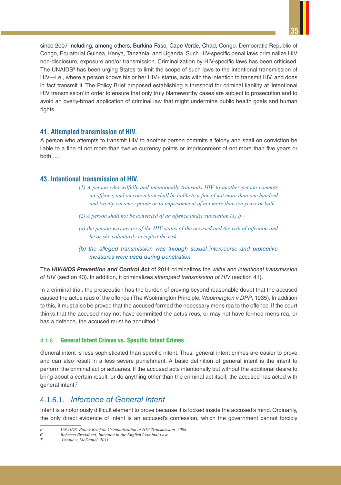since 2007 including, among others, Burkina Faso, Cape Verde, Chad, Congo, Democratic Republic of Congo, Equatorial Guinea, Kenya, Tanzania, and Uganda. Such HIV-specific penal laws criminalize HIV non-disclosure, exposure and/or transmission. Criminalization by HIV-specific laws has been criticised. The UNAIDS<sup>5</sup> has been urging States to limit the scope of such laws to the intentional transmission of HIV—i.e., where a person knows his or her HIV+ status, acts with the intention to transmit HIV, and does in fact transmit it. The Policy Brief proposed establishing a threshold for criminal liability at 'intentional HIV transmission' in order to ensure that only truly blameworthy cases are subject to prosecution and to avoid an overly-broad application of criminal law that might undermine public health goals and human rights.

#### **41. Attempted transmission of HIV.**

A person who attempts to transmit HIV to another person commits a felony and shall on conviction be liable to a fine of not more than twelve currency points or imprisonment of not more than five years or both.…

#### **43. Intentional transmission of HIV.**

- *(1) A person who wilfully and intentionally transmits HIV to another person commits an offence, and on conviction shall be liable to a fine of not more than one hundred and twenty currency points or to imprisonment of not more than ten years or both.*
- *(2) A person shall not be convicted of an offence under subsection (1) if—*
- *(a) the person was aware of the HIV status of the accused and the risk of infection and he or she voluntarily accepted the risk;*
- *(b) the alleged transmission was through sexual intercourse and protective measures were used during penetration.*

The *HIV/AIDS Prevention and Control Act* of 2014 criminalizes the *wilful* and *intentional transmission of HIV* (section 43). In addition, it criminalizes *attempted transmission of HIV* (section 41).

In a criminal trial, the prosecution has the burden of proving beyond reasonable doubt that the accused caused the actus reus of the offence (The Woolmington Principle, *Woolmington v DPP*, 1935). In addition to this, it must also be proved that the accused formed the necessary mens rea to the offence. If the court thinks that the accused may not have committed the actus reus, or may not have formed mens rea, or has a defence, the accused must be acquitted.<sup>6</sup>

#### 4.1.6. General Intent Crimes vs. Specific Intent Crimes

General intent is less sophisticated than specific intent. Thus, general intent crimes are easier to prove and can also result in a less severe punishment. A basic definition of general intent is the intent to perform the criminal act or actuaries. If the accused acts intentionally but without the additional desire to bring about a certain result, or do anything other than the criminal act itself, the accused has acted with general intent.7

# 4.1.6.1. *Inference of General Intent*

Intent is a notoriously difficult element to prove because it is locked inside the accused's mind. Ordinarily, the only direct evidence of intent is an accused's confession, which the government cannot forcibly

*<sup>5</sup> UNAIDS, Policy Brief on Criminalization of HIV Transmission, 2008.*

*<sup>6</sup> Rebecca Broadbent, Intention in the English Criminal Law.*

*<sup>7</sup> People v. McDaniel, 2011*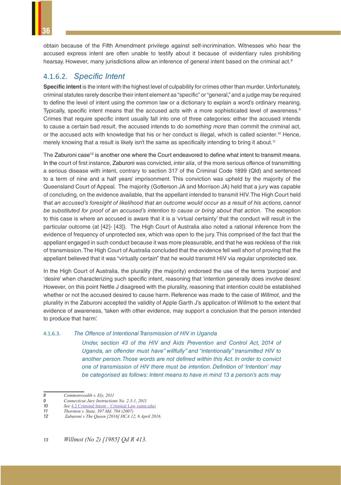obtain because of the Fifth Amendment privilege against self-incrimination. Witnesses who hear the accused express intent are often unable to testify about it because of evidentiary rules prohibiting hearsay. However, many jurisdictions allow an inference of general intent based on the criminal act.<sup>8</sup>

# 4.1.6.2. *Specific Intent*

**Specific intent** is the intent with the highest level of culpability for crimes other than murder. Unfortunately, criminal statutes rarely describe their intent element as "specific" or "general," and a judge may be required to define the level of intent using the common law or a dictionary to explain a word's ordinary meaning. Typically, specific intent means that the accused acts with a more sophisticated level of awareness.9 Crimes that require specific intent usually fall into one of three categories: either the accused intends to cause a certain bad *result*, the accused intends to do *something more* than commit the criminal act, or the accused acts with knowledge that his or her conduct is illegal, which is called scienter.10 Hence, merely knowing that a result is likely isn't the same as specifically intending to bring it about.<sup>11</sup>

The Zaburoni case<sup>12</sup> is another one where the Court endeavored to define what intent to transmit means. In the court of first instance, Zaburoni was convicted, *inter alia*, of the more serious offence of transmitting a serious disease with intent, contrary to section 317 of the Criminal Code 1899 (Qld) and sentenced to a term of nine and a half years' imprisonment. This conviction was upheld by the majority of the Queensland Court of Appeal. The majority (Gotterson JA and Morrison JA) held that a jury was capable of concluding, on the evidence available, that the appellant intended to transmit HIV. The High Court held that *an accused's foresight of likelihood that an outcome would occur as a result of his actions, cannot be substituted for proof of an accused's intention to cause or bring about that action.* The exception to this case is where an accused is aware that it is a 'virtual certainty' that the conduct will result in the particular outcome (at [42]- [43]). The High Court of Australia also noted a rational inference from the evidence of frequency of unprotected sex, which was open to the jury. This comprised of the fact that the appellant engaged in such conduct because it was more pleasurable, and that he was reckless of the risk of transmission. The High Court of Australia concluded that the evidence fell well short of proving that the appellant believed that it was "virtually certain" that he would transmit HIV via regular unprotected sex.

In the High Court of Australia, the plurality (the majority) endorsed the use of the terms 'purpose' and 'desire' when characterizing such specific intent, reasoning that 'intention generally does involve desire'. However, on this point Nettle J disagreed with the plurality, reasoning that intention could be established whether or not the accused desired to cause harm. Reference was made to the case of *Willmot,* and the plurality in the Zaburoni accepted the validity of Apple Garth J's application of Willmott to the extent that evidence of awareness, 'taken with other evidence, may support a conclusion that the person intended to produce that harm'.

#### 4.1.6.3. *The Offence of Intentional Transmission of HIV in Uganda*

*Under, section 43 of the HIV and Aids Prevention and Control Act, 2014 of Uganda, an offender must have" willfully" and "intentionally" transmitted HIV to another person. Those words are not defined within this Act. In order to convict one of transmission of HIV there must be intention. Definition of 'Intention' may be categorised as follows: Intent means to have in mind 13 a person's acts may* 

*<sup>8</sup> Commonwealth v. Ely, 2011*

*<sup>9</sup> Connecticut Jury Instructions No. 2.3-1, 2011*

*<sup>10</sup> See* 4.2 Criminal Intent – Criminal Law (umn.edu)<br>*11 Thornton v. State.* 397 *Md.* 704 (2007)

*<sup>11</sup> Thornton v. State, 397 Md. 704 (2007)*

*<sup>12</sup> Zaburoni v The Queen [2016] HCA 12, 6 April 2016.*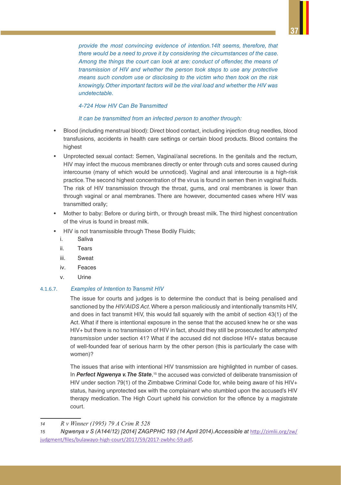

*provide the most convincing evidence of intention.14It seems, therefore, that there would be a need to prove it by considering the circumstances of the case. Among the things the court can look at are: conduct of offender, the means of transmission of HIV and whether the person took steps to use any protective means such condom use or disclosing to the victim who then took on the risk knowingly. Other important factors will be the viral load and whether the HIV was undetectable.*

#### *4-724 How HIV Can Be Transmitted*

#### *It can be transmitted from an infected person to another through:*

- Blood (including menstrual blood): Direct blood contact, including injection drug needles, blood transfusions, accidents in health care settings or certain blood products. Blood contains the highest
- Unprotected sexual contact: Semen, Vaginal/anal secretions. In the genitals and the rectum, HIV may infect the mucous membranes directly or enter through cuts and sores caused during intercourse (many of which would be unnoticed). Vaginal and anal intercourse is a high-risk practice. The second highest concentration of the virus is found in semen then in vaginal fluids. The risk of HIV transmission through the throat, gums, and oral membranes is lower than through vaginal or anal membranes. There are however, documented cases where HIV was transmitted orally;
- Mother to baby: Before or during birth, or through breast milk. The third highest concentration of the virus is found in breast milk.
- HIV is not transmissible through These Bodily Fluids;
	- i. Saliva
	- ii. Tears
	- iii. Sweat
	- iv. Feaces
	- v. Urine

#### 4.1.6.7. *Examples of Intention to Transmit HIV*

The issue for courts and judges is to determine the conduct that is being penalised and sanctioned by the *HIV/AIDS Act*. Where a person maliciously and intentionally transmits HIV, and does in fact transmit HIV, this would fall squarely with the ambit of section 43(1) of the Act. What if there is intentional exposure in the sense that the accused knew he or she was HIV+ but there is no transmission of HIV in fact, should they still be prosecuted for *attempted transmission* under section 41? What if the accused did not disclose HIV+ status because of well-founded fear of serious harm by the other person (this is particularly the case with women)?

The issues that arise with intentional HIV transmission are highlighted in number of cases. In Perfect Ngwenya v. The State,<sup>15</sup> the accused was convicted of deliberate transmission of HIV under section 79(1) of the Zimbabwe Criminal Code for, while being aware of his HIV+ status, having unprotected sex with the complainant who stumbled upon the accused's HIV therapy medication. The High Court upheld his conviction for the offence by a magistrate court.

*<sup>14</sup> R v Winner (1995) 79 A Crim R 528*

*<sup>15</sup> Ngwenya v S (A144/12) [2014] ZAGPPHC 193 (14 April 2014).Accessible at* http://zimlii.org/zw/ judgment/files/bulawayo-high-court/2017/59/2017-zwbhc-59.pdf*.*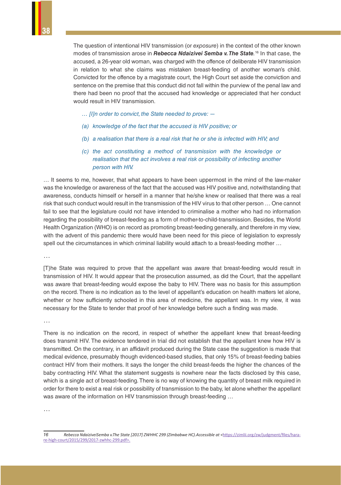The question of intentional HIV transmission (or *exposure*) in the context of the other known modes of transmission arose in *Rebecca Ndaizivei Semba v. The State.* 16 In that case, the accused, a 26-year old woman, was charged with the offence of deliberate HIV transmission in relation to what she claims was mistaken breast-feeding of another woman's child. Convicted for the offence by a magistrate court, the High Court set aside the conviction and sentence on the premise that this conduct did not fall within the purview of the penal law and there had been no proof that the accused had knowledge or appreciated that her conduct would result in HIV transmission.

- *… [I]n order to convict, the State needed to prove: —*
- *(a) knowledge of the fact that the accused is HIV positive; or*
- *(b) a realisation that there is a real risk that he or she is infected with HIV; and*
- *(c) the act constituting a method of transmission with the knowledge or realisation that the act involves a real risk or possibility of infecting another person with HIV.*

… It seems to me, however, that what appears to have been uppermost in the mind of the law-maker was the knowledge or awareness of the fact that the accused was HIV positive and, notwithstanding that awareness, conducts himself or herself in a manner that he/she knew or realised that there was a real risk that such conduct would result in the transmission of the HIV virus to that other person … One cannot fail to see that the legislature could not have intended to criminalise a mother who had no information regarding the possibility of breast-feeding as a form of mother-to-child-transmission. Besides, the World Health Organization (WHO) is on record as promoting breast-feeding generally, and therefore in my view, with the advent of this pandemic there would have been need for this piece of legislation to expressly spell out the circumstances in which criminal liability would attach to a breast-feeding mother …

…

[T}he State was required to prove that the appellant was aware that breast-feeding would result in transmission of HIV. It would appear that the prosecution assumed, as did the Court, that the appellant was aware that breast-feeding would expose the baby to HIV. There was no basis for this assumption on the record. There is no indication as to the level of appellant's education on health matters let alone, whether or how sufficiently schooled in this area of medicine, the appellant was. In my view, it was necessary for the State to tender that proof of her knowledge before such a finding was made.

…

There is no indication on the record, in respect of whether the appellant knew that breast-feeding does transmit HIV. The evidence tendered in trial did not establish that the appellant knew how HIV is transmitted. On the contrary, in an affidavit produced during the State case the suggestion is made that medical evidence, presumably though evidenced-based studies, that only 15% of breast-feeding babies contract HIV from their mothers. It says the longer the child breast-feeds the higher the chances of the baby contracting HIV. What the statement suggests is nowhere near the facts disclosed by this case, which is a single act of breast-feeding. There is no way of knowing the quantity of breast milk required in order for there to exist a real risk or possibility of transmission to the baby, let alone whether the appellant was aware of the information on HIV transmission through breast-feeding ...

…

*<sup>16</sup> Rebecca NdaiziveiSemba v.The State [2017] ZWHHC 299 (Zimbabwe HC).Accessible at <*https://zimlii.org/zw/judgment/files/harare-high-court/2015/299/2017-zwhhc-299.pdf>.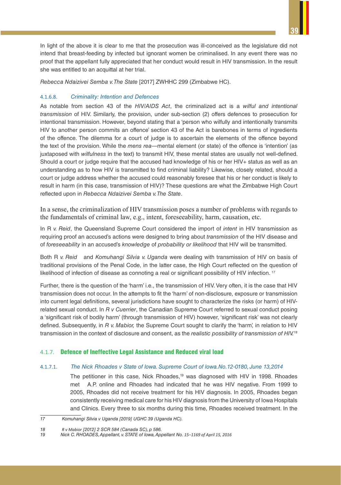In light of the above it is clear to me that the prosecution was ill-conceived as the legislature did not intend that breast-feeding by infected but ignorant women be criminalised. In any event there was no proof that the appellant fully appreciated that her conduct would result in HIV transmission. In the result she was entitled to an acquittal at her trial.

*Rebecca Ndaizivei Semba v. The State* [2017] ZWHHC 299 (Zimbabwe HC).

#### 4.1.6.8. *Criminality: Intention and Defences*

As notable from section 43 of the *HIV/AIDS Act*, the criminalized act is a *wilful and intentional transmission* of HIV. Similarly, the provision, under sub-section (2) offers defences to prosecution for intentional transmission. However, beyond stating that a 'person who wilfully and intentionally transmits HIV to another person commits an offence' section 43 of the Act is barebones in terms of ingredients of the offence. The dilemma for a court of judge is to ascertain the elements of the offence beyond the text of the provision. While the *mens rea*—mental element (or state) of the offence is 'intention' (as juxtaposed with *wilfulness* in the text) to transmit HIV, these mental states are usually not well-defined. Should a court or judge require that the accused had knowledge of his or her HIV+ status as well as an understanding as to how HIV is transmitted to find criminal liability? Likewise, closely related, should a court or judge address whether the accused could reasonably foresee that his or her conduct is likely to result in harm (in this case, transmission of HIV)? These questions are what the Zimbabwe High Court reflected upon in *Rebecca Ndaizivei Semba v. The State*.

In a sense, the criminalization of HIV transmission poses a number of problems with regards to the fundamentals of criminal law, e.g., intent, foreseeability, harm, causation, etc.

In R *v. Reid*, the Queensland Supreme Court considered the import of *intent* in HIV transmission as requiring proof an accused's actions were designed to bring about *transmission* of the HIV disease and of *foreseeability* in an accused's *knowledge* of *probability or likelihood* that HIV will be transmitted.

Both R *v. Reid* and *Komuhangi Silvia v. Uganda* were dealing with transmission of HIV on basis of traditional provisions of the Penal Code, in the latter case, the High Court reflected on the question of likelihood of infection of disease as connoting a real or significant possibility of HIV infection.<sup>17</sup>

Further, there is the question of the 'harm' i.e., the transmission of HIV. Very often, it is the case that HIV transmission does not occur. In the attempts to fit the 'harm' of non-disclosure, exposure or transmission into current legal definitions, several jurisdictions have sought to characterize the risks (or harm) of HIVrelated sexual conduct. In *R v Cuerrier*, the Canadian Supreme Court referred to sexual conduct posing a 'significant risk of bodily harm' (through transmission of HIV) however, 'significant risk' was not clearly defined. Subsequently, in *R v. Mabior,* the Supreme Court sought to clarify the 'harm', in relation to HIV transmission in the context of disclosure and consent, as the *realistic possibility of transmission of HIV.18*

#### 4.1.7. Defence of Ineffective Legal Assistance and Reduced viral load

#### 4.1.7.1. *The Nick Rhoades v State of lowa. Supreme Court of lowa.No.12-0180, June 13,2014*

The petitioner in this case, Nick Rhoades,<sup>19</sup> was diagnosed with HIV in 1998. Rhoades met A.P. online and Rhoades had indicated that he was HIV negative. From 1999 to 2005, Rhoades did not receive treatment for his HIV diagnosis. In 2005, Rhoades began consistently receiving medical care for his HIV diagnosis from the University of Iowa Hospitals and Clinics. Every three to six months during this time, Rhoades received treatment. In the

*<sup>17</sup> Komuhangi Silvia v Uganda [2019] UGHC 39 (Uganda HC).*

*<sup>18</sup> R v Mabior [2012] 2 SCR 584 (Canada SC), p 586.*

*<sup>19</sup> Nick C. RHOADES, Appellant, v. STATE of Iowa, Appellant No. 15–1169 of April 15, 2016*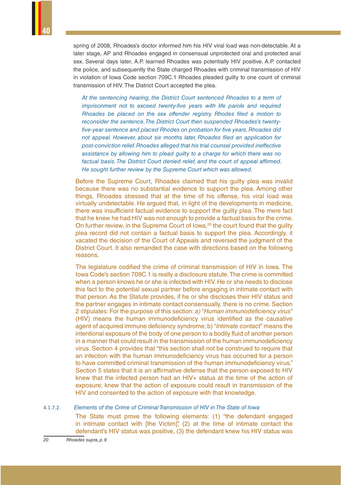spring of 2008, Rhoades's doctor informed him his HIV viral load was non-detectable. At a later stage, AP and Rhoades engaged in consensual unprotected oral and protected anal sex. Several days later, A.P. learned Rhoades was potentially HIV positive. A.P. contacted the police, and subsequently the State charged Rhoades with criminal transmission of HIV in violation of Iowa Code section 709C.1 Rhoades pleaded guilty to one count of criminal transmission of HIV. The District Court accepted the plea.

*At the sentencing hearing, the District Court sentenced Rhoades to a term of imprisonment not to exceed twenty-five years with life parole and required Rhoades be placed on the sex offender registry. Rhodes filed a motion to reconsider the sentence. The District Court then suspended Rhoades's twentyfive-year sentence and placed Rhodes on probation for five years. Rhoades did not appeal. However, about six months later, Rhoades filed an application for post-conviction relief. Rhoades alleged that his trial counsel provided ineffective assistance by allowing him to plead guilty to a charge for which there was no factual basis. The District Court denied relief, and the court of appeal affirmed. He sought further review by the Supreme Court which was allowed.*

Before the Supreme Court, Rhoades claimed that his guilty plea was invalid because there was no substantial evidence to support the plea. Among other things, Rhoades stressed that at the time of his offense, his viral load was virtually undetectable. He argued that, in light of the developments in medicine, there was insufficient factual evidence to support the guilty plea. The mere fact that he knew he had HIV was not enough to provide a factual basis for the crime. On further review, in the Supreme Court of Iowa,<sup>20</sup> the court found that the quilty plea record did not contain a factual basis to support the plea. Accordingly, it vacated the decision of the Court of Appeals and reversed the judgment of the District Court. It also remanded the case with directions based on the following reasons.

The legislature codified the crime of criminal transmission of HIV in Iowa. The Iowa Code's section 709C.1 is really a disclosure statute. The crime is committed when a person knows he or she is infected with HIV. He or she needs to disclose this fact to the potential sexual partner before engaging in intimate contact with that person. As the Statute provides, if he or she discloses their HIV status and the partner engages in intimate contact consensually, there is no crime. Section 2 stipulates: For the purpose of this section: *a)* "*Human immunodeficiency virus*" (HIV) means the human immunodeficiency virus identified as the causative agent of acquired immune deficiency syndrome; b) "*Intimate contact*" means the intentional exposure of the body of one person to a bodily fluid of another person in a manner that could result in the transmission of the human immunodeficiency virus. Section 4 provides that "this section shall not be construed to require that an infection with the human immunodeficiency virus has occurred for a person to have committed criminal transmission of the human immunodeficiency virus." Section 5 states that it is an affirmative defense that the person exposed to HIV knew that the infected person had an HIV+ status at the time of the action of exposure; knew that the action of exposure could result in transmission of the HIV and consented to the action of exposure with that knowledge.

#### 4.1.7.2. *Elements of the Crime of Criminal Transmission of HIV in The State of Iowa*

The State must prove the following elements: (1) "the defendant engaged in intimate contact with [the Victim]", (2) at the time of intimate contact the defendant's HIV status was positive, (3) the defendant knew his HIV status was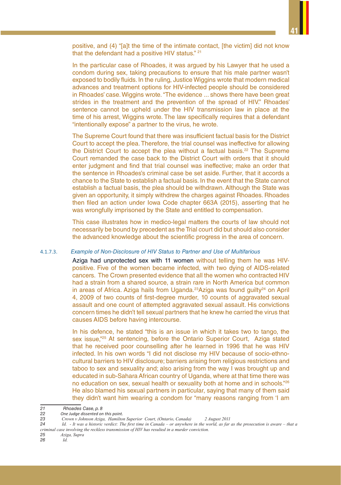

positive, and (4) "[a]t the time of the intimate contact, [the victim] did not know that the defendant had a positive HIV status."<sup>21</sup>

In the particular case of Rhoades, it was argued by his Lawyer that he used a condom during sex, taking precautions to ensure that his male partner wasn't exposed to bodily fluids. In the ruling, Justice Wiggins wrote that modern medical advances and treatment options for HIV-infected people should be considered in Rhoades' case. Wiggins wrote. "The evidence ... shows there have been great strides in the treatment and the prevention of the spread of HIV." Rhoades' sentence cannot be upheld under the HIV transmission law in place at the time of his arrest, Wiggins wrote. The law specifically requires that a defendant "intentionally expose" a partner to the virus, he wrote.

The Supreme Court found that there was insufficient factual basis for the District Court to accept the plea. Therefore, the trial counsel was ineffective for allowing the District Court to accept the plea without a factual basis.<sup>22</sup> The Supreme Court remanded the case back to the District Court with orders that it should enter judgment and find that trial counsel was ineffective; make an order that the sentence in Rhoades's criminal case be set aside. Further, that it accords a chance to the State to establish a factual basis. In the event that the State cannot establish a factual basis, the plea should be withdrawn. Although the State was given an opportunity, it simply withdrew the charges against Rhoades. Rhoades then filed an action under Iowa Code chapter 663A (2015), asserting that he was wrongfully imprisoned by the State and entitled to compensation.

This case illustrates how in medico-legal matters the courts of law should not necessarily be bound by precedent as the Trial court did but should also consider the advanced knowledge about the scientific progress in the area of concern.

#### 4.1.7.3. *Example of Non-Disclosure of HIV Status to Partner and Use of Multifarious*

Aziga had unprotected sex with 11 women without telling them he was HIVpositive. Five of the women became infected, with two dying of AIDS-related cancers. The Crown presented evidence that all the women who contracted HIV had a strain from a shared source, a strain rare in North America but common in areas of Africa. Aziga hails from Uganda.<sup>23</sup>Aziga was found guilty<sup>24</sup> on April 4, 2009 of two counts of first-degree murder, 10 counts of aggravated sexual assault and one count of attempted aggravated sexual assault. His convictions concern times he didn't tell sexual partners that he knew he carried the virus that causes AIDS before having intercourse.

In his defence, he stated "this is an issue in which it takes two to tango, the sex issue,"25 At sentencing, before the Ontario Superior Court, Aziga stated that he received poor counselling after he learned in 1996 that he was HIV infected. In his own words "I did not disclose my HIV because of socio-ethnocultural barriers to HIV disclosure; barriers arising from religious restrictions and taboo to sex and sexuality and; also arising from the way I was brought up and educated in sub-Sahara African country of Uganda, where at that time there was no education on sex, sexual health or sexuality both at home and in schools."26 He also blamed his sexual partners in particular, saying that many of them said they didn't want him wearing a condom for "many reasons ranging from 'I am

*<sup>21</sup> Rhoades Case, p. 8*

*<sup>22</sup> One Judge dissented on this point.*

*<sup>23</sup> Crown v Johnson Aziga, Hamilton Superior Court, (Ontario, Canada) 2 August 2011*

*<sup>24</sup> Id. - It was a historic verdict: The first time in Canada – or anywhere in the world, as far as the prosecution is aware – that a criminal case involving the reckless transmission of HIV has resulted in a murder conviction.* 

*<sup>25</sup> Aziga, Supra*

*<sup>26</sup> Id.*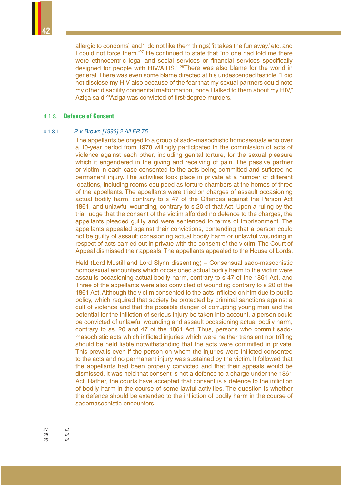allergic to condoms', and 'I do not like them things', 'it takes the fun away,' etc. and I could not force them."27 He continued to state that "no one had told me there were ethnocentric legal and social services or financial services specifically designed for people with HIV/AIDS." <sup>28</sup>There was also blame for the world in general. There was even some blame directed at his undescended testicle. "I did not disclose my HIV also because of the fear that my sexual partners could note my other disability congenital malformation, once I talked to them about my HIV," Aziga said.29Aziga was convicted of first-degree murders.

#### 4.1.8. Defence of Consent

#### 4.1.8.1. *R v. Brown [1993] 2 All ER 75*

The appellants belonged to a group of sado-masochistic homosexuals who over a 10-year period from 1978 willingly participated in the commission of acts of violence against each other, including genital torture, for the sexual pleasure which it engendered in the giving and receiving of pain. The passive partner or victim in each case consented to the acts being committed and suffered no permanent injury. The activities took place in private at a number of different locations, including rooms equipped as torture chambers at the homes of three of the appellants. The appellants were tried on charges of assault occasioning actual bodily harm, contrary to s 47 of the Offences against the Person Act 1861, and unlawful wounding, contrary to s 20 of that Act. Upon a ruling by the trial judge that the consent of the victim afforded no defence to the charges, the appellants pleaded guilty and were sentenced to terms of imprisonment. The appellants appealed against their convictions, contending that a person could not be guilty of assault occasioning actual bodily harm or unlawful wounding in respect of acts carried out in private with the consent of the victim. The Court of Appeal dismissed their appeals. The appellants appealed to the House of Lords.

Held (Lord Mustill and Lord Slynn dissenting) – Consensual sado-masochistic homosexual encounters which occasioned actual bodily harm to the victim were assaults occasioning actual bodily harm, contrary to s 47 of the 1861 Act, and Three of the appellants were also convicted of wounding contrary to s 20 of the 1861 Act. Although the victim consented to the acts inflicted on him due to public policy, which required that society be protected by criminal sanctions against a cult of violence and that the possible danger of corrupting young men and the potential for the infliction of serious injury be taken into account, a person could be convicted of unlawful wounding and assault occasioning actual bodily harm, contrary to ss. 20 and 47 of the 1861 Act. Thus, persons who commit sadomasochistic acts which inflicted injuries which were neither transient nor trifling should be held liable notwithstanding that the acts were committed in private. This prevails even if the person on whom the injuries were inflicted consented to the acts and no permanent injury was sustained by the victim. It followed that the appellants had been properly convicted and that their appeals would be dismissed. It was held that consent is not a defence to a charge under the 1861 Act. Rather, the courts have accepted that consent is a defence to the infliction of bodily harm in the course of some lawful activities. The question is whether the defence should be extended to the infliction of bodily harm in the course of sadomasochistic encounters.

| 27 | Id. |
|----|-----|
| 28 | Id. |
| 29 | Id  |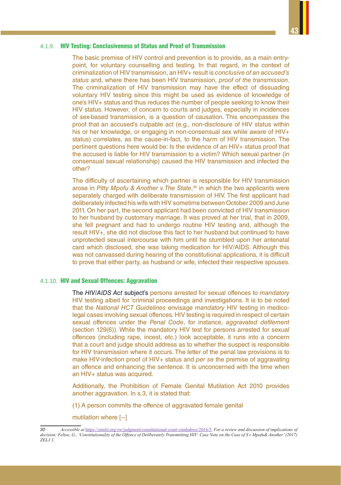#### 4.1.9. HIV Testing: Conclusiveness of Status and Proof of Transmission

The basic premise of HIV control and prevention is to provide, as a main entrypoint, for voluntary counselling and testing. In that regard, in the context of criminalization of HIV transmission, an HIV+ result is *conclusive of an accused's status* and, where there has been HIV transmission, *proof of the transmission*. The criminalization of HIV transmission may have the effect of dissuading voluntary HIV testing since this might be used as evidence of knowledge of one's HIV+ status and thus reduces the number of people seeking to know their HIV status. However, of concern to courts and judges, especially in incidences of sex-based transmission, is a question of causation. This encompasses the proof that an accused's culpable act (e.g., non-disclosure of HIV status within his or her knowledge, or engaging in non-consensual sex while aware of HIV+ status) correlates, as the cause-in-fact, to the harm of HIV transmission. The pertinent questions here would be: Is the evidence of an HIV+ status proof that the accused is liable for HIV transmission to a victim? Which sexual partner (in consensual sexual relationship) caused the HIV transmission and infected the other?

The difficulty of ascertaining which partner is responsible for HIV transmission arose in *Pitty Mpofu & Another v. The State*, 30 in which the two applicants were separately charged with deliberate transmission of HIV. The first applicant had deliberately infected his wife with HIV sometime between October 2009 and June 2011. On her part, the second applicant had been convicted of HIV transmission to her husband by customary marriage. It was proved at her trial, that in 2009, she fell pregnant and had to undergo routine HIV testing and, although the result HIV+, she did not disclose this fact to her husband but continued to have unprotected sexual intercourse with him until he stumbled upon her antenatal card which disclosed, she was taking medication for HIV/AIDS. Although this was not canvassed during hearing of the constitutional applications, it is difficult to prove that either party, as husband or wife, infected their respective spouses.

#### 4.1.10. HIV and Sexual Offences: Aggravation

The *HIV/AIDS Act* subject's persons arrested for sexual offences to *mandatory* HIV testing albeit for 'criminal proceedings and investigations. It is to be noted that the *National HCT Guidelines* envisage *mandatory* HIV testing in medicolegal cases involving sexual offences. HIV testing is required in respect of certain sexual offences under the *Penal Code*, for instance, *aggravated defilement* (section 129(6)). While the mandatory HIV test for persons arrested for sexual offences (including rape, incest, etc.) look acceptable, it runs into a concern that a court and judge should address as to whether the suspect is responsible for HIV transmission where it occurs. The letter of the penal law provisions is to make HIV-infection proof of HIV+ status and *per se* the premise of aggravating an offence and enhancing the sentence. It is unconcerned with the time when an HIV+ status was acquired.

Additionally, the Prohibition of Female Genital Mutilation Act 2010 provides another aggravation. In s.3, it is stated that:

(1) A person commits the offence of aggravated female genital

mutilation where [--]

*<sup>30</sup> Accessible at* https://zimlii.org/zw/judgment/constitutional-court-zimbabwe/2016/5*. For a review and discussion of implications of decision: Feltoe, G., 'Constitutionality of the Offence of Deliberately Transmitting HIV: Case Note on the Case of S v Mpofu& Another' (2017) ZELJ 3.*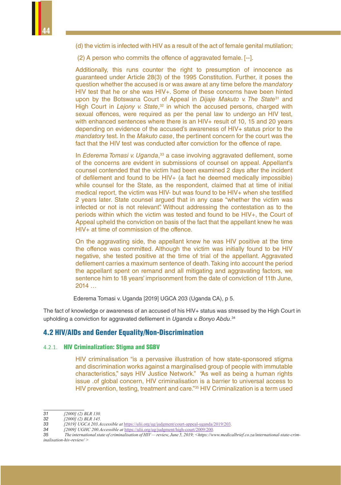(d) the victim is infected with HIV as a result of the act of female genital mutilation;

(2) A person who commits the offence of aggravated female. [--].

Additionally, this runs counter the right to presumption of innocence as guaranteed under Article 28(3) of the 1995 Constitution. Further, it poses the question whether the accused is or was aware at any time before the *mandatory*  HIV test that he or she was HIV+. Some of these concerns have been hinted upon by the Botswana Court of Appeal in *Dijaje Makuto v. The State*31 and High Court in Lejony v. State,<sup>32</sup> in which the accused persons, charged with sexual offences, were required as per the penal law to undergo an HIV test, with enhanced sentences where there is an HIV+ result of 10, 15 and 20 years depending on evidence of the accused's awareness of HIV+ status prior to the *mandatory* test. In the *Makuto case*, the pertinent concern for the court was the fact that the HIV test was conducted after conviction for the offence of rape.

In *Ederema Tomasi v. Uganda*, 33 a case involving aggravated defilement, some of the concerns are evident in submissions of counsel on appeal. Appellant's counsel contended that the victim had been examined 2 days after the incident of defilement and found to be HIV+ (a fact he deemed medically impossible) while counsel for the State, as the respondent, claimed that at time of initial medical report, the victim was HIV- but was found to be HIV+ when she testified 2 years later. State counsel argued that in any case "whether the victim was infected or not is not relevant". Without addressing the contestation as to the periods within which the victim was tested and found to be HIV+, the Court of Appeal upheld the conviction on basis of the fact that the appellant knew he was HIV+ at time of commission of the offence.

On the aggravating side, the appellant knew he was HIV positive at the time the offence was committed. Although the victim was initially found to be HIV negative, she tested positive at the time of trial of the appellant. Aggravated defilement carries a maximum sentence of death. Taking into account the period the appellant spent on remand and all mitigating and aggravating factors, we sentence him to 18 years' imprisonment from the date of conviction of 11th June, 2014 …

Ederema Tomasi v. Uganda [2019] UGCA 203 (Uganda CA), p 5.

The fact of knowledge or awareness of an accused of his HIV+ status was stressed by the High Court in upholding a conviction for aggravated defilement in *Uganda v. Bonyo Abdu*. 34

### 4.2 HIV/AIDs and Gender Equality/Non-Discrimination

#### 4.2.1. HIV Criminalization: Stigma and SGBV

HIV criminalisation "is a pervasive illustration of how state-sponsored stigma and discrimination works against a marginalised group of people with immutable characteristics," says HIV Justice Network." "As well as being a human rights issue .of global concern, HIV criminalisation is a barrier to universal access to HIV prevention, testing, treatment and care."35 HIV Criminalization is a term used

*<sup>31</sup> [2000] (2) BLR 130.*

*<sup>32</sup> [2000] (2) BLR 145.*

*<sup>33</sup> [2019] UGCA 203.Accessible at* https://ulii.org/ug/judgment/court-appeal-uganda/2019/203*.*

*<sup>34</sup> [2009] UGHC 200.Accessible at* https://ulii.org/ug/judgment/high-court/2009/200*.*

*<sup>35</sup> The international state of criminalisation of HIV — review, June 5, 2019; <https://www.medicalbrief.co.za/international-state-criminalisation-hiv-review/ >*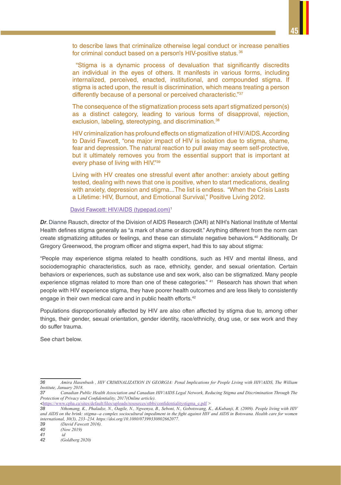to describe laws that criminalize otherwise legal conduct or increase penalties for criminal conduct based on a person's HIV-positive status. 36

 "Stigma is a dynamic process of devaluation that significantly discredits an individual in the eyes of others. It manifests in various forms, including internalized, perceived, enacted, institutional, and compounded stigma. If stigma is acted upon, the result is discrimination, which means treating a person differently because of a personal or perceived characteristic."37

The consequence of the stigmatization process sets apart stigmatized person(s) as a distinct category, leading to various forms of disapproval, rejection, exclusion, labeling, stereotyping, and discrimination.<sup>38</sup>

HIV criminalization has profound effects on stigmatization of HIV/AIDS. According to David Fawcett, "one major impact of HIV is isolation due to stigma, shame, fear and depression. The natural reaction to pull away may seem self-protective, but it ultimately removes you from the essential support that is important at every phase of living with HIV."<sup>39</sup>

Living with HV creates one stressful event after another: anxiety about getting tested, dealing with news that one is positive, when to start medications, dealing with anxiety, depression and stigma...The list is endless. "When the Crisis Lasts a Lifetime: HIV, Burnout, and Emotional Survival," Positive Living 2012.

#### David Fawcett: HIV/AIDS (typepad.com)<sup>1</sup>

*Dr.* Dianne Rausch, director of the Division of AIDS Research (DAR) at NIH's National Institute of Mental Health defines stigma generally as "a mark of shame or discredit." Anything different from the norm can create stigmatizing attitudes or feelings, and these can stimulate negative behaviors.40 Additionally, Dr Gregory Greenwood, the program officer and stigma expert, had this to say about stigma:

"People may experience stigma related to health conditions, such as HIV and mental illness, and sociodemographic characteristics, such as race, ethnicity, gender, and sexual orientation. Certain behaviors or experiences, such as substance use and sex work, also can be stigmatized. Many people experience stigmas related to more than one of these categories." <sup>41</sup> Research has shown that when people with HIV experience stigma, they have poorer health outcomes and are less likely to consistently engage in their own medical care and in public health efforts.<sup>42</sup>

Populations disproportionately affected by HIV are also often affected by stigma due to, among other things, their gender, sexual orientation, gender identity, race/ethnicity, drug use, or sex work and they do suffer trauma.

See chart below.

*<*https://www.cpha.ca/sites/default/files/uploads/resources/stbbi/confidentialitystigma\_e.pdf *>*

*<sup>36</sup> Amira Hasenbush , HIV CRIMINALIZATION IN GEORGIA: Penal Implications for People Living with HIV/AIDS, The William Institute, January 2018.*

*<sup>37</sup> Canadian Public Health Association and Canadian HIV/AIDS Legal Network, Reducing Stigma and Discrimination Through The Protection of Privacy and Confidentiality, 2017(Online article).*

*<sup>38</sup> Nthomang, K., Phaladze, N., Oagile, N., Ngwenya, B., Seboni, N., Gobotswang, K., &Kubanji, R. (2009). People living with HIV and AIDS on the brink: stigma--a complex sociocultural impediment in the fight against HIV and AIDS in Botswana. Health care for women international, 30(3), 233–234. https://doi.org/10.1080/07399330802662077.*

*<sup>39</sup> (David Fawcett 2016). 40 (Now 2019)*

*<sup>41</sup> id 42 (Goldberg 2020)*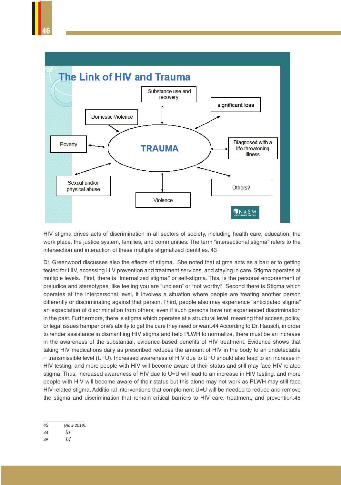

HIV stigma drives acts of discrimination in all sectors of society, including health care, education, the work place, the justice system, families, and communities. The term "intersectional stigma" refers to the intersection and interaction of these multiple stigmatized identities."43

Dr. Greenwood discusses also the effects of stigma. She noted that stigma acts as a barrier to getting tested for HIV, accessing HIV prevention and treatment services, and staying in care. Stigma operates at multiple levels. First, there is "Internalized stigma," or self-stigma. This, is the personal endorsement of prejudice and stereotypes, like feeling you are "unclean" or "not worthy." Second there is Stigma which operates at the interpersonal level, it involves a situation where people are treating another person differently or discriminating against that person. Third, people also may experience "anticipated stigma" an expectation of discrimination from others, even if such persons have not experienced discrimination in the past. Furthermore, there is stigma which operates at a structural level, meaning that access, policy, or legal issues hamper one's ability to get the care they need or want.44 According to Dr. Rausch, in order to render assistance in dismantling HIV stigma and help PLWH to normalize, there must be an increase in the awareness of the substantial, evidence-based benefits of HIV treatment. Evidence shows that taking HIV medications daily as prescribed reduces the amount of HIV in the body to an undetectable = transmissible level (U=U). Increased awareness of HIV due to U=U should also lead to an increase in HIV testing, and more people with HIV will become aware of their status and still may face HIV-related stigma. Thus, increased awareness of HIV due to U=U will lead to an increase in HIV testing, and more people with HIV will become aware of their status but this alone may not work as PLWH may still face HIV-related stigma. Additional interventions that complement U=U will be needed to reduce and remove the stigma and discrimination that remain critical barriers to HIV care, treatment, and prevention.45

*<sup>43</sup> (Now 2019).*

*<sup>44</sup> id*

*<sup>45</sup> Id*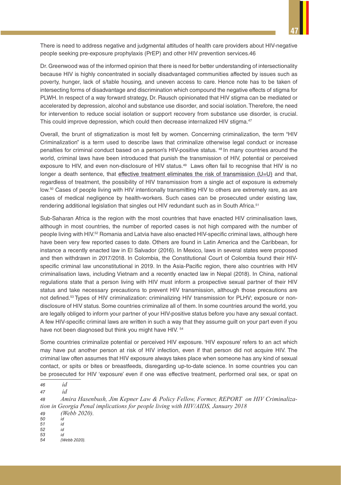There is need to address negative and judgmental attitudes of health care providers about HIV-negative people seeking pre-exposure prophylaxis (PrEP) and other HIV prevention services.46

Dr. Greenwood was of the informed opinion that there is need for better understanding of intersectionality because HIV is highly concentrated in socially disadvantaged communities affected by issues such as poverty, hunger, lack of s/table housing, and uneven access to care. Hence note has to be taken of intersecting forms of disadvantage and discrimination which compound the negative effects of stigma for PLWH. In respect of a way forward strategy, Dr. Rausch opinionated that HIV stigma can be mediated or accelerated by depression, alcohol and substance use disorder, and social isolation. Therefore, the need for intervention to reduce social isolation or support recovery from substance use disorder, is crucial. This could improve depression, which could then decrease internalized HIV stigma.<sup>47</sup>

Overall, the brunt of stigmatization is most felt by women. Concerning criminalization, the term "HIV Criminalization" is a term used to describe laws that criminalize otherwise legal conduct or increase penalties for criminal conduct based on a person's HIV-positive status. 48 In many countries around the world, criminal laws have been introduced that punish the transmission of HIV, potential or perceived exposure to HIV, and even non-disclosure of HIV status.49 Laws often fail to recognise that HIV is no longer a death sentence, that effective treatment eliminates the risk of transmission  $(U=U)$  and that, regardless of treatment, the possibility of HIV transmission from a single act of exposure is extremely low.<sup>50</sup> Cases of people living with HIV intentionally transmitting HIV to others are extremely rare, as are cases of medical negligence by health-workers. Such cases can be prosecuted under existing law, rendering additional legislation that singles out HIV redundant such as in South Africa.<sup>51</sup>

Sub-Saharan Africa is the region with the most countries that have enacted HIV criminalisation laws, although in most countries, the number of reported cases is not high compared with the number of people living with HIV.52 Romania and Latvia have also enacted HIV-specific criminal laws, although here have been very few reported cases to date. Others are found in Latin America and the Caribbean, for instance a recently enacted law in El Salvador (2016). In Mexico, laws in several states were proposed and then withdrawn in 2017/2018. In Colombia, the Constitutional Court of Colombia found their HIVspecific criminal law unconstitutional in 2019. In the Asia-Pacific region, there also countries with HIV criminalisation laws, including Vietnam and a recently enacted law in Nepal (2018). In China, national regulations state that a person living with HIV must inform a prospective sexual partner of their HIV status and take necessary precautions to prevent HIV transmission, although those precautions are not defined.53 Types of HIV criminalization: criminalizing HIV transmission for PLHV; exposure or nondisclosure of HIV status. Some countries criminalize all of them. In some countries around the world, you are legally obliged to inform your partner of your HIV-positive status before you have any sexual contact. A few HIV-specific criminal laws are written in such a way that they assume guilt on your part even if you have not been diagnosed but think you might have HIV.  $54$ 

Some countries criminalize potential or perceived HIV exposure. 'HIV exposure' refers to an act which may have put another person at risk of HIV infection, even if that person did not acquire HIV. The criminal law often assumes that HIV exposure always takes place when someone has any kind of sexual contact, or spits or bites or breastfeeds, disregarding up-to-date science. In some countries you can be prosecuted for HIV 'exposure' even if one was effective treatment, performed oral sex, or spat on

*49 (Webb 2020).*

*52 id*

*<sup>46</sup> id*

*<sup>47</sup> id*

*<sup>48</sup> Amira Hasenbush, Jim Kepner Law & Policy Fellow, Former, REPORT on HIV Criminalization in Georgia Penal implications for people living with HIV/AIDS, January 2018*

*<sup>50</sup> id 51 id*

*<sup>53</sup> id*

*<sup>54</sup> (Webb 2020).*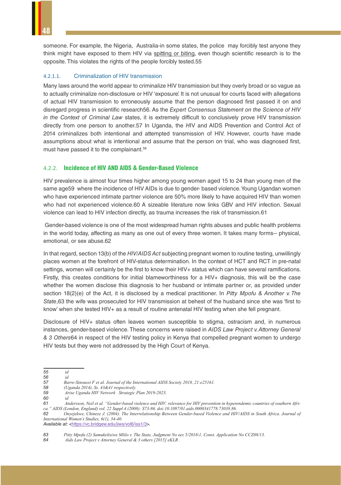someone. For example, the Nigeria, Australia-in some states, the police may forcibly test anyone they think might have exposed to them HIV via spitting or biting, even though scientific research is to the opposite. This violates the rights of the people forcibly tested.55

#### 4.2.1.1. Criminalization of HIV transmission

Many laws around the world appear to criminalize HIV transmission but they overly broad or so vague as to actually criminalize non-disclosure or HIV 'exposure'. It is not unusual for courts faced with allegations of actual HIV transmission to erroneously assume that the person diagnosed first passed it on and disregard progress in scientific research56. As the *Expert Consensus Statement on the Science of HIV in the Context of Criminal Law* states, it is extremely difficult to conclusively prove HIV transmission directly from one person to another.57 In Uganda, the *H*IV and AIDS Prevention and Control Act of 2014 criminalizes both intentional and attempted transmission of HIV. However, courts have made assumptions about what is intentional and assume that the person on trial, who was diagnosed first, must have passed it to the complainant.<sup>58</sup>

#### 4.2.2. Incidence of HIV AND AIDS & Gender-Based Violence

HIV prevalence is almost four times higher among young women aged 15 to 24 than young men of the same age59 where the incidence of HIV AIDs is due to gender- based violence. Young Ugandan women who have experienced intimate partner violence are 50% more likely to have acquired HIV than women who had not experienced violence.60 A sizeable literature now links GBV and HIV infection. Sexual violence can lead to HIV infection directly, as trauma increases the risk of transmission.61

 Gender-based violence is one of the most widespread human rights abuses and public health problems in the world today, affecting as many as one out of every three women. It takes many forms-- physical, emotional, or sex abuse.62

In that regard, section 13(b) of the *HIV/AIDS Act* subjecting pregnant women to routine testing, unwillingly places women at the forefront of HIV-status determination. In the context of HCT and RCT in pre-natal settings, women will certainly be the first to know their HIV+ status which can have several ramifications. Firstly, this creates conditions for initial blameworthiness for a HIV+ diagnosis, this will be the case whether the women disclose this diagnosis to her husband or intimate partner or, as provided under section 18(2)(e) of the Act, it is disclosed by a medical practitioner. In *Pitty Mpofu & Another v. The State*,63 the wife was prosecuted for HIV transmission at behest of the husband since she was 'first to know' when she tested HIV+ as a result of routine antenatal HIV testing when she fell pregnant.

Disclosure of HIV+ status often leaves women susceptible to stigma, ostracism and, in numerous instances, gender-based violence. These concerns were raised in *AIDS Law Project v. Attorney General & 3 Others*64 in respect of the HIV testing policy in Kenya that compelled pregnant women to undergo HIV tests but they were not addressed by the High Court of Kenya.

*<sup>55</sup> id 56 id*

*<sup>57</sup> Barre-Sinoussi F et al. Journal of the International AIDS Society 2018, 21:e25161.*

*<sup>58</sup> (Uganda 2014), Ss. 43&41 respectively.*

*<sup>59</sup> Arise Uganda HIV Network Strategic Plan 2019-2023.*

*<sup>60</sup> id*

*<sup>61</sup> Andersson, Neil et al. "Gender-based violence and HIV: relevance for HIV prevention in hyperendemic countries of southern Africa." AIDS (London, England) vol. 22 Suppl 4 (2008): S73-86. doi:10.1097/01.aids.0000341778.73038.86.*

*<sup>62</sup> Onyejekwe, Chineze J. (2004). The Interrelationship Between Gender-based Violence and HIV/AIDS in South Africa. Journal of International Women's Studies, 6(1), 34-40.*

*Available at: <*https://vc.bridgew.edu/jiws/vol6/iss1/3*>.*

*<sup>63</sup> Pitty Mpofu (2) Samukelisiwe Mlilo v. The State, Judgment No eez 5/2016\1, Const. Application No CCZ08/13.*

*<sup>64</sup> Aids Law Project v Attorney General & 3 others [2015] eKLR .*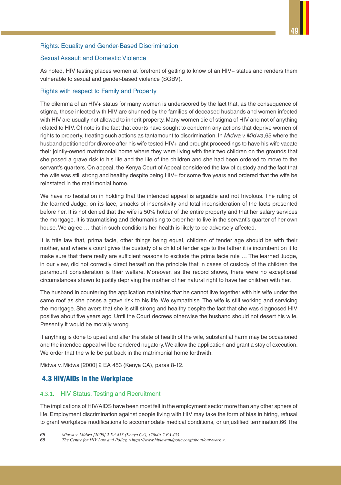#### Rights: Equality and Gender-Based Discrimination

#### Sexual Assault and Domestic Violence

As noted, HIV testing places women at forefront of getting to know of an HIV+ status and renders them vulnerable to sexual and gender-based violence (SGBV).

#### Rights with respect to Family and Property

The dilemma of an HIV+ status for many women is underscored by the fact that, as the consequence of stigma, those infected with HIV are shunned by the families of deceased husbands and women infected with HIV are usually not allowed to inherit property. Many women die of stigma of HIV and not of anything related to HIV. Of note is the fact that courts have sought to condemn any actions that deprive women of rights to property, treating such actions as tantamount to discrimination. In *Midwa v. Midwa*,65 where the husband petitioned for divorce after his wife tested HIV+ and brought proceedings to have his wife vacate their jointly-owned matrimonial home where they were living with their two children on the grounds that she posed a grave risk to his life and the life of the children and she had been ordered to move to the servant's quarters. On appeal, the Kenya Court of Appeal considered the law of custody and the fact that the wife was still strong and healthy despite being HIV+ for some five years and ordered that the wife be reinstated in the matrimonial home.

We have no hesitation in holding that the intended appeal is arguable and not frivolous. The ruling of the learned Judge, on its face, smacks of insensitivity and total inconsideration of the facts presented before her. It is not denied that the wife is 50% holder of the entire property and that her salary services the mortgage. It is traumatising and dehumanising to order her to live in the servant's quarter of her own house. We agree … that in such conditions her health is likely to be adversely affected.

It is trite law that, prima facie, other things being equal, children of tender age should be with their mother, and where a court gives the custody of a child of tender age to the father it is incumbent on it to make sure that there really are sufficient reasons to exclude the prima facie rule … The learned Judge, in our view, did not correctly direct herself on the principle that in cases of custody of the children the paramount consideration is their welfare. Moreover, as the record shows, there were no exceptional circumstances shown to justify depriving the mother of her natural right to have her children with her.

The husband in countering the application maintains that he cannot live together with his wife under the same roof as she poses a grave risk to his life. We sympathise. The wife is still working and servicing the mortgage. She avers that she is still strong and healthy despite the fact that she was diagnosed HIV positive about five years ago. Until the Court decrees otherwise the husband should not desert his wife. Presently it would be morally wrong.

If anything is done to upset and alter the state of health of the wife, substantial harm may be occasioned and the intended appeal will be rendered nugatory. We allow the application and grant a stay of execution. We order that the wife be put back in the matrimonial home forthwith.

Midwa v. Midwa [2000] 2 EA 453 (Kenya CA), paras 8-12.

# 4.3 HIV/AIDs in the Workplace

#### 4.3.1. HIV Status, Testing and Recruitment

The implications of HIV/AIDS have been most felt in the employment sector more than any other sphere of life. Employment discrimination against people living with HIV may take the form of bias in hiring, refusal to grant workplace modifications to accommodate medical conditions, or unjustified termination.66 The

*66 The Centre for HIV Law and Policy, <https://www.hivlawandpolicy.org/about/our-work >.*

*<sup>65</sup> Midwa v. Midwa [2000] 2 EA 453 (Kenya CA), [2000] 2 EA 453.*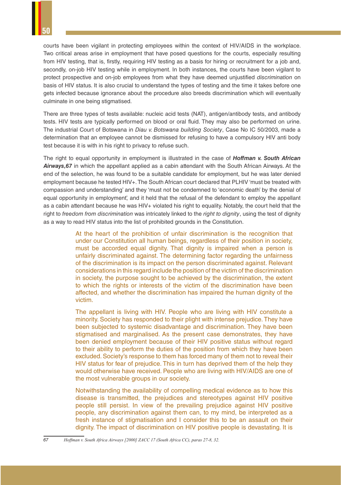courts have been vigilant in protecting employees within the context of HIV/AIDS in the workplace. Two critical areas arise in employment that have posed questions for the courts, especially resulting from HIV testing, that is, firstly, requiring HIV testing as a basis for hiring or recruitment for a job and, secondly, on-job HIV testing while in employment. In both instances, the courts have been vigilant to protect prospective and on-job employees from what they have deemed unjustified *discrimination* on basis of HIV status. It is also crucial to understand the types of testing and the time it takes before one gets infected because ignorance about the procedure also breeds discrimination which will eventually culminate in one being stigmatised.

There are three types of tests available: nucleic acid tests (NAT), antigen/antibody tests, and antibody tests. HIV tests are typically performed on blood or oral fluid. They may also be performed on urine. The industrial Court of Botswana in *Diau v. Botswana building Society*, Case No IC 50/2003, made a determination that an employee cannot be dismissed for refusing to have a compulsory HIV anti body test because it is with in his right to privacy to refuse such.

The right to equal opportunity in employment is illustrated in the case of *Hoffman v. South African Airways,67* in which the appellant applied as a cabin attendant with the South African Airways. At the end of the selection, he was found to be a suitable candidate for employment, but he was later denied employment because he tested HIV+. The South African court declared that PLHIV 'must be treated with compassion and understanding' and they 'must not be condemned to 'economic death' by the denial of equal opportunity in employment', and it held that the refusal of the defendant to employ the appellant as a cabin attendant because he was HIV+ violated his right to equality. Notably, the court held that the right to *freedom from discrimination* was intricately linked to the *right to dignity*, using the test of dignity as a way to read HIV status into the list of prohibited grounds in the Constitution.

> At the heart of the prohibition of unfair discrimination is the recognition that under our Constitution all human beings, regardless of their position in society, must be accorded equal dignity. That dignity is impaired when a person is unfairly discriminated against. The determining factor regarding the unfairness of the discrimination is its impact on the person discriminated against. Relevant considerations in this regard include the position of the victim of the discrimination in society, the purpose sought to be achieved by the discrimination, the extent to which the rights or interests of the victim of the discrimination have been affected, and whether the discrimination has impaired the human dignity of the victim.

> The appellant is living with HIV. People who are living with HIV constitute a minority. Society has responded to their plight with intense prejudice. They have been subjected to systemic disadvantage and discrimination. They have been stigmatised and marginalised. As the present case demonstrates, they have been denied employment because of their HIV positive status without regard to their ability to perform the duties of the position from which they have been excluded. Society's response to them has forced many of them not to reveal their HIV status for fear of prejudice. This in turn has deprived them of the help they would otherwise have received. People who are living with HIV/AIDS are one of the most vulnerable groups in our society.

> Notwithstanding the availability of compelling medical evidence as to how this disease is transmitted, the prejudices and stereotypes against HIV positive people still persist. In view of the prevailing prejudice against HIV positive people, any discrimination against them can, to my mind, be interpreted as a fresh instance of stigmatisation and I consider this to be an assault on their dignity. The impact of discrimination on HIV positive people is devastating. It is

*<sup>67</sup> Hoffman v. South Africa Airways [2000] ZACC 17 (South Africa CC), paras 27-8, 32.*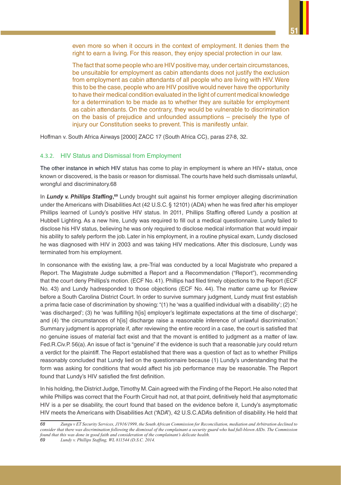**51**

even more so when it occurs in the context of employment. It denies them the right to earn a living. For this reason, they enjoy special protection in our law.

The fact that some people who are HIV positive may, under certain circumstances, be unsuitable for employment as cabin attendants does not justify the exclusion from employment as cabin attendants of all people who are living with HIV. Were this to be the case, people who are HIV positive would never have the opportunity to have their medical condition evaluated in the light of current medical knowledge for a determination to be made as to whether they are suitable for employment as cabin attendants. On the contrary, they would be vulnerable to discrimination on the basis of prejudice and unfounded assumptions – precisely the type of injury our Constitution seeks to prevent. This is manifestly unfair.

Hoffman v. South Africa Airways [2000] ZACC 17 (South Africa CC), paras 27-8, 32.

#### 4.3.2. HIV Status and Dismissal from Employment

The other instance in which HIV status has come to play in employment is where an HIV+ status, once known or discovered, is the basis or reason for dismissal. The courts have held such dismissals unlawful, wrongful and discriminatory.68

In Lundy v. Phillips Staffing,<sup>69</sup> Lundy brought suit against his former employer alleging discrimination under the Americans with Disabilities Act (42 U.S.C. § 12101) (ADA) when he was fired after his employer Phillips learned of Lundy's positive HIV status. In 2011, Phillips Staffing offered Lundy a position at Hubbell Lighting. As a new hire, Lundy was required to fill out a medical questionnaire. Lundy failed to disclose his HIV status, believing he was only required to disclose medical information that would impair his ability to safely perform the job. Later in his employment, in a routine physical exam, Lundy disclosed he was diagnosed with HIV in 2003 and was taking HIV medications. After this disclosure, Lundy was terminated from his employment.

In consonance with the existing law, a pre-Trial was conducted by a local Magistrate who prepared a Report. The Magistrate Judge submitted a Report and a Recommendation ("Report"), recommending that the court deny Phillips's motion. (ECF No. 41). Phillips had filed timely objections to the Report (ECF No. 43) and Lundy hadresponded to those objections (ECF No. 44). The matter came up for Review before a South Carolina District Court. In order to survive summary judgment, Lundy must first establish a prima facie case of discrimination by showing: "(1) he 'was a qualified individual with a disability'; (2) he 'was discharged'; (3) he 'was fulfilling h[is] employer's legitimate expectations at the time of discharge'; and (4) 'the circumstances of h[is] discharge raise a reasonable inference of unlawful discrimination.' Summary judgment is appropriate if, after reviewing the entire record in a case, the court is satisfied that no genuine issues of material fact exist and that the movant is entitled to judgment as a matter of law. Fed.R.Civ.P. 56(a). An issue of fact is "genuine" if the evidence is such that a reasonable jury could return a verdict for the plaintiff. The Report established that there was a question of fact as to whether Phillips reasonably concluded that Lundy lied on the questionnaire because (1) Lundy's understanding that the form was asking for conditions that would affect his job performance may be reasonable. The Report found that Lundy's HIV satisfied the first definition.

In his holding, the District Judge, Timothy M. Cain agreed with the Finding of the Report. He also noted that while Phillips was correct that the Fourth Circuit had not, at that point, definitively held that asymptomatic HIV is a per se disability, the court found that based on the evidence before it, Lundy's asymptomatic HIV meets the Americans with Disabilities Act ("ADA"), 42 U.S.C.ADA's definition of disability. He held that

*<sup>68</sup> Zungu v ET Security Services, J1916/1999, the South African Commission for Reconciliation, mediation and Arbitration declined to consider that there was discrimination following the dismissal of the complainant a security guard who had full-blown AIDs. The Commission found that this was done in good faith and consideration of the complainant's delicate health. 69 Lundy v. Phillips Staffing, WL 811544 (D.S.C. 2014.*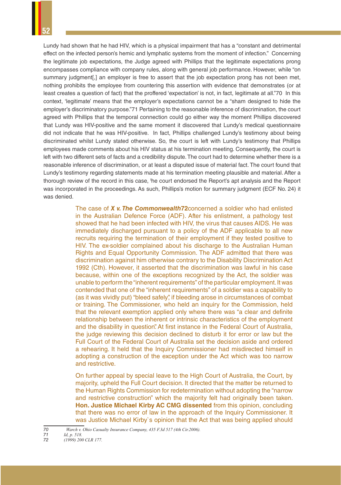Lundy had shown that he had HIV, which is a physical impairment that has a "constant and detrimental effect on the infected person's hemic and lymphatic systems from the moment of infection." Concerning the legitimate job expectations, the Judge agreed with Phillips that the legitimate expectations prong encompasses compliance with company rules, along with general job performance. However, while "on summary judgment. I an employer is free to assert that the job expectation prong has not been met. nothing prohibits the employee from countering this assertion with evidence that demonstrates (or at least creates a question of fact) that the proffered 'expectation' is not, in fact, legitimate at all."70 In this context, 'legitimate' means that the employer's expectations cannot be a "sham designed to hide the employer's discriminatory purpose."71 Pertaining to the reasonable inference of discrimination, the court agreed with Phillips that the temporal connection could go either way the moment Phillips discovered that Lundy was HIV-positive and the same moment it discovered that Lundy's medical questionnaire did not indicate that he was HIV-positive. In fact, Phillips challenged Lundy's testimony about being discriminated whilst Lundy stated otherwise. So, the court is left with Lundy's testimony that Phillips employees made comments about his HIV status at his termination meeting. Consequently, the court is left with two different sets of facts and a credibility dispute. The court had to determine whether there is a reasonable inference of discrimination, or at least a disputed issue of material fact. The court found that Lundy's testimony regarding statements made at his termination meeting plausible and material. After a thorough review of the record in this case, <sup>t</sup>he court endorsed the Report's apt analysis and the Report was incorporated in the proceedings. As such, Phillips's motion for summary judgment (ECF No. 24) it was denied.

> The case of *X v. The Commonwealth***72**concerned a soldier who had enlisted in the Australian Defence Force (ADF). After his enlistment, a pathology test showed that he had been infected with HIV, the virus that causes AIDS. He was immediately discharged pursuant to a policy of the ADF applicable to all new recruits requiring the termination of their employment if they tested positive to HIV. The ex-soldier complained about his discharge to the Australian Human Rights and Equal Opportunity Commission. The ADF admitted that there was discrimination against him otherwise contrary to the Disability Discrimination Act 1992 (Cth). However, it asserted that the discrimination was lawful in his case because, within one of the exceptions recognized by the Act, the soldier was unable to perform the "inherent requirements" of the particular employment. It was contended that one of the "inherent requirements" of a soldier was a capability to (as it was vividly put) "bleed safely", if bleeding arose in circumstances of combat or training. The Commissioner, who held an inquiry for the Commission, held that the relevant exemption applied only where there was "a clear and definite relationship between the inherent or intrinsic characteristics of the employment and the disability in question". At first instance in the Federal Court of Australia, the judge reviewing this decision declined to disturb it for error or law but the Full Court of the Federal Court of Australia set the decision aside and ordered a rehearing. It held that the Inquiry Commissioner had misdirected himself in adopting a construction of the exception under the Act which was too narrow and restrictive.

> On further appeal by special leave to the High Court of Australia, the Court, by majority, upheld the Full Court decision. It directed that the matter be returned to the Human Rights Commission for redetermination without adopting the "narrow and restrictive construction" which the majority felt had originally been taken. **Hon. Justice Michael Kirby AC CMG dissented** from this opinion, concluding that there was no error of law in the approach of the Inquiry Commissioner. It was Justice Michael Kirby`s opinion that the Act that was being applied should

*<sup>70</sup> Warch v. Ohio Casualty Insurance Company, 435 F.3d 517 (4th Cir.2006).*

*<sup>71</sup> Id, p. 518.*

*<sup>72</sup> (1999) 200 CLR 177.*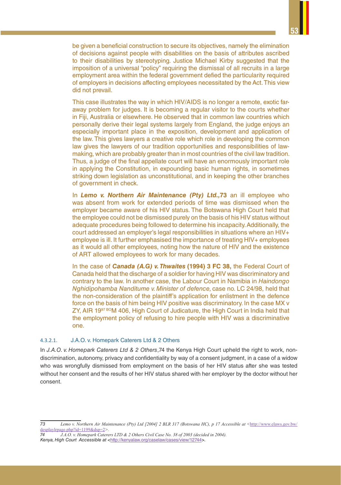be given a beneficial construction to secure its objectives, namely the elimination of decisions against people with disabilities on the basis of attributes ascribed to their disabilities by stereotyping. Justice Michael Kirby suggested that the imposition of a universal "policy" requiring the dismissal of all recruits in a large employment area within the federal government defied the particularity required of employers in decisions affecting employees necessitated by the Act. This view did not prevail.

This case illustrates the way in which HIV/AIDS is no longer a remote, exotic faraway problem for judges. It is becoming a regular visitor to the courts whether in Fiji, Australia or elsewhere. He observed that in common law countries which personally derive their legal systems largely from England, the judge enjoys an especially important place in the exposition, development and application of the law. This gives lawyers a creative role which role in developing the common law gives the lawyers of our tradition opportunities and responsibilities of lawmaking, which are probably greater than in most countries of the civil law tradition. Thus, a judge of the final appellate court will have an enormously important role in applying the Constitution, in expounding basic human rights, in sometimes striking down legislation as unconstitutional, and in keeping the other branches of government in check.

In *Lemo v. Northern Air Maintenance (Pty) Ltd.,***73** an ill employee who was absent from work for extended periods of time was dismissed when the employer became aware of his HIV status. The Botswana High Court held that the employee could not be dismissed purely on the basis of his HIV status without adequate procedures being followed to determine his incapacity. Additionally, the court addressed an employer's legal responsibilities in situations where an HIV+ employee is ill. It further emphasised the importance of treating HIV+ employees as it would all other employees, noting how the nature of HIV and the existence of ART allowed employees to work for many decades.

In the case of *Canada (A.G) v. Thwaites* **(1994) 3 FC 38,** the Federal Court of Canada held that the discharge of a soldier for having HIV was discriminatory and contrary to the law. In another case, the Labour Court in Namibia in *Haindongo Nghidipohamba Nanditume v. Minister of defence,* case no. LC 24/98, held that the non-consideration of the plaintiff's application for enlistment in the defence force on the basis of him being HIV positive was discriminatory. In the case MX v ZY, AIR 19<sup>97 BO</sup>M 406, High Court of Judicature, the High Court in India held that the employment policy of refusing to hire people with HIV was a discriminative one.

#### 4.3.2.1. J.A.O. v. Homepark Caterers Ltd & 2 Others

In *J.A.O. v. Homepark Caterers Ltd & 2 Others*,74 the Kenya High Court upheld the right to work, nondiscrimination, autonomy, privacy and confidentiality by way of a consent judgment, in a case of a widow who was wrongfully dismissed from employment on the basis of her HIV status after she was tested without her consent and the results of her HIV status shared with her employer by the doctor without her consent.

*<sup>73</sup> Lemo v. Northern Air Maintenance (Pty) Ltd [2004] 2 BLR 317 (Botswana HC), p 17 Accessible at <*http://www.elaws.gov.bw/ desplaylrpage.php?id=1199&dsp=2*>.*

*<sup>74</sup> J.A.O. v. Homepark Caterers LTD & 2 Others Civil Case No. 38 of 2003 (decided in 2004). Kenya, High Court Accessible at <*http://kenyalaw.org/caselaw/cases/view/12744*>.*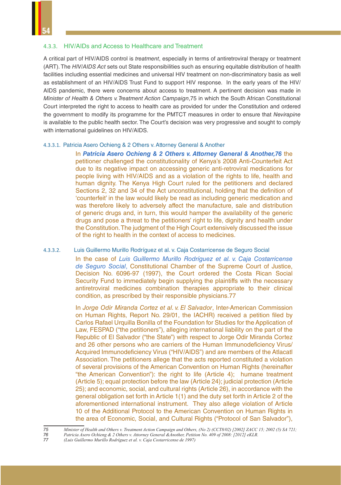#### 4.3.3. HIV/AIDs and Access to Healthcare and Treatment

A critical part of HIV/AIDS control is *treatment*, especially in terms of antiretroviral therapy or treatment (ART). The *HIV/AIDS Act* sets out State responsibilities such as ensuring equitable distribution of health facilities including essential medicines and universal HIV treatment on non-discriminatory basis as well as establishment of an HIV/AIDS Trust Fund to support HIV response. In the early years of the HIV/ AIDS pandemic, there were concerns about access to treatment. A pertinent decision was made in *Minister of Health & Others v. Treatment Action Campaign*,75 in which the South African Constitutional Court interpreted the right to access to health care as provided for under the Constitution and ordered the government to modify its programme for the PMTCT measures in order to ensure that *Nevirapine* is available to the public health sector. The Court's decision was very progressive and sought to comply with international guidelines on HIV/AIDS.

#### 4.3.3.1. Patricia Asero Ochieng & 2 Others v. Attorney General & Another

In *Patricia Asero Ochieng & 2 Others v. Attorney General & Another,76* the petitioner challenged the constitutionality of Kenya's 2008 Anti-Counterfeit Act due to its negative impact on accessing generic anti-retroviral medications for people living with HIV/AIDS and as a violation of the rights to life, health and human dignity. The Kenya High Court ruled for the petitioners and declared Sections 2, 32 and 34 of the Act unconstitutional, holding that the definition of 'counterfeit' in the law would likely be read as including generic medication and was therefore likely to adversely affect the manufacture, sale and distribution of generic drugs and, in turn, this would hamper the availability of the generic drugs and pose a threat to the petitioners' right to life, dignity and health under the Constitution. The judgment of the High Court extensively discussed the issue of the right to health in the context of access to medicines.

#### 4.3.3.2. Luis Guillermo Murillo Rodríguez et al. v. Caja Costarricense de Seguro Social

In the case of *Luis Guillermo Murillo Rodríguez et al. v. Caja Costarricense de Seguro Social*, Constitutional Chamber of the Supreme Court of Justice, Decision No. 6096-97 (1997), the Court ordered the Costa Rican Social Security Fund to immediately begin supplying the plaintiffs with the necessary antiretroviral medicines combination therapies appropriate to their clinical condition, as prescribed by their responsible physicians.77

In *Jorge Odir Miranda Cortez et al. v. El Salvador*, Inter-American Commission on Human Rights, Report No. 29/01, the IACHR) received a petition filed by Carlos Rafael Urquilla Bonilla of the Foundation for Studies for the Application of Law, FESPAD ("the petitioners"), alleging international liability on the part of the Republic of El Salvador ("the State") with respect to Jorge Odir Miranda Cortez and 26 other persons who are carriers of the Human Immunodeficiency Virus/ Acquired Immunodeficiency Virus ("HIV/AIDS") and are members of the Atlacatl Association. The petitioners allege that the acts reported constituted a violation of several provisions of the American Convention on Human Rights (hereinafter "the American Convention"): the right to life (Article 4); humane treatment (Article 5); equal protection before the law (Article 24); judicial protection (Article 25); and economic, social, and cultural rights (Article 26), in accordance with the general obligation set forth in Article 1(1) and the duty set forth in Article 2 of the aforementioned international instrument. They also allege violation of Article 10 of the Additional Protocol to the American Convention on Human Rights in the area of Economic, Social, and Cultural Rights ("Protocol of San Salvador"),

*<sup>75</sup> Minister of Health and Others v. Treatment Action Campaign and Others, (No 2) (CCT8/02) [2002] ZACC 15; 2002 (5) SA 721;*

*<sup>76</sup> Patricia Asero Ochieng & 2 Others v. Attorney General &Another, Petition No. 409 of 2008: [2012] eKLR.* 

*<sup>77</sup> (Luis Guillermo Murillo Rodríguez et al. v. Caja Costarricense de 1997)*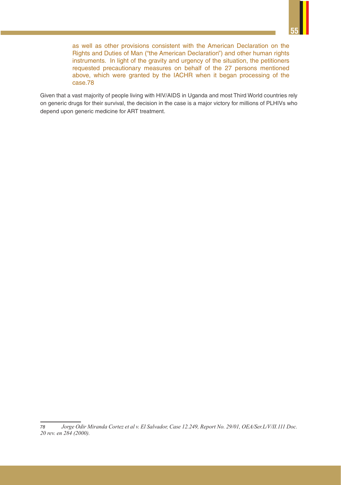

as well as other provisions consistent with the American Declaration on the Rights and Duties of Man ("the American Declaration") and other human rights instruments. In light of the gravity and urgency of the situation, the petitioners requested precautionary measures on behalf of the 27 persons mentioned above, which were granted by the IACHR when it began processing of the case.78

Given that a vast majority of people living with HIV/AIDS in Uganda and most Third World countries rely on generic drugs for their survival, the decision in the case is a major victory for millions of PLHIVs who depend upon generic medicine for ART treatment.

*<sup>78</sup> Jorge Odir Miranda Cortez et al v. El Salvador, Case 12.249, Report No. 29/01, OEA/Ser.L/V/II.111 Doc. 20 rev. en 284 (2000).*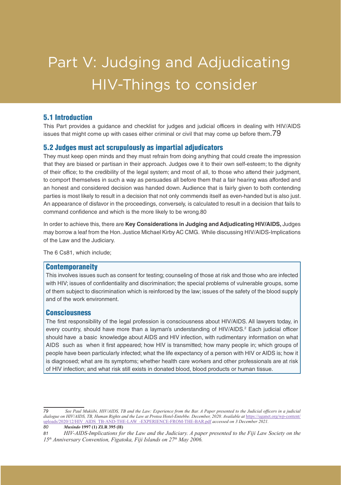# Part V: Judging and Adjudicating HIV-Things to consider

# 5.1 Introduction

This Part provides a guidance and checklist for judges and judicial officers in dealing with HIV/AIDS issues that might come up with cases either criminal or civil that may come up before them.79

# 5.2 Judges must act scrupulously as impartial adjudicators

They must keep open minds and they must refrain from doing anything that could create the impression that they are biased or partisan in their approach. Judges owe it to their own self-esteem; to the dignity of their office; to the credibility of the legal system; and most of all, to those who attend their judgment, to comport themselves in such a way as persuades all before them that a fair hearing was afforded and an honest and considered decision was handed down. Audience that is fairly given to both contending parties is most likely to result in a decision that not only commends itself as even-handed but is also just. An appearance of disfavor in the proceedings, conversely, is calculated to result in a decision that fails to command confidence and which is the more likely to be wrong.80

In order to achieve this, there are **Key Considerations in Judging and Adjudicating HIV/AIDS,** Judges may borrow a leaf from the Hon. Justice Michael Kirby AC CMG. While discussing HIV/AIDS-Implications of the Law and the Judiciary.

The 6 Cs81, which include;

#### **Contemporaneity**

This involves issues such as consent for testing; counseling of those at risk and those who are infected with HIV; issues of confidentiality and discrimination; the special problems of vulnerable groups, some of them subject to discrimination which is reinforced by the law; issues of the safety of the blood supply and of the work environment.

#### **Consciousness**

The first responsibility of the legal profession is consciousness about HIV/AIDS. All lawyers today, in every country, should have more than a layman's understanding of HIV/AIDS.<sup>2</sup> Each judicial officer should have a basic knowledge about AIDS and HIV infection, with rudimentary information on what AIDS such as when it first appeared; how HIV is transmitted; how many people in; which groups of people have been particularly infected; what the life expectancy of a person with HIV or AIDS is; how it is diagnosed; what are its symptoms; whether health care workers and other professionals are at risk of HIV infection; and what risk still exists in donated blood, blood products or human tissue.

*79 See Paul Mukiibi, HIV/AIDS, TB and the Law: Experience from the Bar. A Paper presented to the Judicial officers in a judicial*  dialogue on HIV/AIDS, TB, Human Rights and the Law at Protea Hotel-Entebbe. December, 2020. Available at https://uganet.org/wp-content/ uploads/2020/12/HIV\_AIDS\_TB-AND-THE-LAW\_-EXPERIENCE-FROM-THE-BAR.pdf accessed on 3 December 2021.<br>80 Musindo 1997 (1) ZLR 395 (H) *80 Musindo* **1997 (1) ZLR 395 (H)**

*<sup>81</sup> HIV-AIDS-Implications for the Law and the Judiciary. A paper presented to the Fiji Law Society on the 15th Anniversary Convention, Figatoka, Fiji Islands on 27th May 2006.*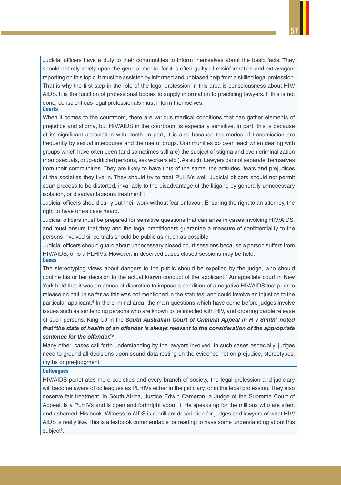Judicial officers have a duty to their communities to inform themselves about the basic facts. They should not rely solely upon the general media, for it is often guilty of misinformation and extravagant reporting on this topic. It must be assisted by informed and unbiased help from a skilled legal profession. That is why the first step in the role of the legal profession in this area is consciousness about HIV/ AIDS. It is the function of professional bodies to supply information to practicing lawyers. If this is not done, conscientious legal professionals must inform themselves. **Courts** 

When it comes to the courtroom, there are various medical conditions that can gather elements of prejudice and stigma, but HIV/AIDS in the courtroom is especially sensitive. In part, this is because of its significant association with death. In part, it is also because the modes of transmission are frequently by sexual intercourse and the use of drugs. Communities do over react when dealing with groups which have often been (and sometimes still are) the subject of stigma and even criminalization (homosexuals, drug-addicted persons, sex workers etc.). As such, Lawyers cannot separate themselves from their communities. They are likely to have tints of the same, the attitudes, fears and prejudices of the societies they live in. They should try to treat PLHIVs well. Judicial officers should not permit court process to be distorted, invariably to the disadvantage of the litigant, by generally unnecessary isolation, or disadvantageous treatment<sup>3</sup>:

Judicial officers should carry out their work without fear or favour. Ensuring the right to an attorney, the right to have one's case heard.

Judicial officers must be prepared for sensitive questions that can arise in cases involving HIV/AIDS, and must ensure that they and the legal practitioners guarantee a measure of confidentiality to the persons involved since trials should be public as much as possible.

Judicial officers should guard about unnecessary closed court sessions because a person suffers from HIV/AIDS, or is a PLHIVs. However, in deserved cases closed sessions may be held.<sup>4</sup> **Cases** 

The stereotyping views about dangers to the public should be expelled by the judge, who should confine his or her decision to the actual known conduct of the applicant.<sup>5</sup> An appellate court in New York held that it was an abuse of discretion to impose a condition of a negative HIV/AIDS test prior to release on bail, in so far as this was not mentioned in the statutes, and could involve an injustice to the particular applicant.<sup>6</sup> In the criminal area, the main questions which have come before judges involve issues such as sentencing persons who are known to be infected with HIV, and ordering parole release of such persons. King CJ in the *South Australian Court of Criminal Appeal in R v Smith7 noted that "the state of health of an offender is always relevant to the consideration of the appropriate sentence for the offender."*<sup>8</sup>

Many other, cases call forth understanding by the lawyers involved. In such cases especially, judges need to ground all decisions upon sound data resting on the evidence not on prejudice, stereotypes, myths or pre-judgment.

#### **Colleagues**

HIV/AIDS penetrates more societies and every branch of society, the legal profession and judiciary will become aware of colleagues as PLHIVs either in the judiciary, or in the legal profession. They also deserve fair treatment. In South Africa, Justice Edwin Cameron, a Judge of the Supreme Court of Appeal, is a PLHIVs and is open and forthright about it. He speaks up for the millions who are silent and ashamed. His book, Witness to AIDS is a brilliant description for judges and lawyers of what HIV/ AIDS is really like. This is a textbook commendable for reading to have some understanding about this subject<sup>9</sup>.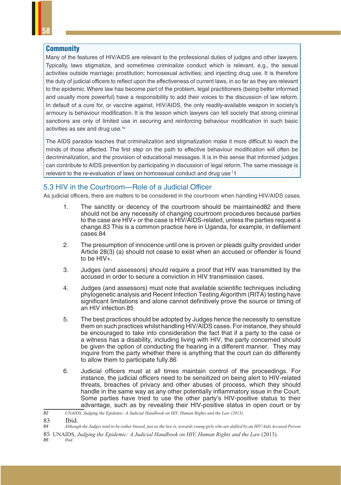# **Community**

Many of the features of HIV/AIDS are relevant to the professional duties of judges and other lawyers. Typically, laws stigmatize, and sometimes criminalize conduct which is relevant, e.g., the sexual activities outside marriage; prostitution; homosexual activities; and injecting drug use. It is therefore the duty of judicial officers to reflect upon the effectiveness of current laws, in so far as they are relevant to the epidemic. Where law has become part of the problem, legal practitioners (being better informed and usually more powerful) have a responsibility to add their voices to the discussion of law reform. In default of a cure for, or vaccine against, HIV/AIDS, the only readily-available weapon in society's armoury is behaviour modification. It is the lesson which lawyers can tell society that strong criminal sanctions are only of limited use in securing and reinforcing behaviour modification in such basic activities as sex and drug use.10

The AIDS paradox teaches that criminalization and stigmatization make it more difficult to reach the minds of those affected. The first step on the path to effective behaviour modification will often be decriminalization, and the provision of educational messages. It is in this sense that informed judges can contribute to AIDS prevention by participating in discussion of legal reform. The same message is relevant to the re-evaluation of laws on homosexual conduct and drug use $<sup>1</sup>1$ </sup>

# 5.3 HIV in the Courtroom—Role of a Judicial Officer

As judicial officers, there are matters to be considered in the courtroom when handling HIV/AIDS cases.

- 1. The sanctity or decency of the courtroom should be maintained82 and there should not be any necessity of changing courtroom procedures because parties to the case are HIV+ or the case is HIV/AIDS-related, unless the parties request a change.83 This is a common practice here in Uganda, for example, in defilement cases.84
- 2. The presumption of innocence until one is proven or pleads guilty provided under Article 28(3) (a) should not cease to exist when an accused or offender is found to be HIV+.
- 3. Judges (and assessors) should require a proof that HIV was transmitted by the accused in order to secure a conviction in HIV transmission cases.
- 4. Judges (and assessors) must note that available scientific techniques including phylogenetic analysis and Recent Infection Testing Algorithm (RITA) testing have significant limitations and alone cannot definitively prove the source or timing of an HIV infection.85
- 5. The best practices should be adopted by Judges hence the necessity to sensitize them on such practices whilst handling HIV/AIDS cases. For instance, they should be encouraged to take into consideration the fact that if a party to the case or a witness has a disability, including living with HIV, the party concerned should be given the option of conducting the hearing in a different manner. They may inquire from the party whether there is anything that the court can do differently to allow them to participate fully.86
- 6. Judicial officers must at all times maintain control of the proceedings. For instance, the judicial officers need to be sensitized on being alert to HIV-related threats, breaches of privacy and other abuses of process, which they should handle in the same way as any other potentially inflammatory issue in the Court. Some parties have tried to use the other party's HIV-positive status to their advantage, such as by revealing their HIV-positive status in open court or by

*<sup>82</sup> UNAIDS, Judging the Epidemic: A Judicial Handbook on HIV, Human Rights and the Law (2013).*

 $83$  Ibid.<br> $84$  Althoug

*<sup>84</sup> Although the Judges tend to be rather biased, just as the law is, towards young girls who are defiled by an HIV/Aids Accused Person*

<sup>85</sup> UNAIDS, *Judging the Epidemic: A Judicial Handbook on HIV, Human Rights and the Law* (2013).<br>86 *Ibid* 

*<sup>86</sup> Ibid.*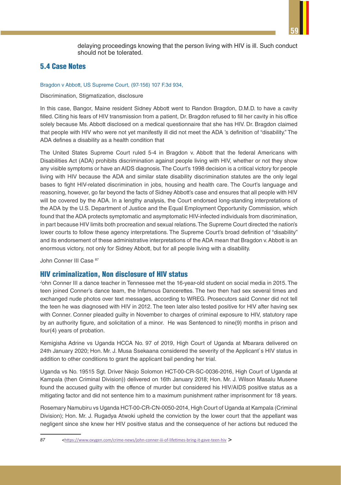delaying proceedings knowing that the person living with HIV is ill. Such conduct should not be tolerated.

**59**

# 5.4 Case Notes

### Bragdon v Abbott, US Supreme Court, (97-156) 107 F.3d 934,

Discrimination, Stigmatization, disclosure

In this case, Bangor, Maine resident Sidney Abbott went to Randon Bragdon, D.M.D. to have a cavity filled. Citing his fears of HIV transmission from a patient, Dr. Bragdon refused to fill her cavity in his office solely because Ms. Abbott disclosed on a medical questionnaire that she has HIV. Dr. Bragdon claimed that people with HIV who were not yet manifestly ill did not meet the ADA 's definition of "disability." The ADA defines a disability as a health condition that

The United States Supreme Court ruled 5-4 in Bragdon v. Abbott that the federal Americans with Disabilities Act (ADA) prohibits discrimination against people living with HIV, whether or not they show any visible symptoms or have an AIDS diagnosis. The Court's 1998 decision is a critical victory for people living with HIV because the ADA and similar state disability discrimination statutes are the only legal bases to fight HIV-related discrimination in jobs, housing and health care. The Court's language and reasoning, however, go far beyond the facts of Sidney Abbott's case and ensures that all people with HIV will be covered by the ADA. In a lengthy analysis, the Court endorsed long-standing interpretations of the ADA by the U.S. Department of Justice and the Equal Employment Opportunity Commission, which found that the ADA protects symptomatic and asymptomatic HIV-infected individuals from discrimination, in part because HIV limits both procreation and sexual relations. The Supreme Court directed the nation's lower courts to follow these agency interpretations. The Supreme Court's broad definition of "disability" and its endorsement of these administrative interpretations of the ADA mean that Bragdon v. Abbott is an enormous victory, not only for Sidney Abbott, but for all people living with a disability.

John Conner III Case 87

### HIV criminalization, Non disclosure of HIV status

J ohn Conner III a dance teacher in Tennessee met the 16-year-old student on social media in 2015. The teen joined Conner's dance team, the Infamous Dancerettes. The two then had sex several times and exchanged nude photos over text messages, according to WREG. Prosecutors said Conner did not tell the teen he was diagnosed with HIV in 2012. The teen later also tested positive for HIV after having sex with Conner. Conner pleaded guilty in November to charges of criminal exposure to HIV, statutory rape by an authority figure, and solicitation of a minor. He was Sentenced to nine(9) months in prison and four(4) years of probation.

Kemigisha Adrine vs Uganda HCCA No. 97 of 2019, High Court of Uganda at Mbarara delivered on 24th January 2020; Hon. Mr. J. Musa Ssekaana considered the severity of the Applicant`s HIV status in addition to other conditions to grant the applicant bail pending her trial.

Uganda vs No. 19515 Sgt. Driver Nkojo Solomon HCT-00-CR-SC-0036-2016, High Court of Uganda at Kampala (then Criminal Division)) delivered on 16th January 2018; Hon. Mr. J. Wilson Masalu Musene found the accused guilty with the offence of murder but considered his HIV/AIDS positive status as a mitigating factor and did not sentence him to a maximum punishment rather imprisonment for 18 years.

Rosemary Namubiru vs Uganda HCT-00-CR-CN-0050-2014, High Court of Uganda at Kampala (Criminal Division); Hon. Mr. J. Rugadya Atwoki upheld the conviction by the lower court that the appellant was negligent since she knew her HIV positive status and the consequence of her actions but reduced the

*<sup>87 &</sup>lt;*https://www.oxygen.com/crime-news/john-conner-iii-of-lifetimes-bring-it-gave-teen-hiv *>*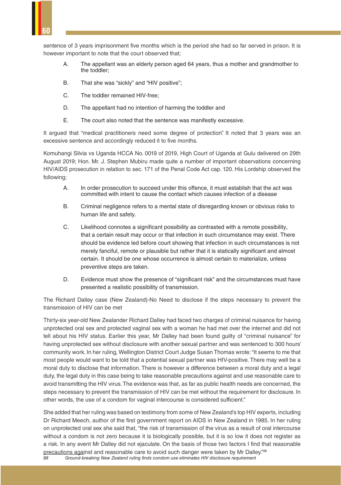

sentence of 3 years imprisonment five months which is the period she had so far served in prison. It is however important to note that the court observed that;

- A. The appellant was an elderly person aged 64 years, thus a mother and grandmother to the toddler;
- B. That she was "sickly" and "HIV positive";
- C. The toddler remained HIV-free;
- D. The appellant had no intention of harming the toddler and
- E. The court also noted that the sentence was manifestly excessive.

It argued that "medical practitioners need some degree of protection". It noted that 3 years was an excessive sentence and accordingly reduced it to five months.

Komuhangi Silvia vs Uganda HCCA No. 0019 of 2019, High Court of Uganda at Gulu delivered on 29th August 2019; Hon. Mr. J. Stephen Mubiru made quite a number of important observations concerning HIV/AIDS prosecution in relation to sec. 171 of the Penal Code Act cap. 120. His Lordship observed the following;

- A. In order prosecution to succeed under this offence, it must establish that the act was committed with intent to cause the contact which causes infection of a disease.
- B. Criminal negligence refers to a mental state of disregarding known or obvious risks to human life and safety.
- C. Likelihood connotes a significant possibility as contrasted with a remote possibility, that a certain result may occur or that infection in such circumstance may exist. There should be evidence led before court showing that infection in such circumstances is not merely fanciful, remote or plausible but rather that it is statically significant and almost certain. It should be one whose occurrence is almost certain to materialize, unless preventive steps are taken.
- D. Evidence must show the presence of "significant risk" and the circumstances must have presented a realistic possibility of transmission.

The Richard Dalley case (New Zealand)-No Need to disclose if the steps necessary to prevent the transmission of HIV can be met

Thirty-six year-old New Zealander Richard Dalley had faced two charges of criminal nuisance for having unprotected oral sex and protected vaginal sex with a woman he had met over the internet and did not tell about his HIV status. Earlier this year, Mr Dalley had been found guilty of "criminal nuisance" for having unprotected sex without disclosure with another sexual partner and was sentenced to 300 hours' community work. In her ruling, Wellington District Court Judge Susan Thomas wrote: "It seems to me that most people would want to be told that a potential sexual partner was HIV-positive. There may well be a moral duty to disclose that information. There is however a difference between a moral duty and a legal duty, the legal duty in this case being to take reasonable precautions against and use reasonable care to avoid transmitting the HIV virus. The evidence was that, as far as public health needs are concerned, the steps necessary to prevent the transmission of HIV can be met without the requirement for disclosure. In other words, the use of a condom for vaginal intercourse is considered sufficient."

She added that her ruling was based on testimony from some of New Zealand's top HIV experts, including Dr Richard Meech, author of the first government report on AIDS in New Zealand in 1985. In her ruling on unprotected oral sex she said that, "the risk of transmission of the virus as a result of oral intercourse without a condom is not zero because it is biologically possible, but it is so low it does not register as a risk. In any event Mr Dalley did not ejaculate. On the basis of those two factors I find that reasonable precautions against and reasonable care to avoid such danger were taken by Mr Dalley."88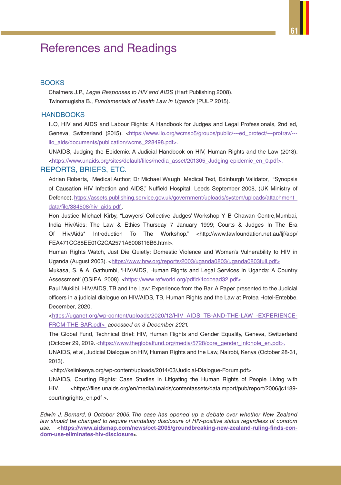# References and Readings

## **BOOKS**

Chalmers J.P., *Legal Responses to HIV and AIDS* (Hart Publishing 2008). Twinomugisha B., *Fundamentals of Health Law in Uganda* (PULP 2015).

## **HANDBOOKS**

ILO, HIV and AIDS and Labour Rights: A Handbook for Judges and Legal Professionals, 2nd ed, Geneva, Switzerland (2015). <https://www.ilo.org/wcmsp5/groups/public/---ed\_protect/---protrav/--ilo\_aids/documents/publication/wcms\_228498.pdf>.

**61**

UNAIDS, Judging the Epidemic: A Judicial Handbook on HIV, Human Rights and the Law (2013). <https://www.unaids.org/sites/default/files/media\_asset/201305\_Judging-epidemic\_en\_0.pdf>.

### REPORTS, BRIEFS, ETC.

Adrian Roberts, Medical Author; Dr Michael Waugh, Medical Text, Edinburgh Validator, "Synopsis of Causation HIV Infection and AIDS," Nuffield Hospital, Leeds September 2008, (UK Ministry of Defence). https://assets.publishing.service.gov.uk/government/uploads/system/uploads/attachment\_ data/file/384508/hiv\_aids.pdf *.*

Hon Justice Michael Kirby, "Lawyers' Collective Judges' Workshop Y B Chawan Centre,Mumbai, India Hiv/Aids: The Law & Ethics Thursday 7 January 1999; Courts & Judges In The Era Of Hiv/Aids\* Introduction To The Workshop." <http://www.lawfoundation.net.au/ljf/app/ FEA471CC88EE01C2CA2571A6008116B6.html>.

Human Rights Watch, Just Die Quietly: Domestic Violence and Women's Vulnerability to HIV in Uganda (August 2003). <https://www.hrw.org/reports/2003/uganda0803/uganda0803full.pdf>

Mukasa, S. & A. Gathumbi, 'HIV/AIDS, Human Rights and Legal Services in Uganda: A Country Assessment' (OSIEA, 2008). <https://www.refworld.org/pdfid/4cdcead32.pdf>

Paul Mukiibi, HIV/AIDS, TB and the Law: Experience from the Bar. A Paper presented to the Judicial officers in a judicial dialogue on HIV/AIDS, TB, Human Rights and the Law at Protea Hotel-Entebbe. December, 2020.

<https://uganet.org/wp-content/uploads/2020/12/HIV\_AIDS\_TB-AND-THE-LAW\_-EXPERIENCE-FROM-THE-BAR.pdf> *accessed on 3 December 2021.*

The Global Fund, Technical Brief: HIV, Human Rights and Gender Equality, Geneva, Switzerland (October 29, 2019. <https://www.theglobalfund.org/media/5728/core\_gender\_infonote\_en.pdf>.

UNAIDS, et al, Judicial Dialogue on HIV, Human Rights and the Law, Nairobi, Kenya (October 28-31, 2013).

<http://kelinkenya.org/wp-content/uploads/2014/03/Judicial-Dialogue-Forum.pdf>.

UNAIDS, Courting Rights: Case Studies in Litigating the Human Rights of People Living with HIV. <https://files.unaids.org/en/media/unaids/contentassets/dataimport/pub/report/2006/jc1189 courtingrights\_en.pdf >.

*Edwin J. Bernard, 9 October 2005. The case has opened up a debate over whether New Zealand law should be changed to require mandatory disclosure of HIV-positive status regardless of condom use. <***https://www.aidsmap.com/news/oct-2005/groundbreaking-new-zealand-ruling-finds-condom-use-eliminates-hiv-disclosure>.**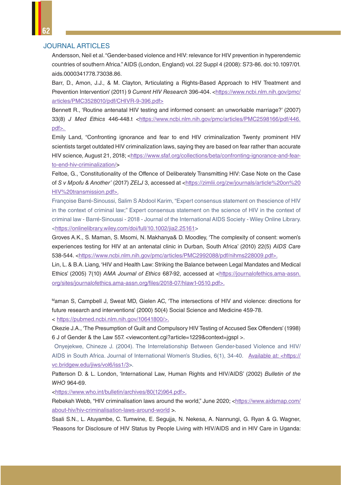## JOURNAL ARTICLES

Andersson, Neil et al. "Gender-based violence and HIV: relevance for HIV prevention in hyperendemic countries of southern Africa." AIDS (London, England) vol. 22 Suppl 4 (2008): S73-86. doi:10.1097/01. aids.0000341778.73038.86.

Barr, D., Amon, J.J., & M. Clayton, 'Articulating a Rights-Based Approach to HIV Treatment and Prevention Intervention' (2011) 9 *Current HIV Research* 396-404. <https://www.ncbi.nlm.nih.gov/pmc/ articles/PMC3528010/pdf/CHIVR-9-396.pdf>

Bennett R., 'Routine antenatal HIV testing and informed consent: an unworkable marriage?' (2007) 33(8) *J Med Ethics* 446-448.t <https://www.ncbi.nlm.nih.gov/pmc/articles/PMC2598166/pdf/446. pdf>.

Emily Land, "Confronting ignorance and fear to end HIV criminalization Twenty prominent HIV scientists target outdated HIV criminalization laws, saying they are based on fear rather than accurate HIV science, August 21, 2018; <https://www.sfaf.org/collections/beta/confronting-ignorance-and-fearto-end-hiv-criminalization/*>*

Feltoe, G., 'Constitutionality of the Offence of Deliberately Transmitting HIV: Case Note on the Case of *S v Mpofu & Another'* (2017) *ZELJ* 3, accessed at <https://zimlii.org/zw/journals/article%20on%20 HIV%20transmission.pdf>.

Françoise Barré-Sinoussi, Salim S Abdool Karim, "Expert consensus statement on thescience of HIV in the context of criminal law;" Expert consensus statement on the science of HIV in the context of criminal law - Barré‐Sinoussi - 2018 - Journal of the International AIDS Society - Wiley Online Library. <https://onlinelibrary.wiley.com/doi/full/10.1002/jia2.25161*>* 

Groves A.K., S. Maman, S. Msomi, N. Makhanya& D. Moodley, 'The complexity of consent: women's experiences testing for HIV at an antenatal clinic in Durban, South Africa' (2010) 22(5) *AIDS Care* 538-544. <https://www.ncbi.nlm.nih.gov/pmc/articles/PMC2992088/pdf/nihms228009.pdf>.

Lin, L. & B.A. Liang, 'HIV and Health Law: Striking the Balance between Legal Mandates and Medical Ethics' (2005) 7(10) *AMA Journal of Ethics* 687-92, accessed at <https://journalofethics.ama-assn. org/sites/journalofethics.ama-assn.org/files/2018-07/hlaw1-0510.pdf>.

Maman S, Campbell J, Sweat MD, Gielen AC, 'The intersections of HIV and violence: directions for future research and interventions' (2000) 50(4) Social Science and Medicine 459-78.

< https://pubmed.ncbi.nlm.nih.gov/10641800/>.

Okezie J.A., 'The Presumption of Guilt and Compulsory HIV Testing of Accused Sex Offenders' (1998) 6 J of Gender & the Law 557. <viewcontent.cgi?article=1229&context=jgspl >.

Onyejekwe, Chineze J. (2004). The Interrelationship Between Gender-based Violence and HIV/ AIDS in South Africa. Journal of International Women's Studies, 6(1), 34-40. Available at: <https:// vc.bridgew.edu/jiws/vol6/iss1/3*>.* 

Patterson D. & L. London, 'International Law, Human Rights and HIV/AIDS' (2002) *Bulletin of the WHO* 964-69.

<https://www.who.int/bulletin/archives/80(12)964.pdf>.

Rebekah Webb, "HIV criminalisation laws around the world," June 2020; <https://www.aidsmap.com/ about-hiv/hiv-criminalisation-laws-around-world *>.*

Ssali S.N., L. Atuyambe, C. Tumwine, E. Segujja, N. Nekesa, A. Nannungi, G. Ryan & G. Wagner, 'Reasons for Disclosure of HIV Status by People Living with HIV/AIDS and in HIV Care in Uganda: